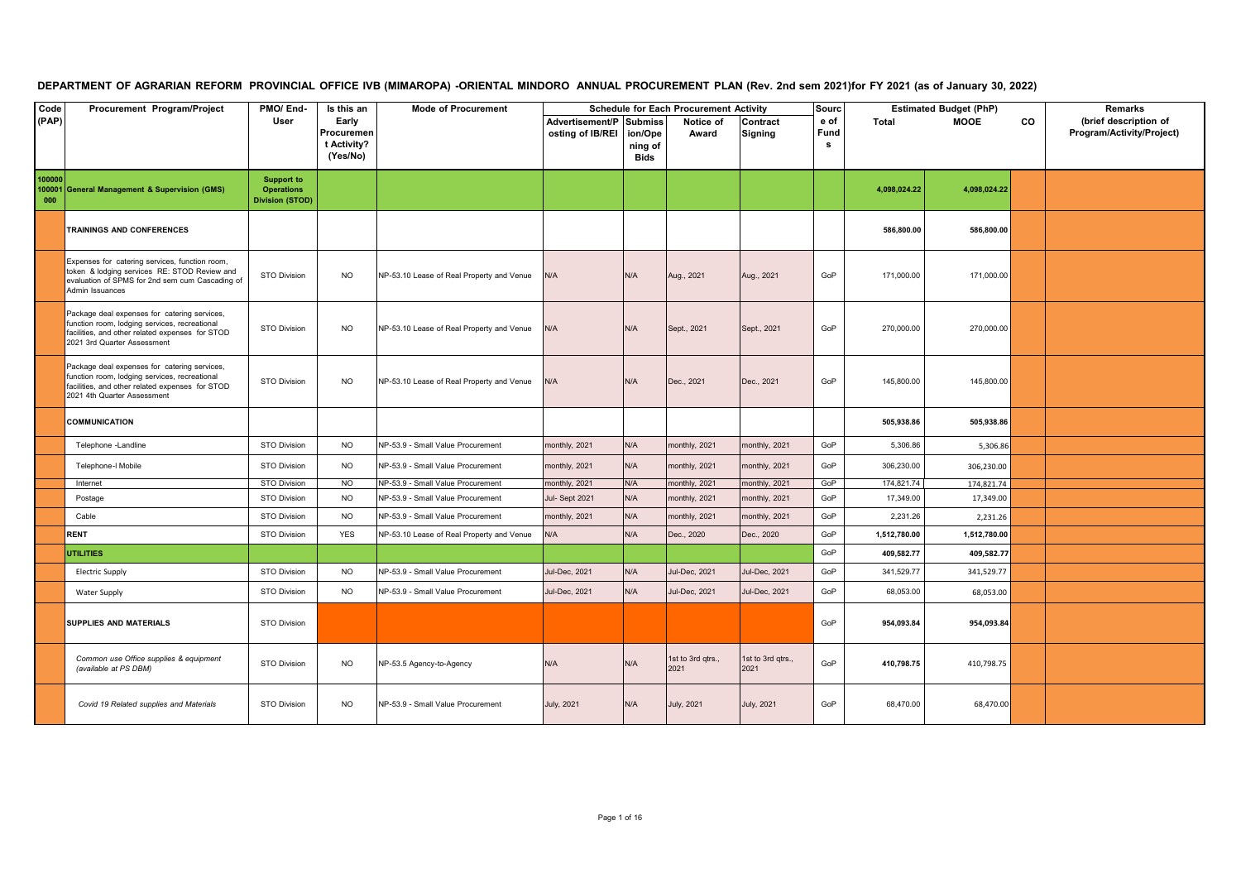## DEPARTMENT OF AGRARIAN REFORM PROVINCIAL OFFICE IVB (MIMAROPA) -ORIENTAL MINDORO ANNUAL PROCUREMENT PLAN (Rev. 2nd sem 2021)for FY 2021 (as of January 30, 2022)

| Code<br>(PAP)           | Procurement Program/Project                                                                                                                                                     | PMO/End-<br>User                                          | Is this an<br>Early<br>Procuremen<br>t Activity?<br>(Yes/No) | <b>Mode of Procurement</b>                | Advertisement/P Submiss<br>osting of IB/REI | ion/Ope<br>ning of<br>Bids | <b>Schedule for Each Procurement Activity</b><br>Notice of<br>Award | Contract<br>Signing       | Sourc<br>e of<br>Fund<br>s | Total        | <b>Estimated Budget (PhP)</b><br><b>MOOE</b> | CO | Remarks<br>(brief description of<br>Program/Activity/Project) |
|-------------------------|---------------------------------------------------------------------------------------------------------------------------------------------------------------------------------|-----------------------------------------------------------|--------------------------------------------------------------|-------------------------------------------|---------------------------------------------|----------------------------|---------------------------------------------------------------------|---------------------------|----------------------------|--------------|----------------------------------------------|----|---------------------------------------------------------------|
| 100000<br>100001<br>000 | <b>General Management &amp; Supervision (GMS)</b>                                                                                                                               | <b>Support to</b><br><b>Operations</b><br>Division (STOD) |                                                              |                                           |                                             |                            |                                                                     |                           |                            | 4.098.024.22 | 4.098.024.22                                 |    |                                                               |
|                         | TRAININGS AND CONFERENCES                                                                                                                                                       |                                                           |                                                              |                                           |                                             |                            |                                                                     |                           |                            | 586,800.00   | 586,800.00                                   |    |                                                               |
|                         | Expenses for catering services, function room,<br>token & lodging services RE: STOD Review and<br>evaluation of SPMS for 2nd sem cum Cascading of<br>Admin Issuances            | STO Division                                              | <b>NO</b>                                                    | NP-53.10 Lease of Real Property and Venue | N/A                                         | N/A                        | Aug., 2021                                                          | Aug., 2021                | GoP                        | 171,000.00   | 171,000.00                                   |    |                                                               |
|                         | Package deal expenses for catering services,<br>function room, lodging services, recreational<br>facilities, and other related expenses for STOD<br>2021 3rd Quarter Assessment | <b>STO Division</b>                                       | <b>NO</b>                                                    | NP-53.10 Lease of Real Property and Venue | N/A                                         | N/A                        | Sept., 2021                                                         | Sept., 2021               | GoP                        | 270,000.00   | 270,000.00                                   |    |                                                               |
|                         | Package deal expenses for catering services,<br>function room, lodging services, recreational<br>facilities, and other related expenses for STOD<br>2021 4th Quarter Assessment | <b>STO Division</b>                                       | <b>NO</b>                                                    | NP-53.10 Lease of Real Property and Venue | N/A                                         | N/A                        | Dec., 2021                                                          | Dec., 2021                | GoP                        | 145,800.00   | 145,800.00                                   |    |                                                               |
|                         | <b>COMMUNICATION</b>                                                                                                                                                            |                                                           |                                                              |                                           |                                             |                            |                                                                     |                           |                            | 505,938.86   | 505,938.86                                   |    |                                                               |
|                         | Telephone -Landline                                                                                                                                                             | <b>STO Division</b>                                       | <b>NO</b>                                                    | NP-53.9 - Small Value Procurement         | monthly, 2021                               | N/A                        | monthly, 2021                                                       | monthly, 2021             | GoP                        | 5,306.86     | 5,306.86                                     |    |                                                               |
|                         | Telephone-I Mobile                                                                                                                                                              | <b>STO Division</b>                                       | <b>NO</b>                                                    | NP-53.9 - Small Value Procurement         | monthly, 2021                               | N/A                        | monthly, 2021                                                       | monthly, 2021             | GoP                        | 306,230.00   | 306,230.00                                   |    |                                                               |
|                         | Internet                                                                                                                                                                        | <b>STO Division</b>                                       | N <sub>O</sub>                                               | NP-53.9 - Small Value Procurement         | monthly, 2021                               | N/A                        | monthly, 2021                                                       | monthly, 2021             | GoP                        | 174,821.74   | 174,821.74                                   |    |                                                               |
|                         | Postage                                                                                                                                                                         | STO Division                                              | <b>NO</b>                                                    | NP-53.9 - Small Value Procurement         | Jul-Sept 2021                               | N/A                        | monthly, 2021                                                       | nonthly, 2021             | GoP                        | 17,349.00    | 17,349.00                                    |    |                                                               |
|                         | Cable                                                                                                                                                                           | <b>STO Division</b>                                       | <b>NO</b>                                                    | NP-53.9 - Small Value Procurement         | monthly, 2021                               | N/A                        | monthly, 2021                                                       | nonthly, 2021             | GoP                        | 2,231.26     | 2,231.26                                     |    |                                                               |
|                         | <b>RENT</b>                                                                                                                                                                     | <b>STO Division</b>                                       | <b>YES</b>                                                   | NP-53.10 Lease of Real Property and Venue | N/A                                         | N/A                        | Dec., 2020                                                          | Dec., 2020                | GoP                        | 1,512,780.00 | 1,512,780.00                                 |    |                                                               |
|                         | <b>UTILITIES</b>                                                                                                                                                                |                                                           |                                                              |                                           |                                             |                            |                                                                     |                           | GoP                        | 409,582.77   | 409,582.77                                   |    |                                                               |
|                         | <b>Electric Supply</b>                                                                                                                                                          | <b>STO Division</b>                                       | <b>NO</b>                                                    | NP-53.9 - Small Value Procurement         | Jul-Dec, 2021                               | N/A                        | <b>Jul-Dec, 2021</b>                                                | <b>Jul-Dec, 2021</b>      | GoP                        | 341,529.77   | 341,529.77                                   |    |                                                               |
|                         | <b>Water Supply</b>                                                                                                                                                             | <b>STO Division</b>                                       | <b>NO</b>                                                    | NP-53.9 - Small Value Procurement         | Jul-Dec, 2021                               | N/A                        | <b>Jul-Dec, 2021</b>                                                | <b>Jul-Dec, 2021</b>      | GoP                        | 68,053.00    | 68,053.00                                    |    |                                                               |
|                         | <b>SUPPLIES AND MATERIALS</b>                                                                                                                                                   | <b>STO Division</b>                                       |                                                              |                                           |                                             |                            |                                                                     |                           | GoP                        | 954,093.84   | 954,093.84                                   |    |                                                               |
|                         | Common use Office supplies & equipment<br>(available at PS DBM)                                                                                                                 | STO Division                                              | <b>NO</b>                                                    | NP-53.5 Agency-to-Agency                  | N/A                                         | N/A                        | 1st to 3rd qtrs.,<br>2021                                           | 1st to 3rd qtrs.,<br>2021 | GoP                        | 410,798.75   | 410,798.75                                   |    |                                                               |
|                         | Covid 19 Related supplies and Materials                                                                                                                                         | <b>STO Division</b>                                       | <b>NO</b>                                                    | NP-53.9 - Small Value Procurement         | July, 2021                                  | N/A                        | <b>July, 2021</b>                                                   | July, 2021                | GoP                        | 68,470.00    | 68,470.00                                    |    |                                                               |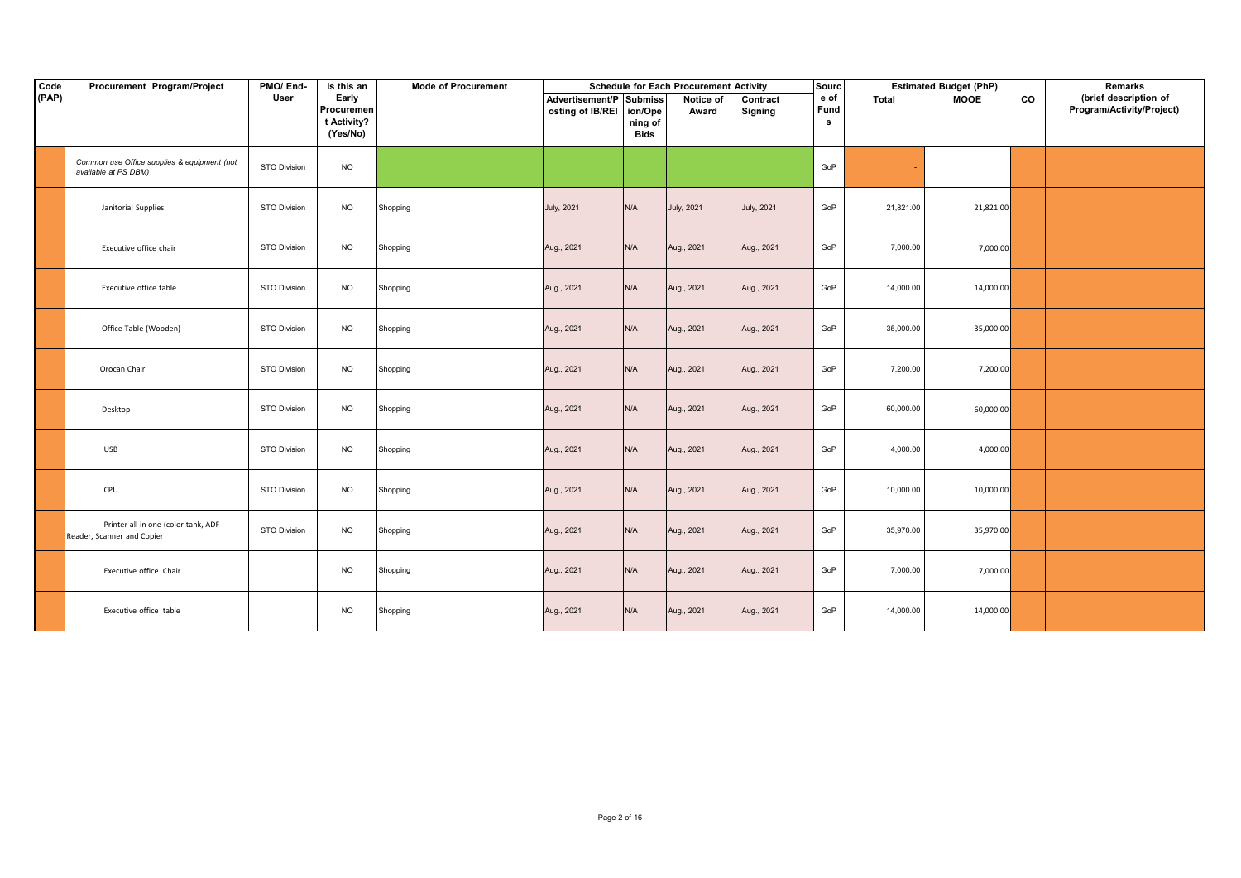| Code  | Procurement Program/Project                                         | PMO/End-            | Is this an          | <b>Mode of Procurement</b> |                                             |             | <b>Schedule for Each Procurement Activity</b> |                            | Sourc        |           | <b>Estimated Budget (PhP)</b> |    | Remarks                                            |
|-------|---------------------------------------------------------------------|---------------------|---------------------|----------------------------|---------------------------------------------|-------------|-----------------------------------------------|----------------------------|--------------|-----------|-------------------------------|----|----------------------------------------------------|
| (PAP) |                                                                     | User                | Early<br>Procuremen |                            | Advertisement/P Submiss<br>osting of IB/REI | ion/Ope     | Notice of<br>Award                            | Contract<br><b>Signing</b> | e of<br>Fund | Total     | <b>MOOE</b>                   | co | (brief description of<br>Program/Activity/Project) |
|       |                                                                     |                     | t Activity?         |                            |                                             | ning of     |                                               |                            | s            |           |                               |    |                                                    |
|       |                                                                     |                     | (Yes/No)            |                            |                                             | <b>Bids</b> |                                               |                            |              |           |                               |    |                                                    |
|       | Common use Office supplies & equipment (not<br>available at PS DBM) | <b>STO Division</b> | <b>NO</b>           |                            |                                             |             |                                               |                            | GoP          |           |                               |    |                                                    |
|       | Janitorial Supplies                                                 | <b>STO Division</b> | <b>NO</b>           | Shopping                   | <b>July, 2021</b>                           | N/A         | July, 2021                                    | <b>July, 2021</b>          | GoP          | 21,821.00 | 21,821.00                     |    |                                                    |
|       | Executive office chair                                              | STO Division        | <b>NO</b>           | Shopping                   | Aug., 2021                                  | N/A         | Aug., 2021                                    | Aug., 2021                 | GoP          | 7,000.00  | 7,000.00                      |    |                                                    |
|       | Executive office table                                              | STO Division        | <b>NO</b>           | Shopping                   | Aug., 2021                                  | N/A         | Aug., 2021                                    | Aug., 2021                 | GoP          | 14,000.00 | 14,000.00                     |    |                                                    |
|       | Office Table (Wooden)                                               | STO Division        | <b>NO</b>           | Shopping                   | Aug., 2021                                  | N/A         | Aug., 2021                                    | Aug., 2021                 | GoP          | 35,000.00 | 35,000.00                     |    |                                                    |
|       | Orocan Chair                                                        | <b>STO Division</b> | <b>NO</b>           | Shopping                   | Aug., 2021                                  | N/A         | Aug., 2021                                    | Aug., 2021                 | GoP          | 7,200.00  | 7,200.00                      |    |                                                    |
|       | Desktop                                                             | <b>STO Division</b> | <b>NO</b>           | Shopping                   | Aug., 2021                                  | N/A         | Aug., 2021                                    | Aug., 2021                 | GoP          | 60,000.00 | 60,000.00                     |    |                                                    |
|       | <b>USB</b>                                                          | STO Division        | <b>NO</b>           | Shopping                   | Aug., 2021                                  | N/A         | Aug., 2021                                    | Aug., 2021                 | GoP          | 4,000.00  | 4,000.00                      |    |                                                    |
|       | CPU                                                                 | STO Division        | <b>NO</b>           | Shopping                   | Aug., 2021                                  | N/A         | Aug., 2021                                    | Aug., 2021                 | GoP          | 10,000.00 | 10,000.00                     |    |                                                    |
|       | Printer all in one (color tank, ADF<br>Reader, Scanner and Copier   | STO Division        | <b>NO</b>           | Shopping                   | Aug., 2021                                  | N/A         | Aug., 2021                                    | Aug., 2021                 | GoP          | 35,970.00 | 35,970.00                     |    |                                                    |
|       | Executive office Chair                                              |                     | <b>NO</b>           | Shopping                   | Aug., 2021                                  | N/A         | Aug., 2021                                    | Aug., 2021                 | GoP          | 7,000.00  | 7,000.00                      |    |                                                    |
|       | Executive office table                                              |                     | <b>NO</b>           | Shopping                   | Aug., 2021                                  | N/A         | Aug., 2021                                    | Aug., 2021                 | GoP          | 14,000.00 | 14,000.00                     |    |                                                    |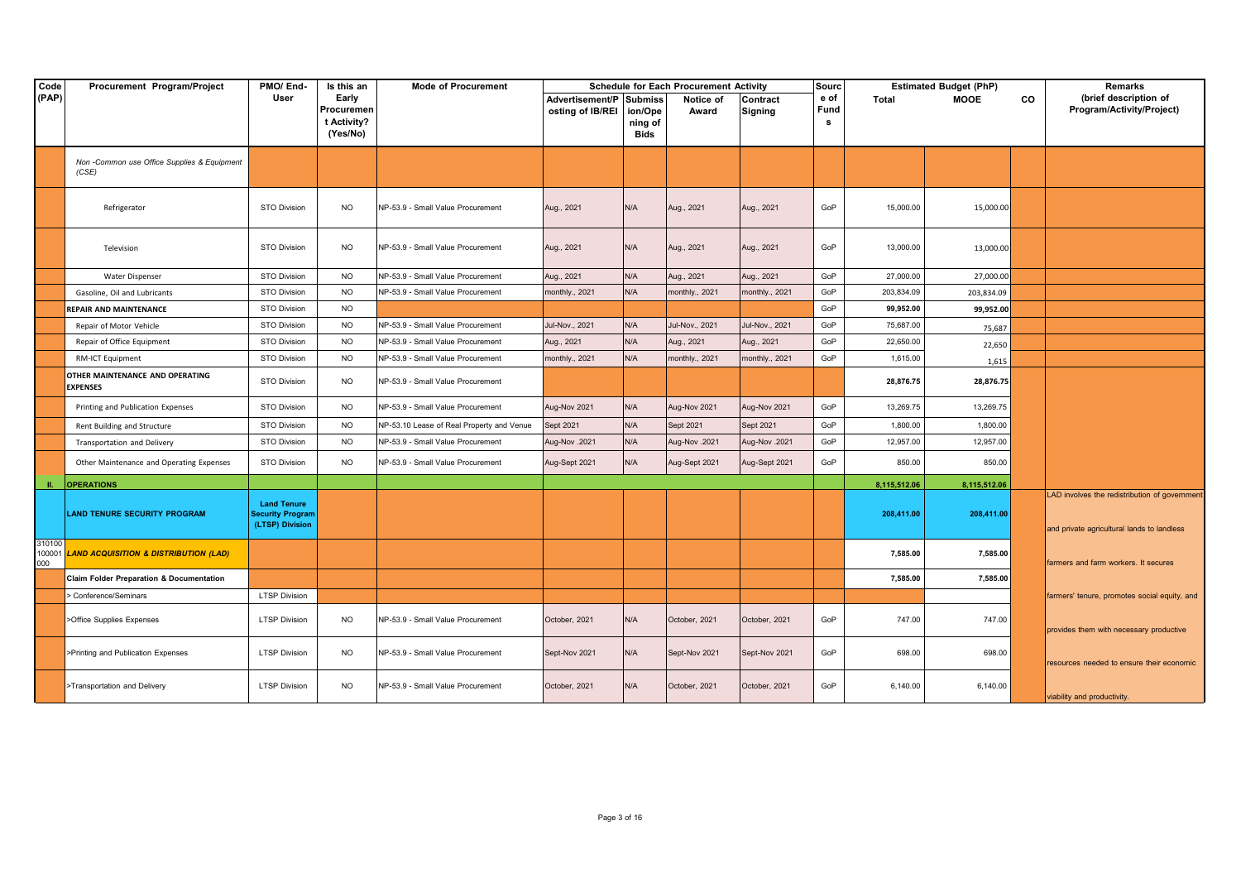| Code          | Procurement Program/Project                          | PMO/End-                                                  | Is this an                                     | <b>Mode of Procurement</b>                |                                     |                                              | <b>Schedule for Each Procurement Activity</b> |                     | <b>Sourc</b>       |              | <b>Estimated Budget (PhP)</b> |    | Remarks                                                                                     |
|---------------|------------------------------------------------------|-----------------------------------------------------------|------------------------------------------------|-------------------------------------------|-------------------------------------|----------------------------------------------|-----------------------------------------------|---------------------|--------------------|--------------|-------------------------------|----|---------------------------------------------------------------------------------------------|
| (PAP)         |                                                      | User                                                      | Early<br>Procuremen<br>t Activity?<br>(Yes/No) |                                           | Advertisement/P<br>osting of IB/REI | <b>Submiss</b><br>ion/Ope<br>ning of<br>Bids | Notice of<br>Award                            | Contract<br>Signing | e of<br>Fund<br>s. | Total        | <b>MOOE</b>                   | CO | (brief description of<br>Program/Activity/Project)                                          |
|               | Non -Common use Office Supplies & Equipment<br>(CSE) |                                                           |                                                |                                           |                                     |                                              |                                               |                     |                    |              |                               |    |                                                                                             |
|               | Refrigerator                                         | <b>STO Division</b>                                       | <b>NO</b>                                      | NP-53.9 - Small Value Procurement         | Aug., 2021                          | N/A                                          | Aug., 2021                                    | Aug., 2021          | GoP                | 15,000.00    | 15,000.00                     |    |                                                                                             |
|               | Television                                           | <b>STO Division</b>                                       | <b>NO</b>                                      | NP-53.9 - Small Value Procurement         | Aug., 2021                          | N/A                                          | Aug., 2021                                    | Aug., 2021          | GoP                | 13,000.00    | 13,000.00                     |    |                                                                                             |
|               | <b>Water Dispenser</b>                               | <b>STO Division</b>                                       | <b>NO</b>                                      | NP-53.9 - Small Value Procurement         | Aug., 2021                          | N/A                                          | Aug., 2021                                    | Aug., 2021          | GoP                | 27,000.00    | 27,000.00                     |    |                                                                                             |
|               | Gasoline, Oil and Lubricants                         | <b>STO Division</b>                                       | <b>NO</b>                                      | NP-53.9 - Small Value Procurement         | monthly., 2021                      | N/A                                          | monthly., 2021                                | monthly., 2021      | GoP                | 203,834.09   | 203,834.09                    |    |                                                                                             |
|               | <b>REPAIR AND MAINTENANCE</b>                        | <b>STO Division</b>                                       | <b>NO</b>                                      |                                           |                                     |                                              |                                               |                     | GoP                | 99,952.00    | 99,952.00                     |    |                                                                                             |
|               | Repair of Motor Vehicle                              | STO Division                                              | <b>NO</b>                                      | NP-53.9 - Small Value Procurement         | Jul-Nov., 2021                      | N/A                                          | Jul-Nov., 2021                                | Jul-Nov., 2021      | GoP                | 75,687.00    | 75,687                        |    |                                                                                             |
|               | Repair of Office Equipment                           | <b>STO Division</b>                                       | <b>NO</b>                                      | NP-53.9 - Small Value Procurement         | Aug., 2021                          | N/A                                          | Aug., 2021                                    | Aug., 2021          | GoP                | 22,650.00    | 22,650                        |    |                                                                                             |
|               | RM-ICT Equipment                                     | <b>STO Division</b>                                       | <b>NO</b>                                      | NP-53.9 - Small Value Procurement         | monthly., 2021                      | N/A                                          | monthly., 2021                                | monthly., 2021      | GoP                | 1,615.00     | 1,615                         |    |                                                                                             |
|               | OTHER MAINTENANCE AND OPERATING<br><b>EXPENSES</b>   | <b>STO Division</b>                                       | <b>NO</b>                                      | NP-53.9 - Small Value Procurement         |                                     |                                              |                                               |                     |                    | 28,876.75    | 28,876.75                     |    |                                                                                             |
|               | Printing and Publication Expenses                    | <b>STO Division</b>                                       | <b>NO</b>                                      | NP-53.9 - Small Value Procurement         | Aug-Nov 2021                        | N/A                                          | Aug-Nov 2021                                  | Aug-Nov 2021        | GoP                | 13,269.75    | 13,269.75                     |    |                                                                                             |
|               | Rent Building and Structure                          | <b>STO Division</b>                                       | <b>NO</b>                                      | NP-53.10 Lease of Real Property and Venue | Sept 2021                           | N/A                                          | Sept 2021                                     | Sept 2021           | GoP                | 1,800.00     | 1,800.00                      |    |                                                                                             |
|               | Transportation and Delivery                          | <b>STO Division</b>                                       | <b>NO</b>                                      | NP-53.9 - Small Value Procurement         | Aug-Nov. 2021                       | N/A                                          | Aug-Nov.2021                                  | Aug-Nov.2021        | GoP                | 12,957.00    | 12,957.00                     |    |                                                                                             |
|               | Other Maintenance and Operating Expenses             | <b>STO Division</b>                                       | <b>NO</b>                                      | NP-53.9 - Small Value Procurement         | Aug-Sept 2021                       | N/A                                          | Aug-Sept 2021                                 | Aug-Sept 2021       | GoP                | 850.00       | 850.00                        |    |                                                                                             |
|               | <b>OPERATIONS</b>                                    |                                                           |                                                |                                           |                                     |                                              |                                               |                     |                    | 8,115,512.06 | 8,115,512.06                  |    |                                                                                             |
|               | <b>LAND TENURE SECURITY PROGRAM</b>                  | <b>Land Tenure</b><br>Security Program<br>(LTSP) Division |                                                |                                           |                                     |                                              |                                               |                     |                    | 208,411.00   | 208,411.00                    |    | LAD involves the redistribution of government<br>and private agricultural lands to landless |
| 310100<br>000 | 100001 LAND ACQUISITION & DISTRIBUTION (LAD)         |                                                           |                                                |                                           |                                     |                                              |                                               |                     |                    | 7,585.00     | 7,585.00                      |    | farmers and farm workers. It secures                                                        |
|               | Claim Folder Preparation & Documentation             |                                                           |                                                |                                           |                                     |                                              |                                               |                     |                    | 7,585.00     | 7,585.00                      |    |                                                                                             |
|               | > Conference/Seminars                                | <b>LTSP Division</b>                                      |                                                |                                           |                                     |                                              |                                               |                     |                    |              |                               |    | farmers' tenure, promotes social equity, and                                                |
|               | >Office Supplies Expenses                            | <b>LTSP Division</b>                                      | <b>NO</b>                                      | NP-53.9 - Small Value Procurement         | October, 2021                       | N/A                                          | October, 2021                                 | October, 2021       | GoP                | 747.00       | 747.00                        |    | provides them with necessary productive                                                     |
|               | >Printing and Publication Expenses                   | <b>LTSP Division</b>                                      | <b>NO</b>                                      | NP-53.9 - Small Value Procurement         | Sept-Nov 2021                       | N/A                                          | Sept-Nov 2021                                 | Sept-Nov 2021       | GoP                | 698.00       | 698.00                        |    | resources needed to ensure their economic                                                   |
|               | >Transportation and Delivery                         | <b>LTSP Division</b>                                      | <b>NO</b>                                      | NP-53.9 - Small Value Procurement         | October, 2021                       | N/A                                          | October, 2021                                 | October, 2021       | GoP                | 6,140.00     | 6,140.00                      |    | viability and productivity.                                                                 |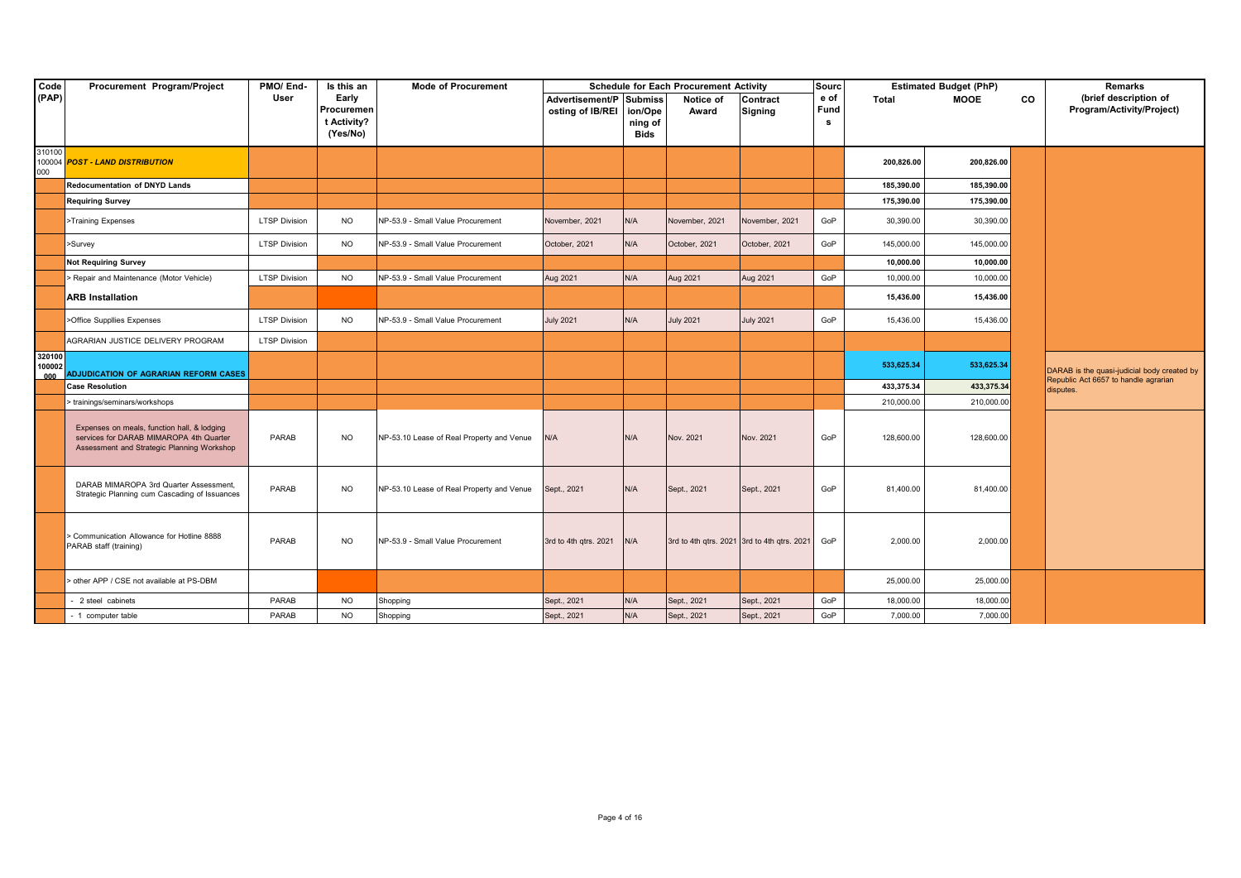| Code                    | Procurement Program/Project                                                                                                          | PMO/End-             | Is this an                                     | <b>Mode of Procurement</b>                |                                             |                            | <b>Schedule for Each Procurement Activity</b> |                                                 | <b>Sourc</b>      |            | <b>Estimated Budget (PhP)</b> |    | <b>Remarks</b>                                                                      |
|-------------------------|--------------------------------------------------------------------------------------------------------------------------------------|----------------------|------------------------------------------------|-------------------------------------------|---------------------------------------------|----------------------------|-----------------------------------------------|-------------------------------------------------|-------------------|------------|-------------------------------|----|-------------------------------------------------------------------------------------|
| (PAP)                   |                                                                                                                                      | User                 | Early<br>Procuremen<br>t Activity?<br>(Yes/No) |                                           | Advertisement/P Submiss<br>osting of IB/REI | ion/Ope<br>ning of<br>Bids | Notice of<br>Award                            | Contract<br><b>Signing</b>                      | e of<br>Fund<br>s | Total      | <b>MOOE</b>                   | CO | (brief description of<br>Program/Activity/Project)                                  |
| 310100<br>000           | 100004 POST - LAND DISTRIBUTION                                                                                                      |                      |                                                |                                           |                                             |                            |                                               |                                                 |                   | 200,826.00 | 200,826.00                    |    |                                                                                     |
|                         | <b>Redocumentation of DNYD Lands</b>                                                                                                 |                      |                                                |                                           |                                             |                            |                                               |                                                 |                   | 185,390.00 | 185,390.00                    |    |                                                                                     |
|                         | <b>Requiring Survey</b>                                                                                                              |                      |                                                |                                           |                                             |                            |                                               |                                                 |                   | 175,390.00 | 175,390.00                    |    |                                                                                     |
|                         | >Training Expenses                                                                                                                   | <b>LTSP Division</b> | <b>NO</b>                                      | NP-53.9 - Small Value Procurement         | November, 2021                              | N/A                        | November, 2021                                | November, 2021                                  | GoP               | 30,390.00  | 30,390.00                     |    |                                                                                     |
|                         | >Survey                                                                                                                              | <b>LTSP Division</b> | <b>NO</b>                                      | NP-53.9 - Small Value Procurement         | October, 2021                               | N/A                        | October, 2021                                 | October, 2021                                   | GoP               | 145,000.00 | 145,000.00                    |    |                                                                                     |
|                         | <b>Not Requiring Survey</b>                                                                                                          |                      |                                                |                                           |                                             |                            |                                               |                                                 |                   | 10,000.00  | 10,000.00                     |    |                                                                                     |
|                         | > Repair and Maintenance (Motor Vehicle)                                                                                             | <b>LTSP Division</b> | <b>NO</b>                                      | NP-53.9 - Small Value Procurement         | Aug 2021                                    | N/A                        | Aug 2021                                      | Aug 2021                                        | GoP               | 10,000.00  | 10,000.00                     |    |                                                                                     |
|                         | <b>ARB</b> Installation                                                                                                              |                      |                                                |                                           |                                             |                            |                                               |                                                 |                   | 15,436.00  | 15,436.00                     |    |                                                                                     |
|                         | >Office Suppllies Expenses                                                                                                           | <b>LTSP Division</b> | <b>NO</b>                                      | NP-53.9 - Small Value Procurement         | <b>July 2021</b>                            | N/A                        | <b>July 2021</b>                              | <b>July 2021</b>                                | GoP               | 15,436.00  | 15,436.00                     |    |                                                                                     |
|                         | AGRARIAN JUSTICE DELIVERY PROGRAM                                                                                                    | <b>LTSP Division</b> |                                                |                                           |                                             |                            |                                               |                                                 |                   |            |                               |    |                                                                                     |
| 320100<br>100002<br>000 | <b>ADJUDICATION OF AGRARIAN REFORM CASES</b>                                                                                         |                      |                                                |                                           |                                             |                            |                                               |                                                 |                   | 533,625.34 | 533,625.34                    |    | DARAB is the quasi-judicial body created by<br>Republic Act 6657 to handle agrarian |
|                         | <b>Case Resolution</b>                                                                                                               |                      |                                                |                                           |                                             |                            |                                               |                                                 |                   | 433,375.34 | 433,375.34                    |    | disputes.                                                                           |
|                         | > trainings/seminars/workshops                                                                                                       |                      |                                                |                                           |                                             |                            |                                               |                                                 |                   | 210,000.00 | 210,000.00                    |    |                                                                                     |
|                         | Expenses on meals, function hall, & lodging<br>services for DARAB MIMAROPA 4th Quarter<br>Assessment and Strategic Planning Workshop | PARAB                | <b>NO</b>                                      | NP-53.10 Lease of Real Property and Venue | N/A                                         | N/A                        | Nov. 2021                                     | Nov. 2021                                       | GoP               | 128,600.00 | 128,600.00                    |    |                                                                                     |
|                         | DARAB MIMAROPA 3rd Quarter Assessment,<br>Strategic Planning cum Cascading of Issuances                                              | PARAB                | <b>NO</b>                                      | NP-53.10 Lease of Real Property and Venue | Sept., 2021                                 | N/A                        | Sept., 2021                                   | Sept., 2021                                     | GoP               | 81,400.00  | 81,400.00                     |    |                                                                                     |
|                         | > Communication Allowance for Hotline 8888<br>PARAB staff (training)                                                                 | PARAB                | <b>NO</b>                                      | NP-53.9 - Small Value Procurement         | 3rd to 4th qtrs. 2021                       | N/A                        |                                               | 3rd to 4th qtrs. 2021 3rd to 4th qtrs. 2021 GoP |                   | 2,000.00   | 2,000.00                      |    |                                                                                     |
|                         | other APP / CSE not available at PS-DBM                                                                                              |                      |                                                |                                           |                                             |                            |                                               |                                                 |                   | 25,000.00  | 25,000.00                     |    |                                                                                     |
|                         | 2 steel cabinets                                                                                                                     | PARAB                | <b>NO</b>                                      | Shopping                                  | Sept., 2021                                 | N/A                        | Sept., 2021                                   | Sept., 2021                                     | GoP               | 18,000.00  | 18,000.00                     |    |                                                                                     |
|                         | - 1 computer table                                                                                                                   | PARAB                | <b>NO</b>                                      | Shopping                                  | Sept., 2021                                 | N/A                        | Sept., 2021                                   | Sept., 2021                                     | GoP               | 7,000.00   | 7,000.00                      |    |                                                                                     |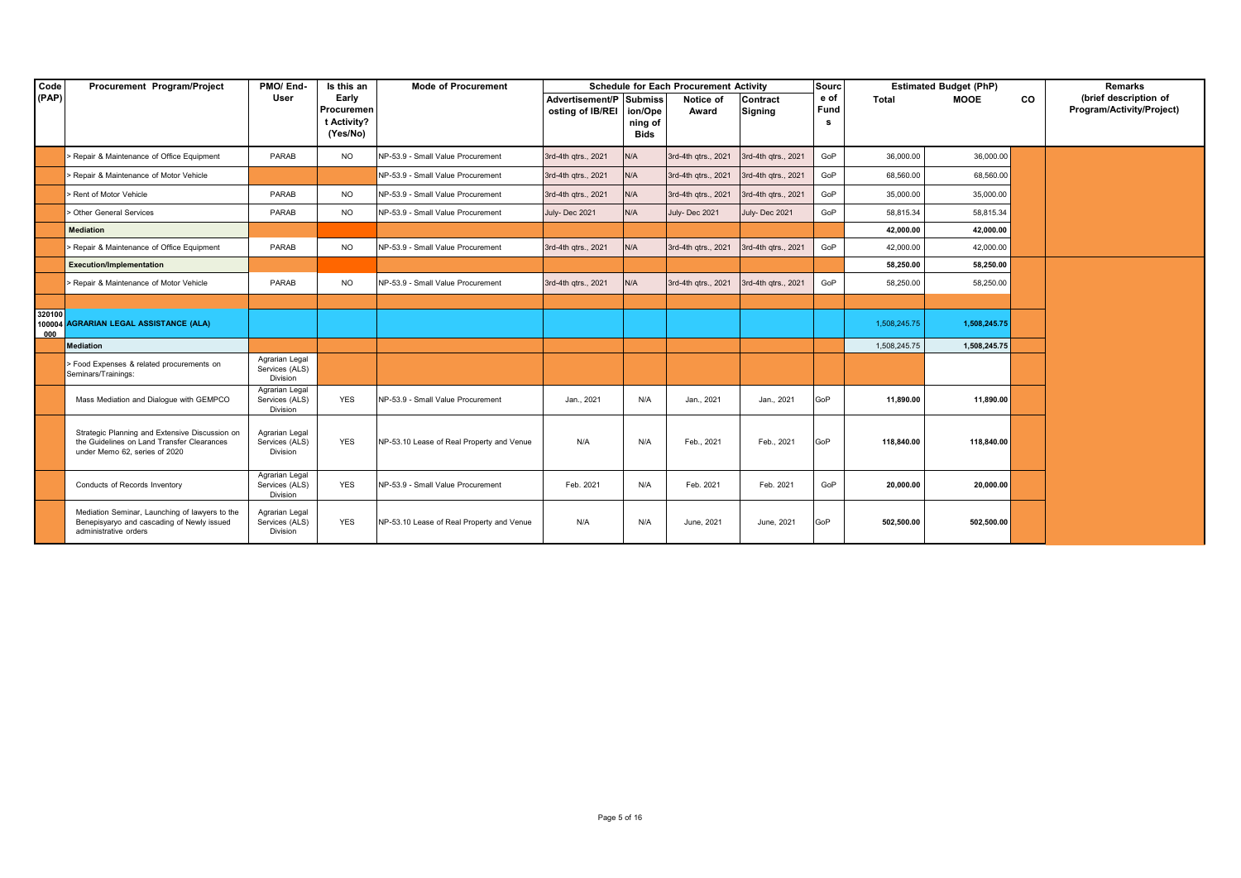| Code          | Procurement Program/Project                                                                                                   | PMO/End-                                     | Is this an                                     | <b>Mode of Procurement</b>                |                                             |                            | <b>Schedule for Each Procurement Activity</b> |                            | Sourc              |              | <b>Estimated Budget (PhP)</b> |    | Remarks                                            |
|---------------|-------------------------------------------------------------------------------------------------------------------------------|----------------------------------------------|------------------------------------------------|-------------------------------------------|---------------------------------------------|----------------------------|-----------------------------------------------|----------------------------|--------------------|--------------|-------------------------------|----|----------------------------------------------------|
| (PAP)         |                                                                                                                               | User                                         | Early<br>Procuremer<br>t Activity?<br>(Yes/No) |                                           | Advertisement/P Submiss<br>osting of IB/REI | ion/Ope<br>ning of<br>Bids | Notice of<br>Award                            | Contract<br><b>Signing</b> | e of<br>Fund<br>s. | Total        | <b>MOOE</b>                   | CO | (brief description of<br>Program/Activity/Project) |
|               |                                                                                                                               |                                              |                                                |                                           |                                             |                            |                                               |                            |                    |              |                               |    |                                                    |
|               | > Repair & Maintenance of Office Equipment                                                                                    | PARAB                                        | <b>NO</b>                                      | NP-53.9 - Small Value Procurement         | 3rd-4th qtrs., 2021                         | N/A                        | 3rd-4th qtrs., 2021                           | 3rd-4th qtrs., 2021        | GoP                | 36,000.00    | 36,000.00                     |    |                                                    |
|               | > Repair & Maintenance of Motor Vehicle                                                                                       |                                              |                                                | NP-53.9 - Small Value Procurement         | 3rd-4th qtrs., 2021                         | N/A                        | 3rd-4th qtrs., 2021                           | 3rd-4th qtrs., 2021        | GoP                | 68,560.00    | 68,560.00                     |    |                                                    |
|               | > Rent of Motor Vehicle                                                                                                       | PARAB                                        | <b>NO</b>                                      | NP-53.9 - Small Value Procurement         | 3rd-4th qtrs., 2021                         | N/A                        | 3rd-4th qtrs., 2021                           | 3rd-4th qtrs., 2021        | GoP                | 35,000.00    | 35,000.00                     |    |                                                    |
|               | Other General Services                                                                                                        | PARAB                                        | <b>NO</b>                                      | NP-53.9 - Small Value Procurement         | July-Dec 2021                               | N/A                        | July-Dec 2021                                 | July-Dec 2021              | GoP                | 58.815.34    | 58,815.34                     |    |                                                    |
|               | <b>Mediation</b>                                                                                                              |                                              |                                                |                                           |                                             |                            |                                               |                            |                    | 42,000.00    | 42,000.00                     |    |                                                    |
|               | > Repair & Maintenance of Office Equipment                                                                                    | PARAB                                        | <b>NO</b>                                      | NP-53.9 - Small Value Procurement         | 3rd-4th qtrs., 2021                         | N/A                        | 3rd-4th qtrs., 2021                           | 3rd-4th qtrs., 2021        | GoP                | 42,000.00    | 42.000.00                     |    |                                                    |
|               | <b>Execution/Implementation</b>                                                                                               |                                              |                                                |                                           |                                             |                            |                                               |                            |                    | 58,250.00    | 58,250.00                     |    |                                                    |
|               | > Repair & Maintenance of Motor Vehicle                                                                                       | PARAB                                        | <b>NO</b>                                      | NP-53.9 - Small Value Procurement         | 3rd-4th qtrs., 2021                         | N/A                        | 3rd-4th qtrs., 2021                           | 3rd-4th qtrs., 2021        | GoP                | 58,250.00    | 58,250.00                     |    |                                                    |
|               |                                                                                                                               |                                              |                                                |                                           |                                             |                            |                                               |                            |                    |              |                               |    |                                                    |
| 320100<br>000 | 100004 AGRARIAN LEGAL ASSISTANCE (ALA)                                                                                        |                                              |                                                |                                           |                                             |                            |                                               |                            |                    | 1,508,245.75 | 1,508,245.75                  |    |                                                    |
|               | Mediation                                                                                                                     |                                              |                                                |                                           |                                             |                            |                                               |                            |                    | 1,508,245.75 | 1,508,245.75                  |    |                                                    |
|               | > Food Expenses & related procurements on<br>Seminars/Trainings:                                                              | Agrarian Legal<br>Services (ALS)<br>Division |                                                |                                           |                                             |                            |                                               |                            |                    |              |                               |    |                                                    |
|               | Mass Mediation and Dialogue with GEMPCO                                                                                       | Agrarian Legal<br>Services (ALS)<br>Division | YES                                            | NP-53.9 - Small Value Procurement         | Jan., 2021                                  | N/A                        | Jan., 2021                                    | Jan., 2021                 | GoP                | 11,890.00    | 11,890.00                     |    |                                                    |
|               | Strategic Planning and Extensive Discussion on<br>the Guidelines on Land Transfer Clearances<br>under Memo 62, series of 2020 | Agrarian Legal<br>Services (ALS)<br>Division | <b>YES</b>                                     | NP-53.10 Lease of Real Property and Venue | N/A                                         | N/A                        | Feb., 2021                                    | Feb., 2021                 | GoP                | 118,840.00   | 118,840.00                    |    |                                                    |
|               | Conducts of Records Inventory                                                                                                 | Agrarian Legal<br>Services (ALS)<br>Division | <b>YES</b>                                     | NP-53.9 - Small Value Procurement         | Feb. 2021                                   | N/A                        | Feb. 2021                                     | Feb. 2021                  | GoP                | 20.000.00    | 20,000.00                     |    |                                                    |
|               | Mediation Seminar, Launching of lawyers to the<br>Benepisyaryo and cascading of Newly issued<br>administrative orders         | Agrarian Legal<br>Services (ALS)<br>Division | <b>YES</b>                                     | NP-53.10 Lease of Real Property and Venue | N/A                                         | N/A                        | June, 2021                                    | June, 2021                 | GoP                | 502,500.00   | 502,500.00                    |    |                                                    |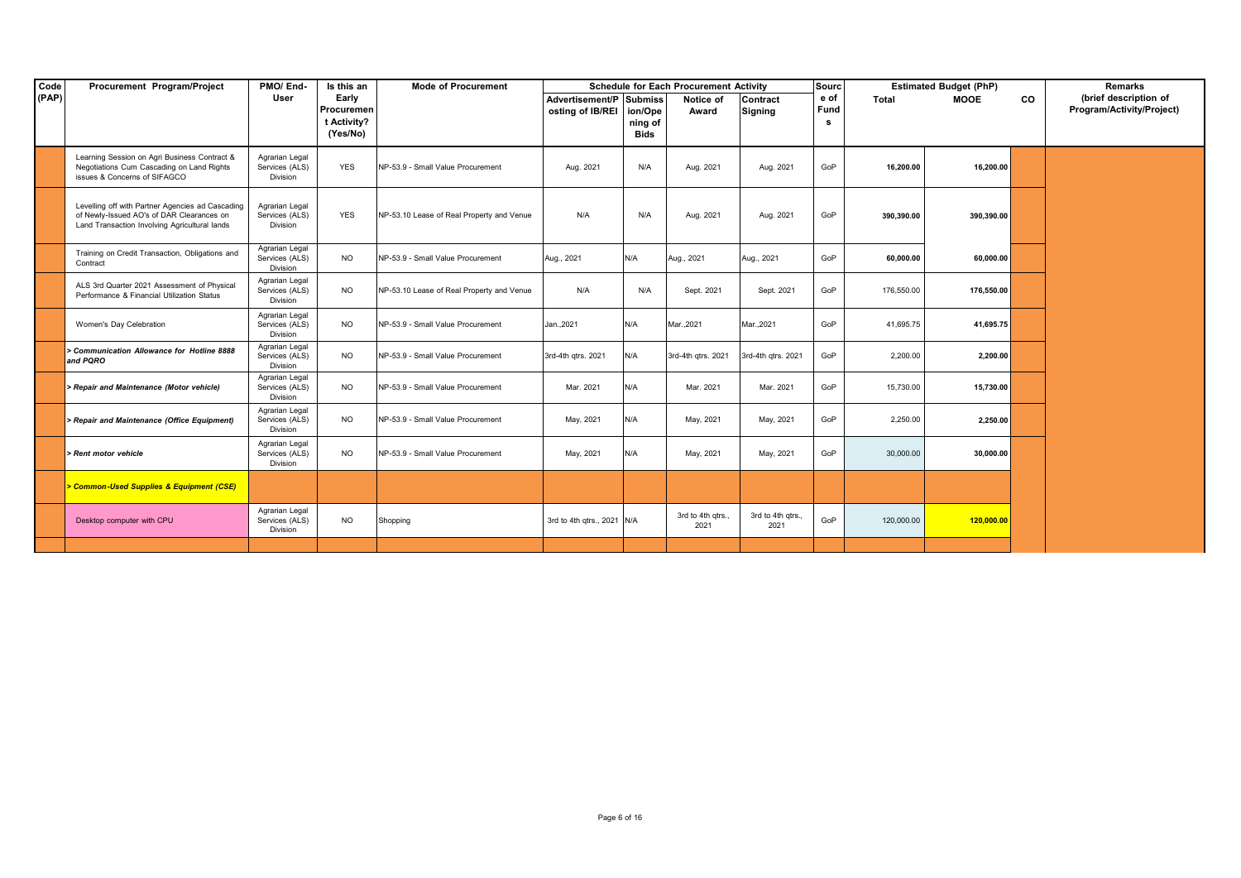| Code  | Procurement Program/Project                                                                                                                    | PMO/End-                                     | Is this an                                     | <b>Mode of Procurement</b>                |                                             |                            | <b>Schedule for Each Procurement Activity</b> |                           | <b>Sourc</b> |            | <b>Estimated Budget (PhP)</b> |    | Remarks                                            |
|-------|------------------------------------------------------------------------------------------------------------------------------------------------|----------------------------------------------|------------------------------------------------|-------------------------------------------|---------------------------------------------|----------------------------|-----------------------------------------------|---------------------------|--------------|------------|-------------------------------|----|----------------------------------------------------|
| (PAP) |                                                                                                                                                | User                                         | Early<br>Procuremen<br>t Activity?<br>(Yes/No) |                                           | Advertisement/P Submiss<br>osting of IB/REI | ion/Ope<br>ning of<br>Bids | Notice of<br>Award                            | Contract<br>Signing       | e of<br>Fund | Total      | MOOE                          | CO | (brief description of<br>Program/Activity/Project) |
|       | Learning Session on Agri Business Contract &<br>Negotiations Cum Cascading on Land Rights<br>issues & Concerns of SIFAGCO                      | Agrarian Legal<br>Services (ALS)<br>Division | <b>YES</b>                                     | NP-53.9 - Small Value Procurement         | Aug. 2021                                   | N/A                        | Aug. 2021                                     | Aug. 2021                 | GoP          | 16.200.00  | 16,200.00                     |    |                                                    |
|       | Levelling off with Partner Agencies ad Cascading<br>of Newly-Issued AO's of DAR Clearances on<br>Land Transaction Involving Agricultural lands | Agrarian Legal<br>Services (ALS)<br>Division | <b>YES</b>                                     | NP-53.10 Lease of Real Property and Venue | N/A                                         | N/A                        | Aug. 2021                                     | Aug. 2021                 | GoP          | 390,390.00 | 390,390.00                    |    |                                                    |
|       | Training on Credit Transaction, Obligations and<br>Contract                                                                                    | Agrarian Legal<br>Services (ALS)<br>Division | <b>NO</b>                                      | NP-53.9 - Small Value Procurement         | Aug., 2021                                  | N/A                        | Aug., 2021                                    | Aug., 2021                | GoP          | 60,000.00  | 60,000.00                     |    |                                                    |
|       | ALS 3rd Quarter 2021 Assessment of Physical<br>Performance & Financial Utilization Status                                                      | Agrarian Legal<br>Services (ALS)<br>Division | <b>NO</b>                                      | NP-53.10 Lease of Real Property and Venue | N/A                                         | N/A                        | Sept. 2021                                    | Sept. 2021                | GoP          | 176,550.00 | 176,550.00                    |    |                                                    |
|       | Women's Day Celebration                                                                                                                        | Agrarian Legal<br>Services (ALS)<br>Division | <b>NO</b>                                      | NP-53.9 - Small Value Procurement         | Jan., 2021                                  | N/A                        | Mar., 2021                                    | Mar., 2021                | GoP          | 41,695.75  | 41,695.75                     |    |                                                    |
|       | > Communication Allowance for Hotline 8888<br>and PQRO                                                                                         | Agrarian Legal<br>Services (ALS)<br>Division | <b>NO</b>                                      | NP-53.9 - Small Value Procurement         | 3rd-4th qtrs. 2021                          | N/A                        | 3rd-4th qtrs. 2021                            | 3rd-4th qtrs. 2021        | GoP          | 2,200.00   | 2,200.00                      |    |                                                    |
|       | > Repair and Maintenance (Motor vehicle)                                                                                                       | Agrarian Legal<br>Services (ALS)<br>Division | <b>NO</b>                                      | NP-53.9 - Small Value Procurement         | Mar. 2021                                   | N/A                        | Mar. 2021                                     | Mar. 2021                 | GoP          | 15,730.00  | 15,730.00                     |    |                                                    |
|       | > Repair and Maintenance (Office Equipment)                                                                                                    | Agrarian Legal<br>Services (ALS)<br>Division | <b>NO</b>                                      | NP-53.9 - Small Value Procurement         | May, 2021                                   | N/A                        | May, 2021                                     | May, 2021                 | GoP          | 2,250.00   | 2,250.00                      |    |                                                    |
|       | > Rent motor vehicle                                                                                                                           | Agrarian Legal<br>Services (ALS)<br>Division | <b>NO</b>                                      | NP-53.9 - Small Value Procurement         | May, 2021                                   | N/A                        | May, 2021                                     | May, 2021                 | GoP          | 30,000.00  | 30,000.00                     |    |                                                    |
|       | > Common-Used Supplies & Equipment (CSE)                                                                                                       |                                              |                                                |                                           |                                             |                            |                                               |                           |              |            |                               |    |                                                    |
|       | Desktop computer with CPU                                                                                                                      | Agrarian Legal<br>Services (ALS)<br>Division | <b>NO</b>                                      | Shopping                                  | 3rd to 4th qtrs., 2021 N/A                  |                            | 3rd to 4th gtrs.<br>2021                      | 3rd to 4th gtrs.,<br>2021 | GoP          | 120,000.00 | 120,000.00                    |    |                                                    |
|       |                                                                                                                                                |                                              |                                                |                                           |                                             |                            |                                               |                           |              |            |                               |    |                                                    |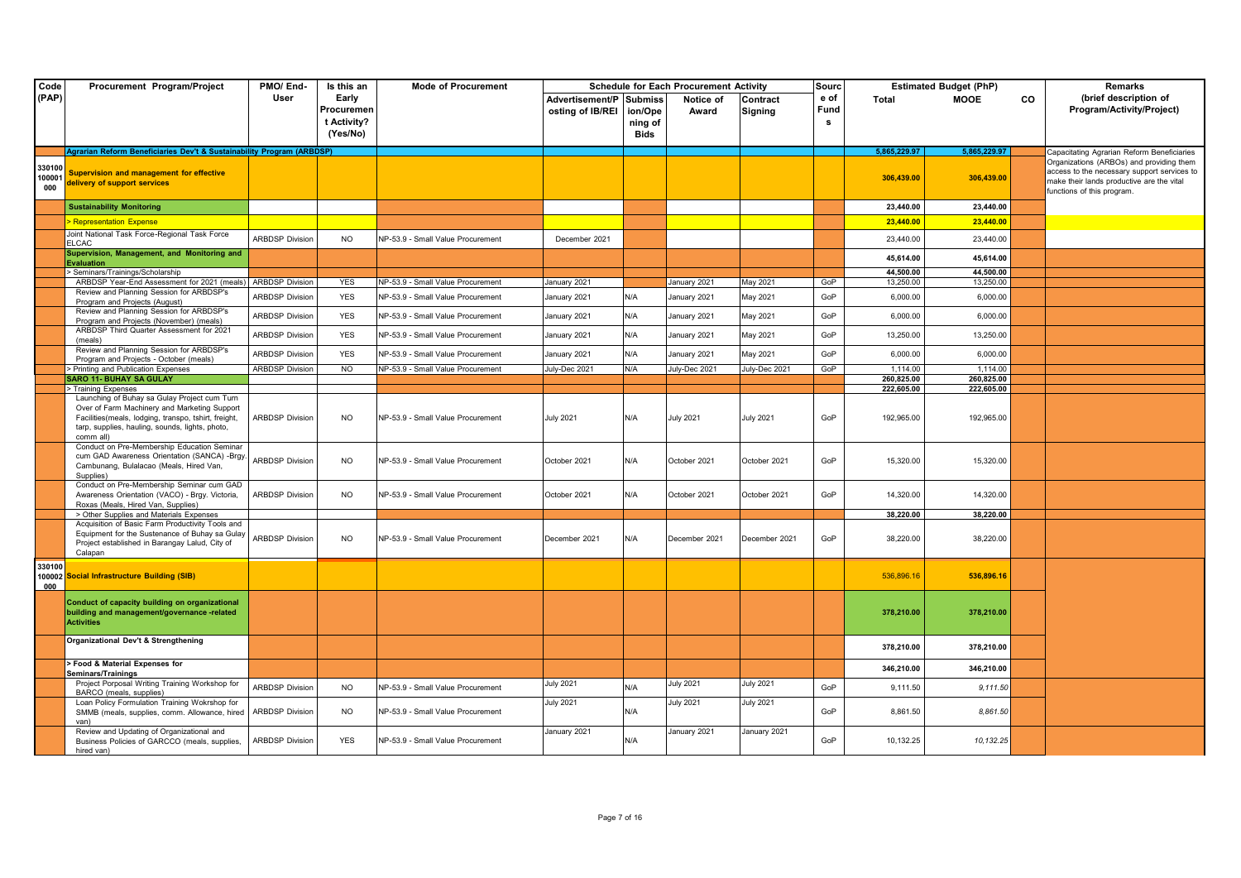| Code                    | Procurement Program/Project                                                                                                                                                                                          | PMO/End-               | Is this an                                     | <b>Mode of Procurement</b>        |                                             |                                   | <b>Schedule for Each Procurement Activity</b> |                     | Sourc             |                          | <b>Estimated Budget (PhP)</b> |    | Remarks                                                                                                                                                            |
|-------------------------|----------------------------------------------------------------------------------------------------------------------------------------------------------------------------------------------------------------------|------------------------|------------------------------------------------|-----------------------------------|---------------------------------------------|-----------------------------------|-----------------------------------------------|---------------------|-------------------|--------------------------|-------------------------------|----|--------------------------------------------------------------------------------------------------------------------------------------------------------------------|
| (PAP)                   |                                                                                                                                                                                                                      | User                   | Early<br>Procuremen<br>t Activity?<br>(Yes/No) |                                   | Advertisement/P Submiss<br>osting of IB/REI | ion/Ope<br>ning of<br><b>Bids</b> | Notice of<br>Award                            | Contract<br>Signing | e of<br>Fund<br>s | Total                    | <b>MOOE</b>                   | CO | (brief description of<br>Program/Activity/Project)                                                                                                                 |
|                         | Agrarian Reform Beneficiaries Dev't & Sustainability Program (ARBDSP)                                                                                                                                                |                        |                                                |                                   |                                             |                                   |                                               |                     |                   | 5.865.229.97             | 5.865.229.97                  |    | Capacitating Agrarian Reform Beneficiaries                                                                                                                         |
| 330100<br>100001<br>000 | <b>Supervision and management for effective</b><br>delivery of support services                                                                                                                                      |                        |                                                |                                   |                                             |                                   |                                               |                     |                   | 306,439.00               | 306,439.00                    |    | Organizations (ARBOs) and providing them<br>access to the necessary support services to<br>make their lands productive are the vital<br>functions of this program. |
|                         | <b>Sustainability Monitoring</b>                                                                                                                                                                                     |                        |                                                |                                   |                                             |                                   |                                               |                     |                   | 23,440.00                | 23,440.00                     |    |                                                                                                                                                                    |
|                         | <b>Representation Expense</b>                                                                                                                                                                                        |                        |                                                |                                   |                                             |                                   |                                               |                     |                   | 23,440.00                | 23,440.00                     |    |                                                                                                                                                                    |
|                         | Joint National Task Force-Regional Task Force<br><b>ELCAC</b>                                                                                                                                                        | <b>ARBDSP Division</b> | <b>NO</b>                                      | NP-53.9 - Small Value Procurement | December 2021                               |                                   |                                               |                     |                   | 23,440.00                | 23,440.00                     |    |                                                                                                                                                                    |
|                         | Supervision, Management, and Monitoring and<br>Evaluation                                                                                                                                                            |                        |                                                |                                   |                                             |                                   |                                               |                     |                   | 45,614.00                | 45,614.00                     |    |                                                                                                                                                                    |
|                         | Seminars/Trainings/Scholarship                                                                                                                                                                                       |                        |                                                |                                   |                                             |                                   |                                               |                     |                   | 44,500.00                | 44,500.00                     |    |                                                                                                                                                                    |
|                         | ARBDSP Year-End Assessment for 2021 (meals)                                                                                                                                                                          | <b>ARBDSP Division</b> | <b>YES</b>                                     | NP-53.9 - Small Value Procurement | January 2021                                |                                   | January 2021                                  | May 2021            | GoP               | 13,250.00                | 13,250.00                     |    |                                                                                                                                                                    |
|                         | Review and Planning Session for ARBDSP's<br>Program and Projects (August)                                                                                                                                            | <b>ARBDSP Division</b> | <b>YES</b>                                     | NP-53.9 - Small Value Procurement | January 2021                                | N/A                               | January 2021                                  | May 2021            | GoP               | 6,000.00                 | 6,000.00                      |    |                                                                                                                                                                    |
|                         | Review and Planning Session for ARBDSP's<br>Program and Projects (November) (meals)                                                                                                                                  | <b>ARBDSP Division</b> | <b>YES</b>                                     | NP-53.9 - Small Value Procurement | January 2021                                | N/A                               | January 2021                                  | May 2021            | GoP               | 6,000.00                 | 6,000.00                      |    |                                                                                                                                                                    |
|                         | ARBDSP Third Quarter Assessment for 2021<br>(meals)                                                                                                                                                                  | <b>ARBDSP Division</b> | <b>YES</b>                                     | NP-53.9 - Small Value Procurement | January 2021                                | N/A                               | January 2021                                  | May 2021            | GoP               | 13,250.00                | 13,250.00                     |    |                                                                                                                                                                    |
|                         | Review and Planning Session for ARBDSP's<br>Program and Projects - October (meals)                                                                                                                                   | <b>ARBDSP Division</b> | <b>YES</b>                                     | NP-53.9 - Small Value Procurement | January 2021                                | N/A                               | January 2021                                  | May 2021            | GoP               | 6,000.00                 | 6,000.00                      |    |                                                                                                                                                                    |
|                         | > Printing and Publication Expenses                                                                                                                                                                                  | <b>ARBDSP Division</b> | <b>NO</b>                                      | NP-53.9 - Small Value Procurement | July-Dec 2021                               | N/A                               | July-Dec 2021                                 | July-Dec 2021       | GoP               | 1.114.00                 | 1.114.00                      |    |                                                                                                                                                                    |
|                         | <b>SARO 11- BUHAY SA GULAY</b><br>> Training Expenses                                                                                                                                                                |                        |                                                |                                   |                                             |                                   |                                               |                     |                   | 260,825.00<br>222,605.00 | 260,825.00<br>222.605.00      |    |                                                                                                                                                                    |
|                         | Launching of Buhay sa Gulay Project cum Turn<br>Over of Farm Machinery and Marketing Support<br>Facilities(meals, lodging, transpo, tshirt, freight,<br>tarp, supplies, hauling, sounds, lights, photo,<br>comm all) | <b>ARBDSP Division</b> | <b>NO</b>                                      | NP-53.9 - Small Value Procurement | <b>July 2021</b>                            | N/A                               | <b>July 2021</b>                              | <b>July 2021</b>    | GoP               | 192,965.00               | 192,965.00                    |    |                                                                                                                                                                    |
|                         | Conduct on Pre-Membership Education Seminar<br>cum GAD Awareness Orientation (SANCA) -Brgy.<br>Cambunang, Bulalacao (Meals, Hired Van,<br>Supplies)                                                                  | <b>ARBDSP Division</b> | NO.                                            | NP-53.9 - Small Value Procurement | October 2021                                | N/A                               | October 2021                                  | October 2021        | GoP               | 15,320.00                | 15,320.00                     |    |                                                                                                                                                                    |
|                         | Conduct on Pre-Membership Seminar cum GAD<br>Awareness Orientation (VACO) - Brgy. Victoria,<br>Roxas (Meals, Hired Van, Supplies)                                                                                    | <b>ARBDSP Division</b> | <b>NO</b>                                      | NP-53.9 - Small Value Procurement | October 2021                                | N/A                               | October 2021                                  | October 2021        | GoP               | 14,320.00                | 14,320.00                     |    |                                                                                                                                                                    |
|                         | > Other Supplies and Materials Expenses                                                                                                                                                                              |                        |                                                |                                   |                                             |                                   |                                               |                     |                   | 38,220.00                | 38,220.00                     |    |                                                                                                                                                                    |
|                         | Acquisition of Basic Farm Productivity Tools and<br>Equipment for the Sustenance of Buhay sa Gulay<br>Project established in Barangay Lalud, City of<br>Calapan                                                      | <b>ARBDSP Division</b> | <b>NO</b>                                      | NP-53.9 - Small Value Procurement | December 2021                               | N/A                               | December 2021                                 | December 2021       | GoP               | 38,220.00                | 38,220.00                     |    |                                                                                                                                                                    |
| 330100<br>100002<br>000 | <b>Social Infrastructure Building (SIB)</b>                                                                                                                                                                          |                        |                                                |                                   |                                             |                                   |                                               |                     |                   | 536,896.16               | 536,896.16                    |    |                                                                                                                                                                    |
|                         | Conduct of capacity building on organizational<br>building and management/governance-related<br><b>Activities</b>                                                                                                    |                        |                                                |                                   |                                             |                                   |                                               |                     |                   | 378,210.00               | 378,210.00                    |    |                                                                                                                                                                    |
|                         | Organizational Dev't & Strengthening                                                                                                                                                                                 |                        |                                                |                                   |                                             |                                   |                                               |                     |                   | 378,210.00               | 378,210.00                    |    |                                                                                                                                                                    |
|                         | Food & Material Expenses for<br>Seminars/Trainings                                                                                                                                                                   |                        |                                                |                                   |                                             |                                   |                                               |                     |                   | 346,210.00               | 346,210.00                    |    |                                                                                                                                                                    |
|                         | Project Porposal Writing Training Workshop for<br>BARCO (meals, supplies)                                                                                                                                            | <b>ARBDSP Division</b> | <b>NO</b>                                      | NP-53.9 - Small Value Procurement | July 2021                                   | N/A                               | <b>July 2021</b>                              | <b>July 2021</b>    | GoP               | 9,111.50                 | 9,111.50                      |    |                                                                                                                                                                    |
|                         | Loan Policy Formulation Training Wokrshop for<br>SMMB (meals, supplies, comm. Allowance, hired                                                                                                                       | <b>ARBDSP Division</b> | <b>NO</b>                                      | NP-53.9 - Small Value Procurement | <b>July 2021</b>                            | N/A                               | <b>July 2021</b>                              | <b>July 2021</b>    | GoP               | 8,861.50                 | 8,861.50                      |    |                                                                                                                                                                    |
|                         | Review and Updating of Organizational and<br>Business Policies of GARCCO (meals, supplies,<br>hired van)                                                                                                             | <b>ARBDSP Division</b> | <b>YES</b>                                     | NP-53.9 - Small Value Procurement | January 2021                                | N/A                               | January 2021                                  | January 2021        | GoP               | 10,132.25                | 10, 132.25                    |    |                                                                                                                                                                    |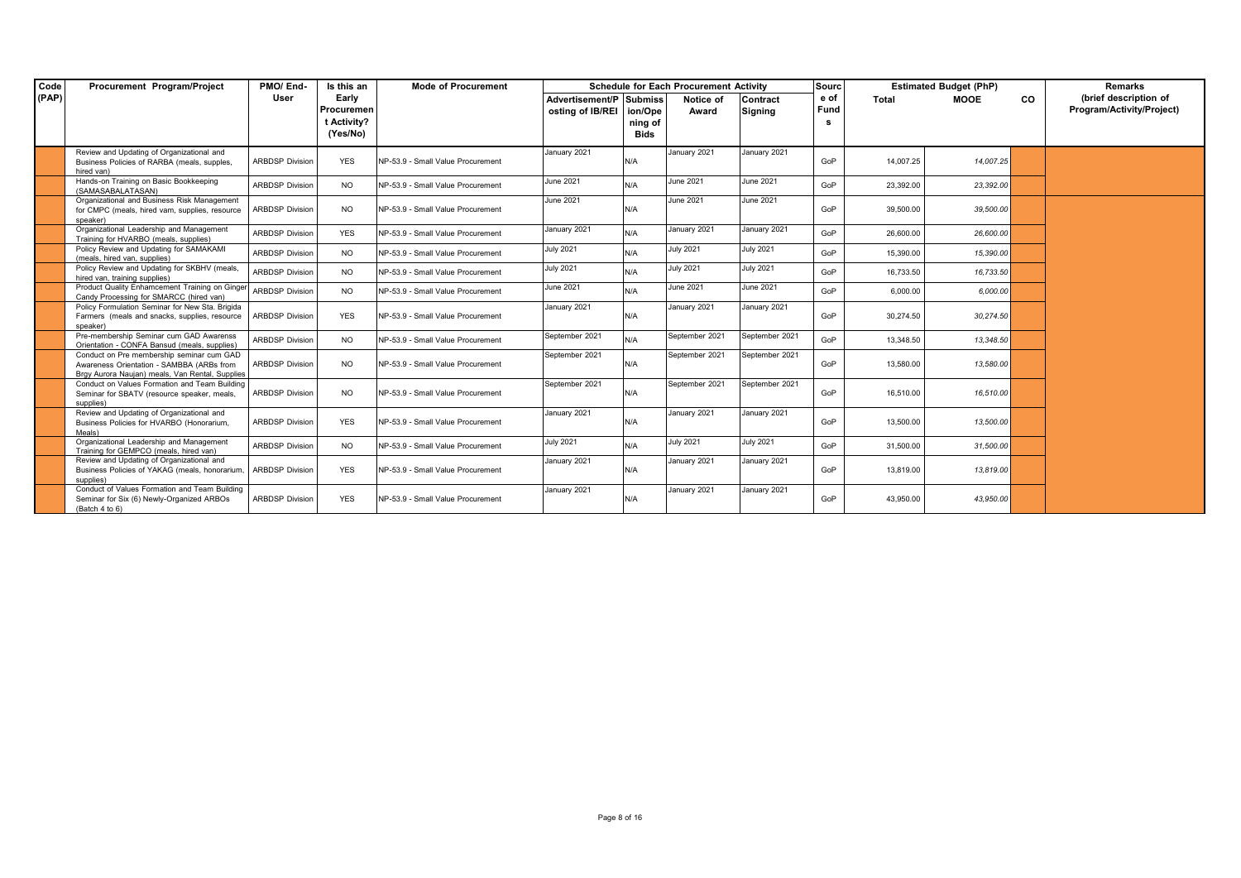| Code  | Procurement Program/Project                                                                                                               | PMO/End-               | Is this an  | <b>Mode of Procurement</b>        |                         |             | <b>Schedule for Each Procurement Activity</b> |                  | Sourc |           | <b>Estimated Budget (PhP)</b> |    | Remarks                   |
|-------|-------------------------------------------------------------------------------------------------------------------------------------------|------------------------|-------------|-----------------------------------|-------------------------|-------------|-----------------------------------------------|------------------|-------|-----------|-------------------------------|----|---------------------------|
| (PAP) |                                                                                                                                           | User                   | Early       |                                   | Advertisement/P Submiss |             | Notice of                                     | Contract         | e of  | Total     | MOOE                          | CO | (brief description of     |
|       |                                                                                                                                           |                        | Procuremen  |                                   | osting of IB/REI        | ion/Ope     | Award                                         | <b>Signing</b>   | Fund  |           |                               |    | Program/Activity/Project) |
|       |                                                                                                                                           |                        | t Activity? |                                   |                         | ning of     |                                               |                  | s.    |           |                               |    |                           |
|       |                                                                                                                                           |                        | (Yes/No)    |                                   |                         | <b>Bids</b> |                                               |                  |       |           |                               |    |                           |
|       | Review and Updating of Organizational and<br>Business Policies of RARBA (meals, supples,<br>hired van)                                    | <b>ARBDSP Division</b> | <b>YES</b>  | NP-53.9 - Small Value Procurement | January 2021            | N/A         | January 2021                                  | January 2021     | GoP   | 14,007.25 | 14,007.25                     |    |                           |
|       | Hands-on Training on Basic Bookkeeping<br>(SAMASABALATASAN)                                                                               | <b>ARBDSP Division</b> | <b>NO</b>   | NP-53.9 - Small Value Procurement | June 2021               | N/A         | June 2021                                     | June 2021        | GoP   | 23,392.00 | 23,392.00                     |    |                           |
|       | Organizational and Business Risk Management<br>for CMPC (meals, hired vam, supplies, resource<br>speaker)                                 | <b>ARBDSP Division</b> | <b>NO</b>   | NP-53.9 - Small Value Procurement | June 2021               | N/A         | June 2021                                     | June 2021        | GoP   | 39,500.00 | 39,500.00                     |    |                           |
|       | Organizational Leadership and Management<br>Training for HVARBO (meals, supplies)                                                         | <b>ARBDSP Division</b> | <b>YES</b>  | NP-53.9 - Small Value Procurement | January 2021            | N/A         | January 2021                                  | January 2021     | GoP   | 26,600.00 | 26,600.00                     |    |                           |
|       | Policy Review and Updating for SAMAKAMI<br>(meals, hired van, supplies)                                                                   | <b>ARBDSP Division</b> | <b>NO</b>   | NP-53.9 - Small Value Procurement | <b>July 2021</b>        | N/A         | <b>July 2021</b>                              | <b>July 2021</b> | GoP   | 15,390.00 | 15,390.00                     |    |                           |
|       | Policy Review and Updating for SKBHV (meals,<br>hired van. training supplies)                                                             | <b>ARBDSP Division</b> | NO.         | NP-53.9 - Small Value Procurement | <b>July 2021</b>        | N/A         | <b>July 2021</b>                              | <b>July 2021</b> | GoP   | 16.733.50 | 16,733.50                     |    |                           |
|       | Product Quality Enhamcement Training on Ginger<br>Candy Processing for SMARCC (hired van)                                                 | <b>ARBDSP Division</b> | <b>NO</b>   | NP-53.9 - Small Value Procurement | June 2021               | N/A         | June 2021                                     | June 2021        | GoP   | 6,000.00  | 6,000.00                      |    |                           |
|       | Policy Formulation Seminar for New Sta. Brigida<br>Farmers (meals and snacks, supplies, resource<br>speaker)                              | <b>ARBDSP Division</b> | <b>YES</b>  | NP-53.9 - Small Value Procurement | January 2021            | N/A         | January 2021                                  | January 2021     | GoP   | 30,274.50 | 30,274.50                     |    |                           |
|       | Pre-membership Seminar cum GAD Awarenss<br>Orientation - CONFA Bansud (meals, supplies)                                                   | <b>ARBDSP Division</b> | <b>NO</b>   | NP-53.9 - Small Value Procurement | September 2021          | N/A         | September 2021                                | September 2021   | GoP   | 13.348.50 | 13,348.50                     |    |                           |
|       | Conduct on Pre membership seminar cum GAD<br>Awareness Orientation - SAMBBA (ARBs from<br>Bray Aurora Naujan) meals, Van Rental, Supplies | <b>ARBDSP Division</b> | NO.         | NP-53.9 - Small Value Procurement | September 2021          | N/A         | September 2021                                | September 2021   | GoP   | 13,580.00 | 13,580.00                     |    |                           |
|       | Conduct on Values Formation and Team Building<br>Seminar for SBATV (resource speaker, meals,<br>supplies)                                 | <b>ARBDSP Division</b> | <b>NO</b>   | NP-53.9 - Small Value Procurement | September 2021          | N/A         | September 2021                                | September 2021   | GoP   | 16.510.00 | 16,510.00                     |    |                           |
|       | Review and Updating of Organizational and<br>Business Policies for HVARBO (Honorarium,<br>Meals)                                          | <b>ARBDSP Division</b> | <b>YES</b>  | NP-53.9 - Small Value Procurement | January 2021            | N/A         | January 2021                                  | January 2021     | GoP   | 13,500.00 | 13,500.00                     |    |                           |
|       | Organizational Leadership and Management<br>Training for GEMPCO (meals, hired van)                                                        | <b>ARBDSP Division</b> | <b>NO</b>   | NP-53.9 - Small Value Procurement | <b>July 2021</b>        | N/A         | <b>July 2021</b>                              | <b>July 2021</b> | GoP   | 31,500.00 | 31,500.00                     |    |                           |
|       | Review and Updating of Organizational and<br>Business Policies of YAKAG (meals, honorarium,<br>supplies)                                  | <b>ARBDSP Division</b> | <b>YES</b>  | NP-53.9 - Small Value Procurement | January 2021            | N/A         | January 2021                                  | January 2021     | GoP   | 13,819.00 | 13,819.00                     |    |                           |
|       | Conduct of Values Formation and Team Building<br>Seminar for Six (6) Newly-Organized ARBOs<br>(Batch 4 to 6)                              | <b>ARBDSP Division</b> | <b>YES</b>  | NP-53.9 - Small Value Procurement | January 2021            | N/A         | January 2021                                  | January 2021     | GoP   | 43,950.00 | 43,950.00                     |    |                           |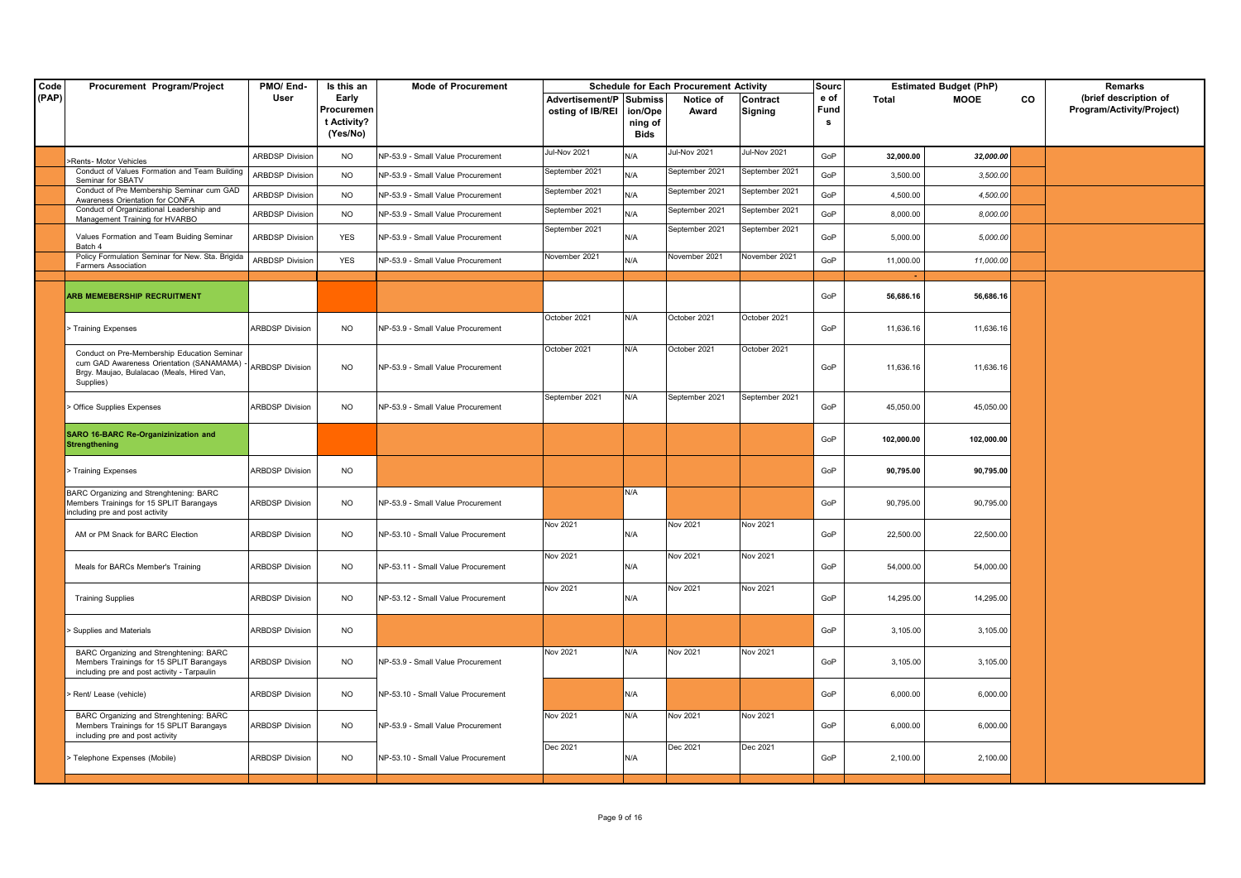| Code  | Procurement Program/Project                                                                                                                                          | PMO/End-               | Is this an                                     | <b>Mode of Procurement</b>         |                                                    |                                   | <b>Schedule for Each Procurement Activity</b> |                     | <b>Sourc</b>      |            | <b>Estimated Budget (PhP)</b> |    | Remarks                                            |
|-------|----------------------------------------------------------------------------------------------------------------------------------------------------------------------|------------------------|------------------------------------------------|------------------------------------|----------------------------------------------------|-----------------------------------|-----------------------------------------------|---------------------|-------------------|------------|-------------------------------|----|----------------------------------------------------|
| (PAP) |                                                                                                                                                                      | User                   | Early<br>Procuremen<br>t Activity?<br>(Yes/No) |                                    | <b>Advertisement/P Submiss</b><br>osting of IB/REI | ion/Ope<br>ning of<br><b>Bids</b> | Notice of<br>Award                            | Contract<br>Signing | e of<br>Fund<br>s | Total      | MOOE                          | CO | (brief description of<br>Program/Activity/Project) |
|       |                                                                                                                                                                      | <b>ARBDSP Division</b> | <b>NO</b>                                      | NP-53.9 - Small Value Procurement  | Jul-Nov 2021                                       | N/A                               | Jul-Nov 2021                                  | Jul-Nov 2021        | GoP               | 32,000.00  | 32,000.00                     |    |                                                    |
|       | -Rents- Motor Vehicles<br>Conduct of Values Formation and Team Building                                                                                              | <b>ARBDSP Division</b> | <b>NO</b>                                      | NP-53.9 - Small Value Procurement  | September 2021                                     | N/A                               | September 2021                                | September 2021      | GoP               | 3,500.00   | 3,500.00                      |    |                                                    |
|       | Seminar for SBATV<br>Conduct of Pre Membership Seminar cum GAD<br>Awareness Orientation for CONFA                                                                    | <b>ARBDSP Division</b> | <b>NO</b>                                      | NP-53.9 - Small Value Procurement  | September 2021                                     | N/A                               | September 2021                                | September 2021      | GoP               | 4,500.00   | 4,500.00                      |    |                                                    |
|       | Conduct of Organizational Leadership and<br>Management Training for HVARBO                                                                                           | <b>ARBDSP Division</b> | <b>NO</b>                                      | NP-53.9 - Small Value Procurement  | September 2021                                     | N/A                               | September 2021                                | September 2021      | GoP               | 8,000.00   | 8,000.00                      |    |                                                    |
|       | Values Formation and Team Buiding Seminar<br>Batch 4                                                                                                                 | <b>ARBDSP Division</b> | YES                                            | NP-53.9 - Small Value Procurement  | September 2021                                     | N/A                               | September 2021                                | September 2021      | GoP               | 5,000.00   | 5,000.00                      |    |                                                    |
|       | Policy Formulation Seminar for New. Sta. Brigida<br><b>Farmers Association</b>                                                                                       | <b>ARBDSP Division</b> | <b>YES</b>                                     | NP-53.9 - Small Value Procurement  | November 2021                                      | N/A                               | November 2021                                 | November 2021       | GoP               | 11,000.00  | 11,000.00                     |    |                                                    |
|       | ARB MEMEBERSHIP RECRUITMENT                                                                                                                                          |                        |                                                |                                    |                                                    |                                   |                                               |                     | GoP               | 56,686.16  | 56,686.16                     |    |                                                    |
|       | Training Expenses                                                                                                                                                    | <b>ARBDSP Division</b> | <b>NO</b>                                      | NP-53.9 - Small Value Procurement  | October 2021                                       | N/A                               | October 2021                                  | October 2021        | GoP               | 11,636.16  | 11,636.16                     |    |                                                    |
|       | Conduct on Pre-Membership Education Seminar<br>cum GAD Awareness Orientation (SANAMAMA) - ARBDSP Division<br>Brgy. Maujao, Bulalacao (Meals, Hired Van,<br>Supplies) |                        | <b>NO</b>                                      | NP-53.9 - Small Value Procurement  | October 2021                                       | N/A                               | October 2021                                  | October 2021        | GoP               | 11,636.16  | 11,636.16                     |    |                                                    |
|       | Office Supplies Expenses                                                                                                                                             | <b>ARBDSP Division</b> | <b>NO</b>                                      | NP-53.9 - Small Value Procurement  | September 2021                                     | N/A                               | September 2021                                | September 2021      | GoP               | 45,050.00  | 45.050.00                     |    |                                                    |
|       | SARO 16-BARC Re-Organizinization and<br><b>Strengthening</b>                                                                                                         |                        |                                                |                                    |                                                    |                                   |                                               |                     | GoP               | 102,000.00 | 102,000.00                    |    |                                                    |
|       | Training Expenses                                                                                                                                                    | <b>ARBDSP Division</b> | <b>NO</b>                                      |                                    |                                                    |                                   |                                               |                     | GoP               | 90,795.00  | 90,795.00                     |    |                                                    |
|       | BARC Organizing and Strenghtening: BARC<br>Members Trainings for 15 SPLIT Barangays<br>ncluding pre and post activity                                                | <b>ARBDSP Division</b> | <b>NO</b>                                      | NP-53.9 - Small Value Procurement  |                                                    | N/A                               |                                               |                     | GoP               | 90,795.00  | 90,795.00                     |    |                                                    |
|       | AM or PM Snack for BARC Election                                                                                                                                     | <b>ARBDSP Division</b> | <b>NO</b>                                      | NP-53.10 - Small Value Procurement | Nov 2021                                           | N/A                               | Nov 2021                                      | Nov 2021            | GoP               | 22,500.00  | 22,500.00                     |    |                                                    |
|       | Meals for BARCs Member's Training                                                                                                                                    | <b>ARBDSP Division</b> | <b>NO</b>                                      | NP-53.11 - Small Value Procurement | Nov 2021                                           | N/A                               | Nov 2021                                      | Nov 2021            | GoP               | 54,000.00  | 54,000.00                     |    |                                                    |
|       | <b>Training Supplies</b>                                                                                                                                             | <b>ARBDSP Division</b> | <b>NO</b>                                      | NP-53.12 - Small Value Procurement | <b>Nov 2021</b>                                    | N/A                               | Nov 2021                                      | <b>Nov 2021</b>     | GoP               | 14,295.00  | 14,295.00                     |    |                                                    |
|       | Supplies and Materials                                                                                                                                               | <b>ARBDSP Division</b> | <b>NO</b>                                      |                                    |                                                    |                                   |                                               |                     | GoP               | 3,105.00   | 3,105.00                      |    |                                                    |
|       | BARC Organizing and Strenghtening: BARC<br>Members Trainings for 15 SPLIT Barangays<br>including pre and post activity - Tarpaulin                                   | <b>ARBDSP Division</b> | <b>NO</b>                                      | NP-53.9 - Small Value Procurement  | Nov 2021                                           | N/A                               | Nov 2021                                      | Nov 2021            | GoP               | 3,105.00   | 3,105.00                      |    |                                                    |
|       | Rent/ Lease (vehicle)                                                                                                                                                | <b>ARBDSP Division</b> | <b>NO</b>                                      | NP-53.10 - Small Value Procurement |                                                    | N/A                               |                                               |                     | GoP               | 6,000.00   | 6,000.00                      |    |                                                    |
|       | BARC Organizing and Strenghtening: BARC<br>Members Trainings for 15 SPLIT Barangays<br>including pre and post activity                                               | <b>ARBDSP Division</b> | <b>NO</b>                                      | NP-53.9 - Small Value Procurement  | Nov 2021                                           | N/A                               | Nov 2021                                      | Nov 2021            | GoP               | 6,000.00   | 6,000.00                      |    |                                                    |
|       | Telephone Expenses (Mobile)                                                                                                                                          | <b>ARBDSP Division</b> | <b>NO</b>                                      | NP-53.10 - Small Value Procurement | Dec 2021                                           | N/A                               | Dec 2021                                      | Dec 2021            | GoP               | 2,100.00   | 2,100.00                      |    |                                                    |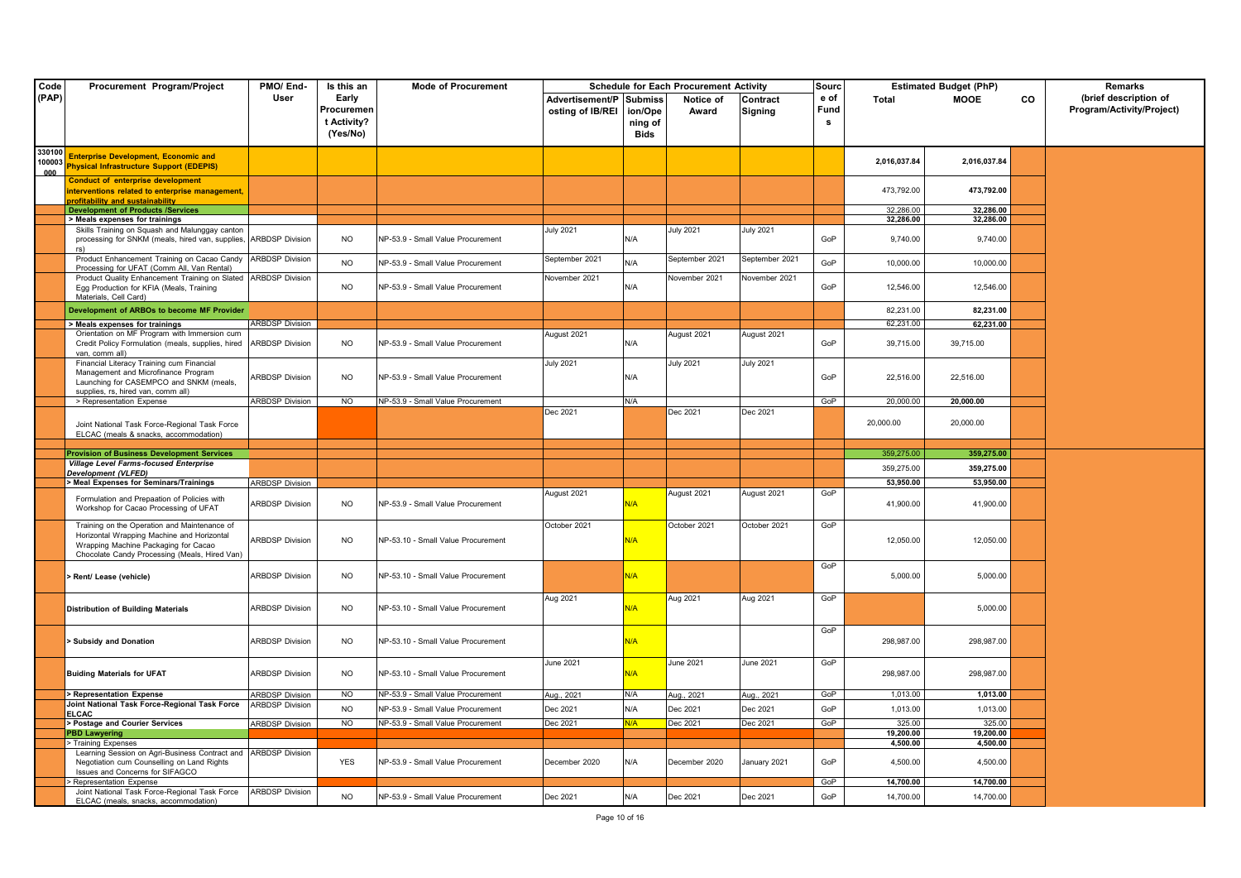| Code                    | Procurement Program/Project                                                                                                                                                         | PMO/End-               | Is this an                                     | <b>Mode of Procurement</b>         |                                             |                            | <b>Schedule for Each Procurement Activity</b> |                                 | Sourc             |                      | <b>Estimated Budget (PhP)</b> |           | Remarks                                            |
|-------------------------|-------------------------------------------------------------------------------------------------------------------------------------------------------------------------------------|------------------------|------------------------------------------------|------------------------------------|---------------------------------------------|----------------------------|-----------------------------------------------|---------------------------------|-------------------|----------------------|-------------------------------|-----------|----------------------------------------------------|
| (PAP)                   |                                                                                                                                                                                     | User                   | Early<br>Procuremen<br>t Activity?<br>(Yes/No) |                                    | Advertisement/P Submiss<br>osting of IB/REI | ion/Ope<br>ning of<br>Bids | Notice of<br>Award                            | Contract<br><b>Signing</b>      | e of<br>Fund<br>s | Total                | <b>MOOE</b>                   | <b>CO</b> | (brief description of<br>Program/Activity/Project) |
| 330100<br>100003<br>000 | <b>Enterprise Development, Economic and</b><br><b>Physical Infrastructure Support (EDEPIS)</b>                                                                                      |                        |                                                |                                    |                                             |                            |                                               |                                 |                   | 2,016,037.84         | 2,016,037.84                  |           |                                                    |
|                         | <b>Conduct of enterprise development</b><br>interventions related to enterprise management,<br><mark>profitability and sustainabilit</mark>                                         |                        |                                                |                                    |                                             |                            |                                               |                                 |                   | 473,792.00           | 473,792.00                    |           |                                                    |
|                         | <b>Development of Products /Services</b>                                                                                                                                            |                        |                                                |                                    |                                             |                            |                                               |                                 |                   | 32,286.00            | 32,286.00                     |           |                                                    |
|                         | > Meals expenses for trainings                                                                                                                                                      |                        |                                                |                                    |                                             |                            |                                               |                                 |                   | 32,286.00            | 32,286.00                     |           |                                                    |
|                         | Skills Training on Squash and Malunggay canton<br>processing for SNKM (meals, hired van, supplies, ARBDSP Division<br>rs)                                                           |                        | <b>NO</b>                                      | NP-53.9 - Small Value Procurement  | <b>July 2021</b>                            | N/A                        | <b>July 2021</b>                              | <b>July 2021</b>                | GoP               | 9,740.00             | 9.740.00                      |           |                                                    |
|                         | Product Enhancement Training on Cacao Candy ARBDSP Division<br>Processing for UFAT (Comm All, Van Rental)<br>Product Quality Enhancement Training on Slated ARBDSP Division         |                        | <b>NO</b>                                      | NP-53.9 - Small Value Procurement  | September 2021<br>November 2021             | N/A                        | September 2021<br>November 2021               | September 2021<br>November 2021 | GoP               | 10,000.00            | 10,000.00                     |           |                                                    |
|                         | Egg Production for KFIA (Meals, Training<br>Materials, Cell Card)                                                                                                                   |                        | NO.                                            | NP-53.9 - Small Value Procurement  |                                             | N/A                        |                                               |                                 | GoP               | 12,546.00            | 12,546.00                     |           |                                                    |
|                         | Development of ARBOs to become MF Provider                                                                                                                                          |                        |                                                |                                    |                                             |                            |                                               |                                 |                   | 82,231.00            | 82,231.00                     |           |                                                    |
|                         | Meals expenses for trainings                                                                                                                                                        | <b>ARBDSP Division</b> |                                                |                                    |                                             |                            |                                               |                                 |                   | 62,231.00            | 62,231.00                     |           |                                                    |
|                         | Orientation on MF Program with Immersion cum<br>Credit Policy Formulation (meals, supplies, hired ARBDSP Division<br>van, comm all)                                                 |                        | <b>NO</b>                                      | NP-53.9 - Small Value Procurement  | August 2021                                 | N/A                        | August 2021                                   | August 2021                     | GoP               | 39,715.00            | 39,715.00                     |           |                                                    |
|                         | Financial Literacy Training cum Financial<br>Management and Microfinance Program<br>Launching for CASEMPCO and SNKM (meals,<br>supplies, rs, hired van, comm all)                   | <b>ARBDSP Division</b> | <b>NO</b>                                      | NP-53.9 - Small Value Procurement  | <b>July 2021</b>                            | N/A                        | <b>July 2021</b>                              | <b>July 2021</b>                | GoP               | 22,516.00            | 22,516.00                     |           |                                                    |
|                         | > Representation Expense                                                                                                                                                            | <b>ARBDSP Division</b> | <b>NO</b>                                      | NP-53.9 - Small Value Procurement  |                                             | N/A                        |                                               |                                 | GoP               | 20,000.00            | 20,000.00                     |           |                                                    |
|                         | Joint National Task Force-Regional Task Force<br>ELCAC (meals & snacks, accommodation)                                                                                              |                        |                                                |                                    | Dec 2021                                    |                            | Dec 2021                                      | Dec 2021                        |                   | 20,000.00            | 20,000.00                     |           |                                                    |
|                         |                                                                                                                                                                                     |                        |                                                |                                    |                                             |                            |                                               |                                 |                   |                      |                               |           |                                                    |
|                         |                                                                                                                                                                                     |                        |                                                |                                    |                                             |                            |                                               |                                 |                   |                      |                               |           |                                                    |
|                         | <b>Provision of Business Development Services</b>                                                                                                                                   |                        |                                                |                                    |                                             |                            |                                               |                                 |                   | 359,275.00           | 359,275.00                    |           |                                                    |
|                         | <b>Village Level Farms-focused Enterprise</b>                                                                                                                                       |                        |                                                |                                    |                                             |                            |                                               |                                 |                   | 359,275.00           | 359,275.00                    |           |                                                    |
|                         | Development (VLFED)<br>Meal Expenses for Seminars/Trainings                                                                                                                         | <b>ARBDSP Division</b> |                                                |                                    |                                             |                            |                                               |                                 |                   | 53,950.00            | 53,950.00                     |           |                                                    |
|                         | Formulation and Prepaation of Policies with<br>Workshop for Cacao Processing of UFAT                                                                                                | <b>ARBDSP Division</b> | <b>NO</b>                                      | NP-53.9 - Small Value Procurement  | August 2021                                 | N/A                        | August 2021                                   | August 2021                     | GoP               | 41,900.00            | 41,900.00                     |           |                                                    |
|                         | Training on the Operation and Maintenance of<br>Horizontal Wrapping Machine and Horizontal<br>Wrapping Machine Packaging for Cacao<br>Chocolate Candy Processing (Meals, Hired Van) | <b>ARBDSP Division</b> | <b>NO</b>                                      | NP-53.10 - Small Value Procurement | October 2021                                | N/A                        | October 2021                                  | October 2021                    | GoP               | 12,050.00            | 12,050.00                     |           |                                                    |
|                         | Rent/ Lease (vehicle)                                                                                                                                                               | <b>ARBDSP Division</b> | NO.                                            | NP-53.10 - Small Value Procurement |                                             | N/A                        |                                               |                                 | GoP               | 5,000.00             | 5,000.00                      |           |                                                    |
|                         | <b>Distribution of Building Materials</b>                                                                                                                                           | <b>ARBDSP Division</b> | <b>NO</b>                                      | NP-53.10 - Small Value Procurement | Aug 2021                                    | N/A                        | Aug 2021                                      | Aug 2021                        | GoP               |                      | 5,000.00                      |           |                                                    |
|                         | > Subsidy and Donation                                                                                                                                                              | <b>ARBDSP Division</b> | <b>NO</b>                                      | NP-53.10 - Small Value Procurement |                                             | N/A                        |                                               |                                 | GoP               | 298,987.00           | 298,987.00                    |           |                                                    |
|                         | <b>Buiding Materials for UFAT</b>                                                                                                                                                   | <b>ARBDSP Division</b> | <b>NO</b>                                      | NP-53.10 - Small Value Procurement | June 2021                                   | N/A                        | June 2021                                     | June 2021                       | GoP               | 298,987.00           | 298,987.00                    |           |                                                    |
|                         | > Representation Expense                                                                                                                                                            | <b>ARBDSP Division</b> | N <sub>O</sub>                                 | NP-53.9 - Small Value Procurement  | Aug., 2021                                  | N/A                        | Aug., 2021                                    | Aug., 2021                      | GoP               | 1,013.00             | 1,013.00                      |           |                                                    |
|                         | Joint National Task Force-Regional Task Force<br>ELCAC                                                                                                                              | <b>ARBDSP Division</b> | <b>NO</b>                                      | NP-53.9 - Small Value Procurement  | Dec 2021                                    | N/A                        | Dec 2021                                      | Dec 2021                        | GoP               | 1,013.00             | 1,013.00                      |           |                                                    |
|                         | > Postage and Courier Services                                                                                                                                                      | <b>ARBDSP Division</b> | N <sub>O</sub>                                 | NP-53.9 - Small Value Procurement  | Dec 2021                                    | N/A                        | Dec 2021                                      | Dec 2021                        | GoP               | 325.00               | 325.00                        |           |                                                    |
|                         | <b>PBD Lawyering</b>                                                                                                                                                                |                        |                                                |                                    |                                             |                            |                                               |                                 |                   | 19,200.00            | 19,200.00                     |           |                                                    |
|                         | > Training Expenses<br>Learning Session on Agri-Business Contract and ARBDSP Division<br>Negotiation cum Counselling on Land Rights<br>Issues and Concerns for SIFAGCO              |                        | <b>YES</b>                                     | NP-53.9 - Small Value Procurement  | December 2020                               | N/A                        | December 2020                                 | January 2021                    | GoP               | 4,500.00<br>4,500.00 | 4,500.00<br>4,500.00          |           |                                                    |
|                         | Representation Expense<br>Joint National Task Force-Regional Task Force                                                                                                             | <b>ARBDSP Division</b> |                                                |                                    |                                             |                            |                                               |                                 | GoP               | 14.700.00            | 14,700.00                     |           |                                                    |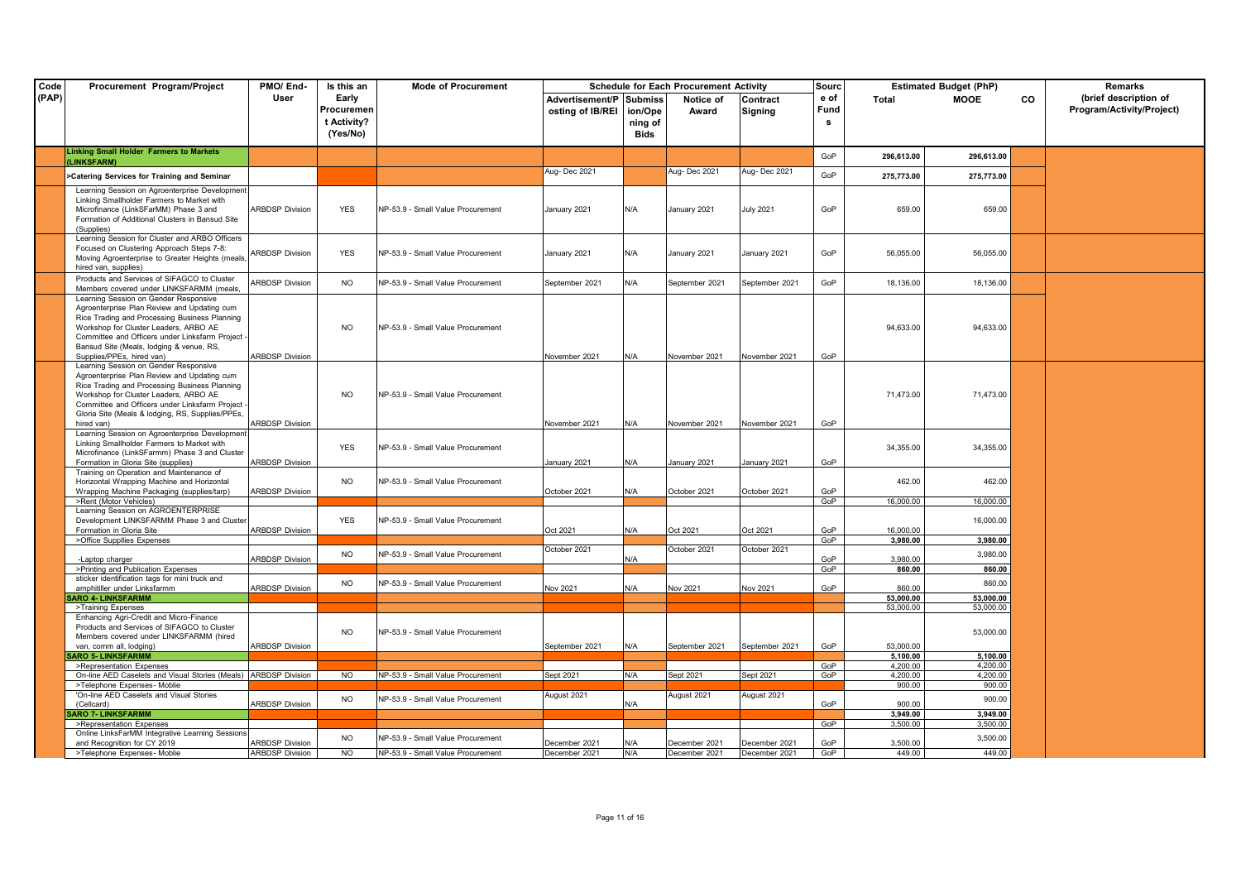| User<br>Early<br>(brief description of<br>Advertisement/P Submiss<br>e of<br><b>MOOE</b><br><b>CO</b><br>Notice of<br>Contract<br>Total<br>Fund<br>Program/Activity/Project)<br>Procuremen<br>osting of IB/REI<br>ion/Ope<br>Award<br>Signing<br>t Activity?<br>ning of<br>s<br>(Yes/No)<br><b>Bids</b><br><b>Linking Small Holder Farmers to Markets</b><br>GoP<br>296,613.00<br>296,613.00<br>(LINKSFARM)<br>Aug-Dec 2021<br>Aug- Dec 2021<br>Aug-Dec 2021<br>GoP<br>>Catering Services for Training and Seminar<br>275,773.00<br>275,773.00<br>Learning Session on Agroenterprise Development<br>Linking Smallholder Farmers to Market with<br><b>ARBDSP Division</b><br>GoP<br>659.00<br>659.00<br>Microfinance (LinkSFarMM) Phase 3 and<br><b>YES</b><br>NP-53.9 - Small Value Procurement<br>January 2021<br>N/A<br>January 2021<br><b>July 2021</b><br>Formation of Additional Clusters in Bansud Site<br>(Supplies)<br>Learning Session for Cluster and ARBO Officers<br>Focused on Clustering Approach Steps 7-8:<br><b>ARBDSP Division</b><br><b>YES</b><br>NP-53.9 - Small Value Procurement<br>January 2021<br>N/A<br>January 2021<br>January 2021<br>GoP<br>56.055.00<br>56.055.00<br>Moving Agroenterprise to Greater Heights (meals,<br>hired van, supplies)<br>Products and Services of SIFAGCO to Cluster<br><b>ARBDSP Division</b><br>GoP<br><b>NO</b><br><b>NP-53.9 - Small Value Procurement</b><br>N/A<br>September 2021<br>September 2021<br>18,136.00<br>18,136.00<br>September 2021<br>Members covered under LINKSFARMM (meals.<br>Learning Session on Gender Responsive<br>Agroenterprise Plan Review and Updating cum<br>Rice Trading and Processing Business Planning<br><b>NO</b><br>94,633.00<br>94,633.00<br>Workshop for Cluster Leaders, ARBO AE<br>NP-53.9 - Small Value Procurement<br>Committee and Officers under Linksfarm Project -<br>Bansud Site (Meals, lodging & venue, RS,<br><b>ARBDSP Division</b><br>Supplies/PPEs, hired van)<br>November 2021<br>N/A<br>November 2021<br>November 2021<br>GoP<br>Learning Session on Gender Responsive<br>Agroenterprise Plan Review and Updating cum<br>Rice Trading and Processing Business Planning<br>Workshop for Cluster Leaders, ARBO AE<br><b>NO</b><br>NP-53.9 - Small Value Procurement<br>71,473.00<br>71,473.00<br>Committee and Officers under Linksfarm Project -<br>Gloria Site (Meals & lodging, RS, Supplies/PPEs,<br><b>ARBDSP Division</b><br>hired van)<br>November 2021<br>N/A<br>November 2021<br>November 2021<br>GoP<br>Learning Session on Agroenterprise Development<br>Linking Smallholder Farmers to Market with<br><b>YES</b><br>NP-53.9 - Small Value Procurement<br>34,355.00<br>34,355.00<br>Microfinance (LinkSFarmm) Phase 3 and Cluster<br><b>ARBDSP Division</b><br>Formation in Gloria Site (supplies)<br>January 2021<br>N/A<br>January 2021<br>January 2021<br>GoP<br>Training on Operation and Maintenance of<br><b>NO</b><br>462.00<br>462.00<br>Horizontal Wrapping Machine and Horizontal<br>NP-53.9 - Small Value Procurement<br><b>ARBDSP_Division</b><br>Wrapping Machine Packaging (supplies/tarp)<br>October 2021<br>N/A<br>October 2021<br>October 2021<br>GoP<br>GoP<br>16,000.00<br>16,000.00<br>>Rent (Motor Vehicles)<br>Learning Session on AGROENTERPRISE<br>Development LINKSFARMM Phase 3 and Cluster<br><b>YES</b><br>NP-53.9 - Small Value Procurement<br>16,000.00<br><b>ARBDSP Division</b><br>Formation in Gloria Site<br>Oct 2021<br>N/A<br>Oct 2021<br>Oct 2021<br>GoP<br>16.000.00<br>GoP<br>3.980.00<br>3,980.00<br>>Office Suppllies Expenses<br>October 2021<br>October 2021<br>October 2021<br>3,980.00<br>NO.<br>NP-53.9 - Small Value Procurement<br><b>ARBDSP Division</b><br>GoP<br>3,980.00<br>N/A<br>-Laptop charger<br>>Printing and Publication Expenses<br>GoP<br>860.00<br>860.00<br>sticker identification tags for mini truck and<br><b>NO</b><br>NP-53.9 - Small Value Procurement<br>860.00<br>amphitiller under Linksfarmm<br><b>ARBDSP Division</b><br>Nov 2021<br>Nov 2021<br>Nov 2021<br>GoP<br>860.00<br>N/A<br><b>SARO 4- LINKSFARMM</b><br>53.000.00<br>53,000.00<br>53,000.00<br>>Training Expenses<br>53.000.00<br>Enhancing Agri-Credit and Micro-Finance<br>Products and Services of SIFAGCO to Cluster<br><b>NO</b><br>NP-53.9 - Small Value Procurement<br>53,000.00<br>Members covered under LINKSFARMM (hired<br>GoP<br>53,000.00<br>van. comm all. lodging)<br><b>ARBDSP Division</b><br>September 2021<br>September 2021 September 2021<br>N/A<br><b>SARO 5- LINKSFARMM</b><br>5.100.00<br>5,100.00<br>>Representation Expenses<br>GoP<br>4.200.00<br>4.200.00<br>On-line AED Caselets and Visual Stories (Meals) ARBDSP Division<br>Sept 2021<br>Sept 2021<br>4.200.00<br>NO<br>NP-53.9 - Small Value Procurement<br>Sept 2021<br>GoP<br>4,200.00<br>N/A<br>>Telephone Expenses- Moblie<br>900.00<br>900.00<br>'On-line AED Caselets and Visual Stories<br>August 2021<br>August 2021<br>August 2021<br>900.00<br>NO.<br>NP-53.9 - Small Value Procurement<br><b>ARBDSP Division</b><br>GoP<br>900.00<br>(Cellcard)<br>N/A<br><b>SARO 7- LINKSFARMM</b><br>3,949.00<br>3,949.00<br>>Representation Expenses<br>GoP<br>3,500.00<br>3,500.00<br>Online LinksFarMM Integrative Learning Sessions<br>NO.<br>NP-53.9 - Small Value Procurement<br>3,500.00<br>and Recognition for CY 2019<br><b>ARBDSP Division</b><br>December 2021<br>December 2021<br>GoP<br>3,500.00<br>ecember 2021<br>N/A<br>449.00<br>>Telephone Expenses- Moblie<br><b>ARBDSP Division</b><br>$\overline{N}$<br>NP-53.9 - Small Value Procurement<br>December 2021<br>N/A<br>December 2021<br>December 2021<br>GoP<br>449.00 | Code  | Procurement Program/Project | PMO/End- | Is this an | <b>Mode of Procurement</b> |  | <b>Schedule for Each Procurement Activity</b> | Sourc | <b>Estimated Budget (PhP)</b> | <b>Remarks</b> |
|--------------------------------------------------------------------------------------------------------------------------------------------------------------------------------------------------------------------------------------------------------------------------------------------------------------------------------------------------------------------------------------------------------------------------------------------------------------------------------------------------------------------------------------------------------------------------------------------------------------------------------------------------------------------------------------------------------------------------------------------------------------------------------------------------------------------------------------------------------------------------------------------------------------------------------------------------------------------------------------------------------------------------------------------------------------------------------------------------------------------------------------------------------------------------------------------------------------------------------------------------------------------------------------------------------------------------------------------------------------------------------------------------------------------------------------------------------------------------------------------------------------------------------------------------------------------------------------------------------------------------------------------------------------------------------------------------------------------------------------------------------------------------------------------------------------------------------------------------------------------------------------------------------------------------------------------------------------------------------------------------------------------------------------------------------------------------------------------------------------------------------------------------------------------------------------------------------------------------------------------------------------------------------------------------------------------------------------------------------------------------------------------------------------------------------------------------------------------------------------------------------------------------------------------------------------------------------------------------------------------------------------------------------------------------------------------------------------------------------------------------------------------------------------------------------------------------------------------------------------------------------------------------------------------------------------------------------------------------------------------------------------------------------------------------------------------------------------------------------------------------------------------------------------------------------------------------------------------------------------------------------------------------------------------------------------------------------------------------------------------------------------------------------------------------------------------------------------------------------------------------------------------------------------------------------------------------------------------------------------------------------------------------------------------------------------------------------------------------------------------------------------------------------------------------------------------------------------------------------------------------------------------------------------------------------------------------------------------------------------------------------------------------------------------------------------------------------------------------------------------------------------------------------------------------------------------------------------------------------------------------------------------------------------------------------------------------------------------------------------------------------------------------------------------------------------------------------------------------------------------------------------------------------------------------------------------------------------------------------------------------------------------------------------------------------------------------------------------------------------------------------------------------------------------------------------------------------------------------------------------------------------------------------------------------------------------------------------------------------------------------------------------------------------------------------------------------------------------------------------------------------------------------------------------------------------------------------------------------------------------------------------------------------------------------------------------------------------------------------------------------------------------------------------------------------------------------------------------------------------------------------------------------------------------------------------------------------------------------------------------------------------------------------------------------------------|-------|-----------------------------|----------|------------|----------------------------|--|-----------------------------------------------|-------|-------------------------------|----------------|
|                                                                                                                                                                                                                                                                                                                                                                                                                                                                                                                                                                                                                                                                                                                                                                                                                                                                                                                                                                                                                                                                                                                                                                                                                                                                                                                                                                                                                                                                                                                                                                                                                                                                                                                                                                                                                                                                                                                                                                                                                                                                                                                                                                                                                                                                                                                                                                                                                                                                                                                                                                                                                                                                                                                                                                                                                                                                                                                                                                                                                                                                                                                                                                                                                                                                                                                                                                                                                                                                                                                                                                                                                                                                                                                                                                                                                                                                                                                                                                                                                                                                                                                                                                                                                                                                                                                                                                                                                                                                                                                                                                                                                                                                                                                                                                                                                                                                                                                                                                                                                                                                                                                                                                                                                                                                                                                                                                                                                                                                                                                                                                                                                                                                                      | (PAP) |                             |          |            |                            |  |                                               |       |                               |                |
|                                                                                                                                                                                                                                                                                                                                                                                                                                                                                                                                                                                                                                                                                                                                                                                                                                                                                                                                                                                                                                                                                                                                                                                                                                                                                                                                                                                                                                                                                                                                                                                                                                                                                                                                                                                                                                                                                                                                                                                                                                                                                                                                                                                                                                                                                                                                                                                                                                                                                                                                                                                                                                                                                                                                                                                                                                                                                                                                                                                                                                                                                                                                                                                                                                                                                                                                                                                                                                                                                                                                                                                                                                                                                                                                                                                                                                                                                                                                                                                                                                                                                                                                                                                                                                                                                                                                                                                                                                                                                                                                                                                                                                                                                                                                                                                                                                                                                                                                                                                                                                                                                                                                                                                                                                                                                                                                                                                                                                                                                                                                                                                                                                                                                      |       |                             |          |            |                            |  |                                               |       |                               |                |
|                                                                                                                                                                                                                                                                                                                                                                                                                                                                                                                                                                                                                                                                                                                                                                                                                                                                                                                                                                                                                                                                                                                                                                                                                                                                                                                                                                                                                                                                                                                                                                                                                                                                                                                                                                                                                                                                                                                                                                                                                                                                                                                                                                                                                                                                                                                                                                                                                                                                                                                                                                                                                                                                                                                                                                                                                                                                                                                                                                                                                                                                                                                                                                                                                                                                                                                                                                                                                                                                                                                                                                                                                                                                                                                                                                                                                                                                                                                                                                                                                                                                                                                                                                                                                                                                                                                                                                                                                                                                                                                                                                                                                                                                                                                                                                                                                                                                                                                                                                                                                                                                                                                                                                                                                                                                                                                                                                                                                                                                                                                                                                                                                                                                                      |       |                             |          |            |                            |  |                                               |       |                               |                |
|                                                                                                                                                                                                                                                                                                                                                                                                                                                                                                                                                                                                                                                                                                                                                                                                                                                                                                                                                                                                                                                                                                                                                                                                                                                                                                                                                                                                                                                                                                                                                                                                                                                                                                                                                                                                                                                                                                                                                                                                                                                                                                                                                                                                                                                                                                                                                                                                                                                                                                                                                                                                                                                                                                                                                                                                                                                                                                                                                                                                                                                                                                                                                                                                                                                                                                                                                                                                                                                                                                                                                                                                                                                                                                                                                                                                                                                                                                                                                                                                                                                                                                                                                                                                                                                                                                                                                                                                                                                                                                                                                                                                                                                                                                                                                                                                                                                                                                                                                                                                                                                                                                                                                                                                                                                                                                                                                                                                                                                                                                                                                                                                                                                                                      |       |                             |          |            |                            |  |                                               |       |                               |                |
|                                                                                                                                                                                                                                                                                                                                                                                                                                                                                                                                                                                                                                                                                                                                                                                                                                                                                                                                                                                                                                                                                                                                                                                                                                                                                                                                                                                                                                                                                                                                                                                                                                                                                                                                                                                                                                                                                                                                                                                                                                                                                                                                                                                                                                                                                                                                                                                                                                                                                                                                                                                                                                                                                                                                                                                                                                                                                                                                                                                                                                                                                                                                                                                                                                                                                                                                                                                                                                                                                                                                                                                                                                                                                                                                                                                                                                                                                                                                                                                                                                                                                                                                                                                                                                                                                                                                                                                                                                                                                                                                                                                                                                                                                                                                                                                                                                                                                                                                                                                                                                                                                                                                                                                                                                                                                                                                                                                                                                                                                                                                                                                                                                                                                      |       |                             |          |            |                            |  |                                               |       |                               |                |
|                                                                                                                                                                                                                                                                                                                                                                                                                                                                                                                                                                                                                                                                                                                                                                                                                                                                                                                                                                                                                                                                                                                                                                                                                                                                                                                                                                                                                                                                                                                                                                                                                                                                                                                                                                                                                                                                                                                                                                                                                                                                                                                                                                                                                                                                                                                                                                                                                                                                                                                                                                                                                                                                                                                                                                                                                                                                                                                                                                                                                                                                                                                                                                                                                                                                                                                                                                                                                                                                                                                                                                                                                                                                                                                                                                                                                                                                                                                                                                                                                                                                                                                                                                                                                                                                                                                                                                                                                                                                                                                                                                                                                                                                                                                                                                                                                                                                                                                                                                                                                                                                                                                                                                                                                                                                                                                                                                                                                                                                                                                                                                                                                                                                                      |       |                             |          |            |                            |  |                                               |       |                               |                |
|                                                                                                                                                                                                                                                                                                                                                                                                                                                                                                                                                                                                                                                                                                                                                                                                                                                                                                                                                                                                                                                                                                                                                                                                                                                                                                                                                                                                                                                                                                                                                                                                                                                                                                                                                                                                                                                                                                                                                                                                                                                                                                                                                                                                                                                                                                                                                                                                                                                                                                                                                                                                                                                                                                                                                                                                                                                                                                                                                                                                                                                                                                                                                                                                                                                                                                                                                                                                                                                                                                                                                                                                                                                                                                                                                                                                                                                                                                                                                                                                                                                                                                                                                                                                                                                                                                                                                                                                                                                                                                                                                                                                                                                                                                                                                                                                                                                                                                                                                                                                                                                                                                                                                                                                                                                                                                                                                                                                                                                                                                                                                                                                                                                                                      |       |                             |          |            |                            |  |                                               |       |                               |                |
|                                                                                                                                                                                                                                                                                                                                                                                                                                                                                                                                                                                                                                                                                                                                                                                                                                                                                                                                                                                                                                                                                                                                                                                                                                                                                                                                                                                                                                                                                                                                                                                                                                                                                                                                                                                                                                                                                                                                                                                                                                                                                                                                                                                                                                                                                                                                                                                                                                                                                                                                                                                                                                                                                                                                                                                                                                                                                                                                                                                                                                                                                                                                                                                                                                                                                                                                                                                                                                                                                                                                                                                                                                                                                                                                                                                                                                                                                                                                                                                                                                                                                                                                                                                                                                                                                                                                                                                                                                                                                                                                                                                                                                                                                                                                                                                                                                                                                                                                                                                                                                                                                                                                                                                                                                                                                                                                                                                                                                                                                                                                                                                                                                                                                      |       |                             |          |            |                            |  |                                               |       |                               |                |
|                                                                                                                                                                                                                                                                                                                                                                                                                                                                                                                                                                                                                                                                                                                                                                                                                                                                                                                                                                                                                                                                                                                                                                                                                                                                                                                                                                                                                                                                                                                                                                                                                                                                                                                                                                                                                                                                                                                                                                                                                                                                                                                                                                                                                                                                                                                                                                                                                                                                                                                                                                                                                                                                                                                                                                                                                                                                                                                                                                                                                                                                                                                                                                                                                                                                                                                                                                                                                                                                                                                                                                                                                                                                                                                                                                                                                                                                                                                                                                                                                                                                                                                                                                                                                                                                                                                                                                                                                                                                                                                                                                                                                                                                                                                                                                                                                                                                                                                                                                                                                                                                                                                                                                                                                                                                                                                                                                                                                                                                                                                                                                                                                                                                                      |       |                             |          |            |                            |  |                                               |       |                               |                |
|                                                                                                                                                                                                                                                                                                                                                                                                                                                                                                                                                                                                                                                                                                                                                                                                                                                                                                                                                                                                                                                                                                                                                                                                                                                                                                                                                                                                                                                                                                                                                                                                                                                                                                                                                                                                                                                                                                                                                                                                                                                                                                                                                                                                                                                                                                                                                                                                                                                                                                                                                                                                                                                                                                                                                                                                                                                                                                                                                                                                                                                                                                                                                                                                                                                                                                                                                                                                                                                                                                                                                                                                                                                                                                                                                                                                                                                                                                                                                                                                                                                                                                                                                                                                                                                                                                                                                                                                                                                                                                                                                                                                                                                                                                                                                                                                                                                                                                                                                                                                                                                                                                                                                                                                                                                                                                                                                                                                                                                                                                                                                                                                                                                                                      |       |                             |          |            |                            |  |                                               |       |                               |                |
|                                                                                                                                                                                                                                                                                                                                                                                                                                                                                                                                                                                                                                                                                                                                                                                                                                                                                                                                                                                                                                                                                                                                                                                                                                                                                                                                                                                                                                                                                                                                                                                                                                                                                                                                                                                                                                                                                                                                                                                                                                                                                                                                                                                                                                                                                                                                                                                                                                                                                                                                                                                                                                                                                                                                                                                                                                                                                                                                                                                                                                                                                                                                                                                                                                                                                                                                                                                                                                                                                                                                                                                                                                                                                                                                                                                                                                                                                                                                                                                                                                                                                                                                                                                                                                                                                                                                                                                                                                                                                                                                                                                                                                                                                                                                                                                                                                                                                                                                                                                                                                                                                                                                                                                                                                                                                                                                                                                                                                                                                                                                                                                                                                                                                      |       |                             |          |            |                            |  |                                               |       |                               |                |
|                                                                                                                                                                                                                                                                                                                                                                                                                                                                                                                                                                                                                                                                                                                                                                                                                                                                                                                                                                                                                                                                                                                                                                                                                                                                                                                                                                                                                                                                                                                                                                                                                                                                                                                                                                                                                                                                                                                                                                                                                                                                                                                                                                                                                                                                                                                                                                                                                                                                                                                                                                                                                                                                                                                                                                                                                                                                                                                                                                                                                                                                                                                                                                                                                                                                                                                                                                                                                                                                                                                                                                                                                                                                                                                                                                                                                                                                                                                                                                                                                                                                                                                                                                                                                                                                                                                                                                                                                                                                                                                                                                                                                                                                                                                                                                                                                                                                                                                                                                                                                                                                                                                                                                                                                                                                                                                                                                                                                                                                                                                                                                                                                                                                                      |       |                             |          |            |                            |  |                                               |       |                               |                |
|                                                                                                                                                                                                                                                                                                                                                                                                                                                                                                                                                                                                                                                                                                                                                                                                                                                                                                                                                                                                                                                                                                                                                                                                                                                                                                                                                                                                                                                                                                                                                                                                                                                                                                                                                                                                                                                                                                                                                                                                                                                                                                                                                                                                                                                                                                                                                                                                                                                                                                                                                                                                                                                                                                                                                                                                                                                                                                                                                                                                                                                                                                                                                                                                                                                                                                                                                                                                                                                                                                                                                                                                                                                                                                                                                                                                                                                                                                                                                                                                                                                                                                                                                                                                                                                                                                                                                                                                                                                                                                                                                                                                                                                                                                                                                                                                                                                                                                                                                                                                                                                                                                                                                                                                                                                                                                                                                                                                                                                                                                                                                                                                                                                                                      |       |                             |          |            |                            |  |                                               |       |                               |                |
|                                                                                                                                                                                                                                                                                                                                                                                                                                                                                                                                                                                                                                                                                                                                                                                                                                                                                                                                                                                                                                                                                                                                                                                                                                                                                                                                                                                                                                                                                                                                                                                                                                                                                                                                                                                                                                                                                                                                                                                                                                                                                                                                                                                                                                                                                                                                                                                                                                                                                                                                                                                                                                                                                                                                                                                                                                                                                                                                                                                                                                                                                                                                                                                                                                                                                                                                                                                                                                                                                                                                                                                                                                                                                                                                                                                                                                                                                                                                                                                                                                                                                                                                                                                                                                                                                                                                                                                                                                                                                                                                                                                                                                                                                                                                                                                                                                                                                                                                                                                                                                                                                                                                                                                                                                                                                                                                                                                                                                                                                                                                                                                                                                                                                      |       |                             |          |            |                            |  |                                               |       |                               |                |
|                                                                                                                                                                                                                                                                                                                                                                                                                                                                                                                                                                                                                                                                                                                                                                                                                                                                                                                                                                                                                                                                                                                                                                                                                                                                                                                                                                                                                                                                                                                                                                                                                                                                                                                                                                                                                                                                                                                                                                                                                                                                                                                                                                                                                                                                                                                                                                                                                                                                                                                                                                                                                                                                                                                                                                                                                                                                                                                                                                                                                                                                                                                                                                                                                                                                                                                                                                                                                                                                                                                                                                                                                                                                                                                                                                                                                                                                                                                                                                                                                                                                                                                                                                                                                                                                                                                                                                                                                                                                                                                                                                                                                                                                                                                                                                                                                                                                                                                                                                                                                                                                                                                                                                                                                                                                                                                                                                                                                                                                                                                                                                                                                                                                                      |       |                             |          |            |                            |  |                                               |       |                               |                |
|                                                                                                                                                                                                                                                                                                                                                                                                                                                                                                                                                                                                                                                                                                                                                                                                                                                                                                                                                                                                                                                                                                                                                                                                                                                                                                                                                                                                                                                                                                                                                                                                                                                                                                                                                                                                                                                                                                                                                                                                                                                                                                                                                                                                                                                                                                                                                                                                                                                                                                                                                                                                                                                                                                                                                                                                                                                                                                                                                                                                                                                                                                                                                                                                                                                                                                                                                                                                                                                                                                                                                                                                                                                                                                                                                                                                                                                                                                                                                                                                                                                                                                                                                                                                                                                                                                                                                                                                                                                                                                                                                                                                                                                                                                                                                                                                                                                                                                                                                                                                                                                                                                                                                                                                                                                                                                                                                                                                                                                                                                                                                                                                                                                                                      |       |                             |          |            |                            |  |                                               |       |                               |                |
|                                                                                                                                                                                                                                                                                                                                                                                                                                                                                                                                                                                                                                                                                                                                                                                                                                                                                                                                                                                                                                                                                                                                                                                                                                                                                                                                                                                                                                                                                                                                                                                                                                                                                                                                                                                                                                                                                                                                                                                                                                                                                                                                                                                                                                                                                                                                                                                                                                                                                                                                                                                                                                                                                                                                                                                                                                                                                                                                                                                                                                                                                                                                                                                                                                                                                                                                                                                                                                                                                                                                                                                                                                                                                                                                                                                                                                                                                                                                                                                                                                                                                                                                                                                                                                                                                                                                                                                                                                                                                                                                                                                                                                                                                                                                                                                                                                                                                                                                                                                                                                                                                                                                                                                                                                                                                                                                                                                                                                                                                                                                                                                                                                                                                      |       |                             |          |            |                            |  |                                               |       |                               |                |
|                                                                                                                                                                                                                                                                                                                                                                                                                                                                                                                                                                                                                                                                                                                                                                                                                                                                                                                                                                                                                                                                                                                                                                                                                                                                                                                                                                                                                                                                                                                                                                                                                                                                                                                                                                                                                                                                                                                                                                                                                                                                                                                                                                                                                                                                                                                                                                                                                                                                                                                                                                                                                                                                                                                                                                                                                                                                                                                                                                                                                                                                                                                                                                                                                                                                                                                                                                                                                                                                                                                                                                                                                                                                                                                                                                                                                                                                                                                                                                                                                                                                                                                                                                                                                                                                                                                                                                                                                                                                                                                                                                                                                                                                                                                                                                                                                                                                                                                                                                                                                                                                                                                                                                                                                                                                                                                                                                                                                                                                                                                                                                                                                                                                                      |       |                             |          |            |                            |  |                                               |       |                               |                |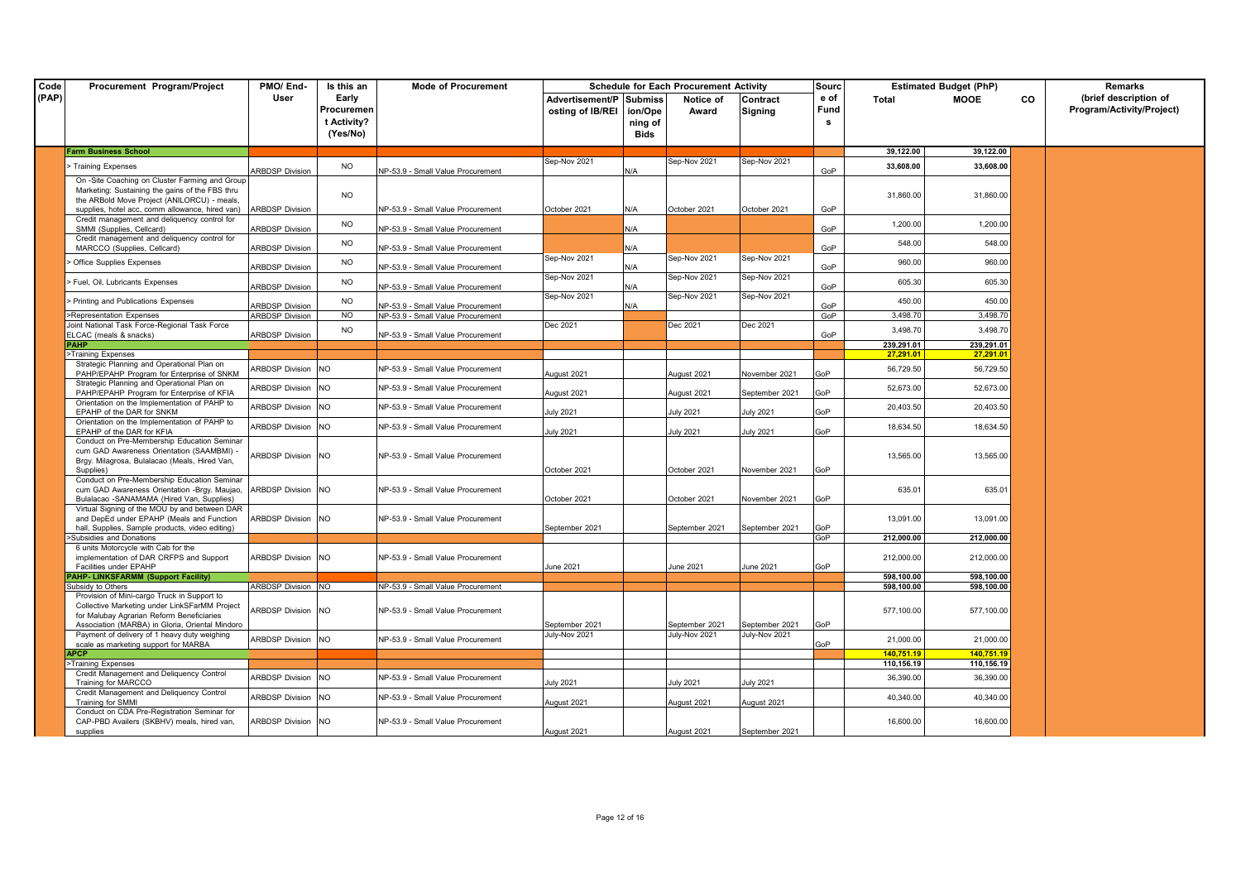| Code  | Procurement Program/Project                                                                                                                      | PMO/End-                  | Is this an                                     | <b>Mode of Procurement</b>               |                                             |                            | <b>Schedule for Each Procurement Activity</b> |                                 | Sourc              |            | <b>Estimated Budget (PhP)</b> |           | Remarks                                            |
|-------|--------------------------------------------------------------------------------------------------------------------------------------------------|---------------------------|------------------------------------------------|------------------------------------------|---------------------------------------------|----------------------------|-----------------------------------------------|---------------------------------|--------------------|------------|-------------------------------|-----------|----------------------------------------------------|
| (PAP) |                                                                                                                                                  | User                      | Early<br>Procuremen<br>t Activity?<br>(Yes/No) |                                          | Advertisement/P Submiss<br>osting of IB/REI | ion/Ope<br>ning of<br>Bids | Notice of<br>Award                            | Contract<br><b>Signing</b>      | e of<br>Fund<br>-S | Total      | MOOE                          | <b>CO</b> | (brief description of<br>Program/Activity/Project) |
|       | <b>Farm Business School</b>                                                                                                                      |                           |                                                |                                          |                                             |                            |                                               |                                 |                    | 39,122.00  | 39,122.00                     |           |                                                    |
|       | > Training Expenses                                                                                                                              |                           | <b>NO</b>                                      |                                          | Sep-Nov 2021                                |                            | $\varepsilon$ ep-Nov 2021                     | Sep-Nov 2021                    |                    | 33,608.00  | 33,608.00                     |           |                                                    |
|       |                                                                                                                                                  | <b>ARBDSP Division</b>    |                                                | <b>NP-53.9 - Small Value Procurement</b> |                                             | N/A                        |                                               |                                 | GoP                |            |                               |           |                                                    |
|       | On -Site Coaching on Cluster Farming and Group<br>Marketing: Sustaining the gains of the FBS thru<br>the ARBold Move Project (ANILORCU) - meals, |                           | <b>NO</b>                                      |                                          |                                             |                            |                                               |                                 |                    | 31,860.00  | 31,860.00                     |           |                                                    |
|       | supplies, hotel acc, comm allowance, hired van)                                                                                                  | <b>ARBDSP Division</b>    |                                                | NP-53.9 - Small Value Procurement        | October 2021                                | N/A                        | October 2021                                  | October 2021                    | GoP                |            |                               |           |                                                    |
|       | Credit management and deliquency control for<br>SMMI (Supplies, Cellcard)                                                                        | <b>ARBDSP Division</b>    | <b>NO</b>                                      | NP-53.9 - Small Value Procurement        |                                             | N/A                        |                                               |                                 | GoP                | 1,200.00   | 1,200.00                      |           |                                                    |
|       | Credit management and deliquency control for<br>MARCCO (Supplies, Cellcard)                                                                      | <b>ARBDSP Division</b>    | NO.                                            | NP-53.9 - Small Value Procurement        |                                             | N/A                        |                                               |                                 | GoP                | 548.00     | 548.00                        |           |                                                    |
|       | Office Supplies Expenses                                                                                                                         | <b>ARBDSP Division</b>    | <b>NO</b>                                      | NP-53.9 - Small Value Procurement        | Sep-Nov 2021                                | N/A                        | Sep-Nov 2021                                  | Sep-Nov 2021                    | GoP                | 960.00     | 960.00                        |           |                                                    |
|       | Fuel, Oil, Lubricants Expenses                                                                                                                   | <b>ARBDSP Division</b>    | <b>NO</b>                                      | NP-53.9 - Small Value Procurement        | Sep-Nov 2021                                | N/A                        | Sep-Nov 2021                                  | Sep-Nov 2021                    | GoP                | 605.30     | 605.30                        |           |                                                    |
|       | > Printing and Publications Expenses                                                                                                             |                           | <b>NO</b>                                      |                                          | Sep-Nov 2021                                |                            | Sep-Nov 2021                                  | Sep-Nov 2021                    |                    | 450.00     | 450.00                        |           |                                                    |
|       |                                                                                                                                                  | <b>ARBDSP Division</b>    |                                                | NP-53.9 - Small Value Procurement        |                                             | N/A                        |                                               |                                 | GoP                |            |                               |           |                                                    |
|       | >Representation Expenses                                                                                                                         | <b>ARBDSP Division</b>    | NO                                             | NP-53.9 - Small Value Procurement        |                                             |                            |                                               |                                 | GoP                | 3.498.70   | 3,498.70                      |           |                                                    |
|       | Joint National Task Force-Regional Task Force                                                                                                    |                           | <b>NO</b>                                      |                                          | Dec 2021                                    |                            | Dec 2021                                      | Dec 2021                        |                    | 3,498.70   | 3,498.70                      |           |                                                    |
|       | ELCAC (meals & snacks)                                                                                                                           | <b>ARBDSP Division</b>    |                                                | NP-53.9 - Small Value Procurement        |                                             |                            |                                               |                                 | GoP                |            |                               |           |                                                    |
|       | <b>PAHP</b>                                                                                                                                      |                           |                                                |                                          |                                             |                            |                                               |                                 |                    | 239,291.01 | 239,291.01                    |           |                                                    |
|       | >Training Expenses                                                                                                                               |                           |                                                |                                          |                                             |                            |                                               |                                 |                    | 27.291.01  | 27.291.01                     |           |                                                    |
|       | Strategic Planning and Operational Plan on<br>PAHP/EPAHP Program for Enterprise of SNKM<br>Strategic Planning and Operational Plan on            | ARBDSP Division NO        |                                                | NP-53.9 - Small Value Procurement        | August 2021                                 |                            | Jugust 2021                                   | November 2021                   | GoP                | 56,729.50  | 56,729.50                     |           |                                                    |
|       | PAHP/EPAHP Program for Enterprise of KFIA                                                                                                        | ARBDSP Division NO        |                                                | NP-53.9 - Small Value Procurement        | August 2021                                 |                            | August 2021                                   | September 2021                  | GoP                | 52,673.00  | 52,673.00                     |           |                                                    |
|       | Orientation on the Implementation of PAHP to<br>EPAHP of the DAR for SNKM                                                                        | ARBDSP Division NO        |                                                | NP-53.9 - Small Value Procurement        | luly 2021                                   |                            | July 2021                                     | July 2021                       | GoP                | 20,403.50  | 20,403.50                     |           |                                                    |
|       | Orientation on the Implementation of PAHP to<br>EPAHP of the DAR for KFIA                                                                        | ARBDSP Division NO        |                                                | NP-53.9 - Small Value Procurement        | luly 2021                                   |                            | July 2021                                     | July 2021                       | GoP                | 18,634.50  | 18,634.50                     |           |                                                    |
|       | Conduct on Pre-Membership Education Seminar<br>cum GAD Awareness Orientation (SAAMBMI) -<br>Brgy. Milagrosa, Bulalacao (Meals, Hired Van,        | <b>ARBDSP Division NO</b> |                                                | NP-53.9 - Small Value Procurement        |                                             |                            |                                               |                                 |                    | 13,565.00  | 13,565.00                     |           |                                                    |
|       | Supplies)                                                                                                                                        |                           |                                                |                                          | October 2021                                |                            | October 2021                                  | November 2021                   | GoP                |            |                               |           |                                                    |
|       | Conduct on Pre-Membership Education Seminar<br>cum GAD Awareness Orientation -Brgy. Maujao,<br>Bulalacao -SANAMAMA (Hired Van, Supplies)         | ARBDSP Division NO        |                                                | NP-53.9 - Small Value Procurement        | October 2021                                |                            | October 2021                                  | November 2021                   | GoP                | 635.01     | 635.01                        |           |                                                    |
|       | Virtual Signing of the MOU by and between DAR<br>and DepEd under EPAHP (Meals and Function                                                       | ARBDSP Division NO        |                                                | NP-53.9 - Small Value Procurement        |                                             |                            |                                               |                                 |                    | 13,091.00  | 13,091.00                     |           |                                                    |
|       | hall, Supplies, Sample products, video editing)                                                                                                  |                           |                                                |                                          | September 2021                              |                            | September 2021                                | September 2021                  | GoP                |            |                               |           |                                                    |
|       | Subsidies and Donations                                                                                                                          |                           |                                                |                                          |                                             |                            |                                               |                                 | GoP                | 212,000.00 | 212,000.00                    |           |                                                    |
|       | 6 units Motorcycle with Cab for the<br>implementation of DAR CRFPS and Support<br>Facilities under EPAHP                                         | ARBDSP Division NO        |                                                | NP-53.9 - Small Value Procurement        | June 2021                                   |                            | June 2021                                     | June 2021                       | GoP                | 212,000.00 | 212,000.00                    |           |                                                    |
|       | <b>PAHP-LINKSFARMM (Support Facility)</b>                                                                                                        |                           |                                                |                                          |                                             |                            |                                               |                                 |                    | 598,100.00 | 598,100.00                    |           |                                                    |
|       | Subsidy to Others                                                                                                                                | <b>ARBDSP Division NO</b> |                                                | NP-53.9 - Small Value Procurement        |                                             |                            |                                               |                                 |                    | 598,100.00 | 598,100.00                    |           |                                                    |
|       | Provision of Mini-cargo Truck in Support to<br>Collective Marketing under LinkSFarMM Project<br>for Malubay Agrarian Reform Beneficiaries        | ARBDSP Division NO        |                                                | NP-53.9 - Small Value Procurement        |                                             |                            |                                               |                                 |                    | 577,100.00 | 577,100.00                    |           |                                                    |
|       | Association (MARBA) in Gloria, Oriental Mindoro<br>Payment of delivery of 1 heavy duty weighing                                                  | ARBDSP Division NO        |                                                | NP-53.9 - Small Value Procurement        | September 2021<br>July-Nov 2021             |                            | September 2021<br>July-Nov 2021               | September 2021<br>July-Nov 2021 | GoP                | 21,000.00  | 21,000.00                     |           |                                                    |
|       | scale as marketing support for MARBA<br><b>APCP</b>                                                                                              |                           |                                                |                                          |                                             |                            |                                               |                                 | GoP                | 140.751.19 | 140.751.19                    |           |                                                    |
|       | >Training Expenses                                                                                                                               |                           |                                                |                                          |                                             |                            |                                               |                                 |                    | 110,156.19 | 110,156.19                    |           |                                                    |
|       | Credit Management and Deliquency Control<br>Training for MARCCO                                                                                  | ARBDSP Division NO        |                                                | NP-53.9 - Small Value Procurement        | luly 2021                                   |                            | July 2021                                     | July 2021                       |                    | 36,390.00  | 36,390.00                     |           |                                                    |
|       | Credit Management and Deliquency Control<br><b>Training for SMMI</b>                                                                             | <b>ARBDSP Division</b>    | <b>NO</b>                                      | NP-53.9 - Small Value Procurement        | August 2021                                 |                            | August 2021                                   | August 2021                     |                    | 40,340.00  | 40,340.00                     |           |                                                    |
|       | Conduct on CDA Pre-Registration Seminar for<br>CAP-PBD Availers (SKBHV) meals, hired van,<br>supplies                                            | ARBDSP Division NO        |                                                | NP-53.9 - Small Value Procurement        | August 2021                                 |                            | August 2021                                   | September 2021                  |                    | 16,600.00  | 16,600.00                     |           |                                                    |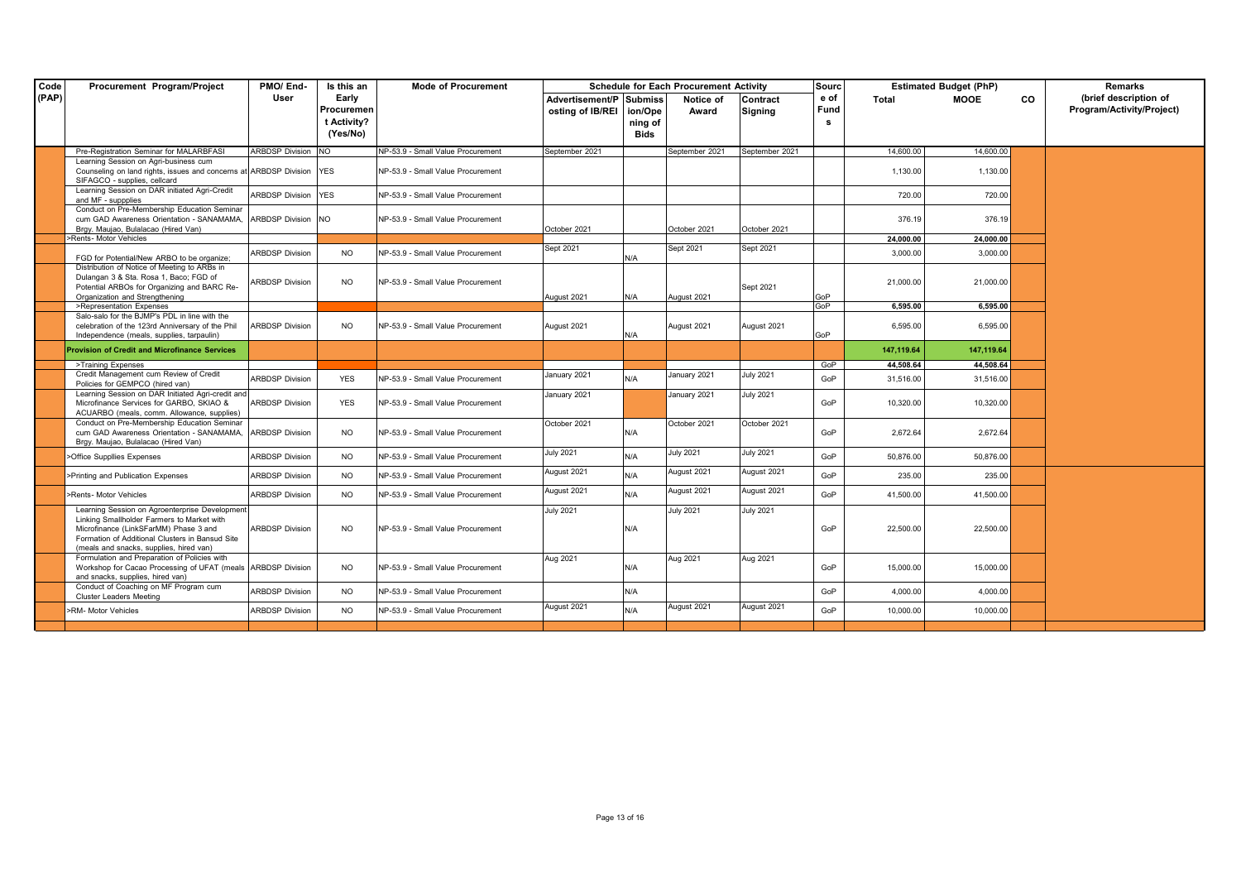| Code<br>Procurement Program/Project<br>(PAP)                                             |                            |             |                                   | <b>Schedule for Each Procurement Activity</b><br>Sourc |         |                  |                  | <b>Estimated Budget (PhP)</b> | Remarks    |             |           |                           |
|------------------------------------------------------------------------------------------|----------------------------|-------------|-----------------------------------|--------------------------------------------------------|---------|------------------|------------------|-------------------------------|------------|-------------|-----------|---------------------------|
|                                                                                          | User                       | Early       |                                   | Advertisement/P Submiss                                |         | Notice of        | <b>Contract</b>  | e of                          | Total      | <b>MOOE</b> | <b>CO</b> | (brief description of     |
|                                                                                          |                            | Procuremen  |                                   | osting of IB/REI                                       | ion/Ope | Award            | <b>Signing</b>   | Fund                          |            |             |           | Program/Activity/Project) |
|                                                                                          |                            | t Activity? |                                   |                                                        | ning of |                  |                  | s                             |            |             |           |                           |
|                                                                                          |                            | (Yes/No)    |                                   |                                                        | Bids    |                  |                  |                               |            |             |           |                           |
| Pre-Registration Seminar for MALARBFASI                                                  | ARBDSP Division NO         |             | NP-53.9 - Small Value Procurement | September 2021                                         |         | September 2021   | September 2021   |                               | 14,600.00  | 14,600.00   |           |                           |
| Learning Session on Agri-business cum                                                    |                            |             |                                   |                                                        |         |                  |                  |                               |            |             |           |                           |
| Counseling on land rights, issues and concerns at ARBDSP Division YES                    |                            |             | NP-53.9 - Small Value Procurement |                                                        |         |                  |                  |                               | 1,130.00   | 1,130.00    |           |                           |
| SIFAGCO - supplies, cellcard                                                             |                            |             |                                   |                                                        |         |                  |                  |                               |            |             |           |                           |
| Learning Session on DAR initiated Agri-Credit<br>and MF - suppplies                      | <b>ARBDSP Division YES</b> |             | NP-53.9 - Small Value Procurement |                                                        |         |                  |                  |                               | 720.00     | 720.00      |           |                           |
| Conduct on Pre-Membership Education Seminar                                              |                            |             |                                   |                                                        |         |                  |                  |                               |            |             |           |                           |
| cum GAD Awareness Orientation - SANAMAMA,                                                | ARBDSP Division NO         |             | NP-53.9 - Small Value Procurement |                                                        |         |                  |                  |                               | 376.19     | 376.19      |           |                           |
| Brgy. Maujao, Bulalacao (Hired Van)                                                      |                            |             |                                   | October 2021                                           |         | October 2021     | October 2021     |                               |            |             |           |                           |
| >Rents- Motor Vehicles                                                                   |                            |             |                                   | Sept 2021                                              |         | Sept 2021        | Sept 2021        |                               | 24,000.00  | 24.000.00   |           |                           |
| FGD for Potential/New ARBO to be organize:                                               | <b>ARBDSP Division</b>     | <b>NO</b>   | NP-53.9 - Small Value Procurement |                                                        | N/A     |                  |                  |                               | 3,000.00   | 3,000.00    |           |                           |
| Distribution of Notice of Meeting to ARBs in                                             |                            |             |                                   |                                                        |         |                  |                  |                               |            |             |           |                           |
| Dulangan 3 & Sta. Rosa 1, Baco; FGD of                                                   | <b>ARBDSP Division</b>     | NO.         | NP-53.9 - Small Value Procurement |                                                        |         |                  |                  |                               | 21,000.00  | 21,000.00   |           |                           |
| Potential ARBOs for Organizing and BARC Re-<br>Organization and Strengthening            |                            |             |                                   | August 2021                                            | N/A     | August 2021      | Sept 2021        | GoP                           |            |             |           |                           |
| >Representation Expenses                                                                 |                            |             |                                   |                                                        |         |                  |                  | GoP                           | 6,595.00   | 6,595.00    |           |                           |
| Salo-salo for the BJMP's PDL in line with the                                            |                            |             |                                   |                                                        |         |                  |                  |                               |            |             |           |                           |
| celebration of the 123rd Anniversary of the Phil                                         | <b>ARBDSP Division</b>     | NO.         | NP-53.9 - Small Value Procurement | August 2021                                            |         | August 2021      | August 2021      |                               | 6,595.00   | 6,595.00    |           |                           |
| Independence (meals, supplies, tarpaulin)                                                |                            |             |                                   |                                                        | N/A     |                  |                  | GoP                           |            |             |           |                           |
| <b>Provision of Credit and Microfinance Services</b>                                     |                            |             |                                   |                                                        |         |                  |                  |                               | 147,119.64 | 147,119.64  |           |                           |
| >Training Expenses                                                                       |                            |             |                                   |                                                        |         |                  |                  | GoP                           | 44.508.64  | 44,508.64   |           |                           |
| Credit Management cum Review of Credit<br>Policies for GEMPCO (hired van)                | <b>ARBDSP Division</b>     | <b>YES</b>  | NP-53.9 - Small Value Procurement | January 2021                                           | N/A     | January 2021     | <b>July 2021</b> | GoP                           | 31,516.00  | 31,516.00   |           |                           |
| Learning Session on DAR Initiated Agri-credit and                                        |                            |             |                                   | January 2021                                           |         | January 2021     | <b>July 2021</b> |                               |            |             |           |                           |
| Microfinance Services for GARBO, SKIAO &<br>ACUARBO (meals, comm. Allowance, supplies)   | <b>ARBDSP Division</b>     | <b>YES</b>  | NP-53.9 - Small Value Procurement |                                                        |         |                  |                  | GoP                           | 10,320.00  | 10,320.00   |           |                           |
| Conduct on Pre-Membership Education Seminar                                              |                            |             |                                   | October 2021                                           |         | October 2021     | October 2021     |                               |            |             |           |                           |
| cum GAD Awareness Orientation - SANAMAMA,                                                | <b>ARBDSP Division</b>     | NO.         | NP-53.9 - Small Value Procurement |                                                        | N/A     |                  |                  | GoP                           | 2,672.64   | 2,672.64    |           |                           |
| Brgy. Maujao, Bulalacao (Hired Van)                                                      |                            |             |                                   |                                                        |         |                  |                  |                               |            |             |           |                           |
| Office Suppllies Expenses                                                                | <b>ARBDSP Division</b>     | NO.         | NP-53.9 - Small Value Procurement | <b>July 2021</b>                                       | N/A     | <b>July 2021</b> | <b>July 2021</b> | GoP                           | 50,876.00  | 50,876.00   |           |                           |
| >Printing and Publication Expenses                                                       | <b>ARBDSP Division</b>     | <b>NO</b>   | NP-53.9 - Small Value Procurement | August 2021                                            | N/A     | August 2021      | August 2021      | GoP                           | 235.00     | 235.00      |           |                           |
| >Rents- Motor Vehicles                                                                   | <b>ARBDSP Division</b>     | <b>NO</b>   | NP-53.9 - Small Value Procurement | August 2021                                            | N/A     | August 2021      | August 2021      | GoP                           | 41,500.00  | 41,500.00   |           |                           |
| Learning Session on Agroenterprise Development                                           |                            |             |                                   | <b>July 2021</b>                                       |         | <b>July 2021</b> | <b>July 2021</b> |                               |            |             |           |                           |
| Linking Smallholder Farmers to Market with                                               |                            |             |                                   |                                                        |         |                  |                  |                               |            |             |           |                           |
| Microfinance (LinkSFarMM) Phase 3 and<br>Formation of Additional Clusters in Bansud Site | <b>ARBDSP Division</b>     | <b>NO</b>   | NP-53.9 - Small Value Procurement |                                                        | N/A     |                  |                  | GoP                           | 22,500.00  | 22,500.00   |           |                           |
| (meals and snacks, supplies, hired van)                                                  |                            |             |                                   |                                                        |         |                  |                  |                               |            |             |           |                           |
| Formulation and Preparation of Policies with                                             |                            |             |                                   | Aug 2021                                               |         | Aug 2021         | Aug 2021         |                               |            |             |           |                           |
| Workshop for Cacao Processing of UFAT (meals ARBDSP Division                             |                            | <b>NO</b>   | NP-53.9 - Small Value Procurement |                                                        | N/A     |                  |                  | GoP                           | 15,000.00  | 15,000.00   |           |                           |
| and snacks, supplies, hired van)                                                         |                            |             |                                   |                                                        |         |                  |                  |                               |            |             |           |                           |
| Conduct of Coaching on MF Program cum<br><b>Cluster Leaders Meeting</b>                  | <b>ARBDSP Division</b>     | <b>NO</b>   | NP-53.9 - Small Value Procurement |                                                        | N/A     |                  |                  | GoP                           | 4.000.00   | 4.000.00    |           |                           |
| -RM- Motor Vehicles                                                                      | <b>ARBDSP Division</b>     | NO.         | NP-53.9 - Small Value Procurement | August 2021                                            | N/A     | August 2021      | August 2021      | GoP                           | 10,000.00  | 10,000.00   |           |                           |
|                                                                                          |                            |             |                                   |                                                        |         |                  |                  |                               |            |             |           |                           |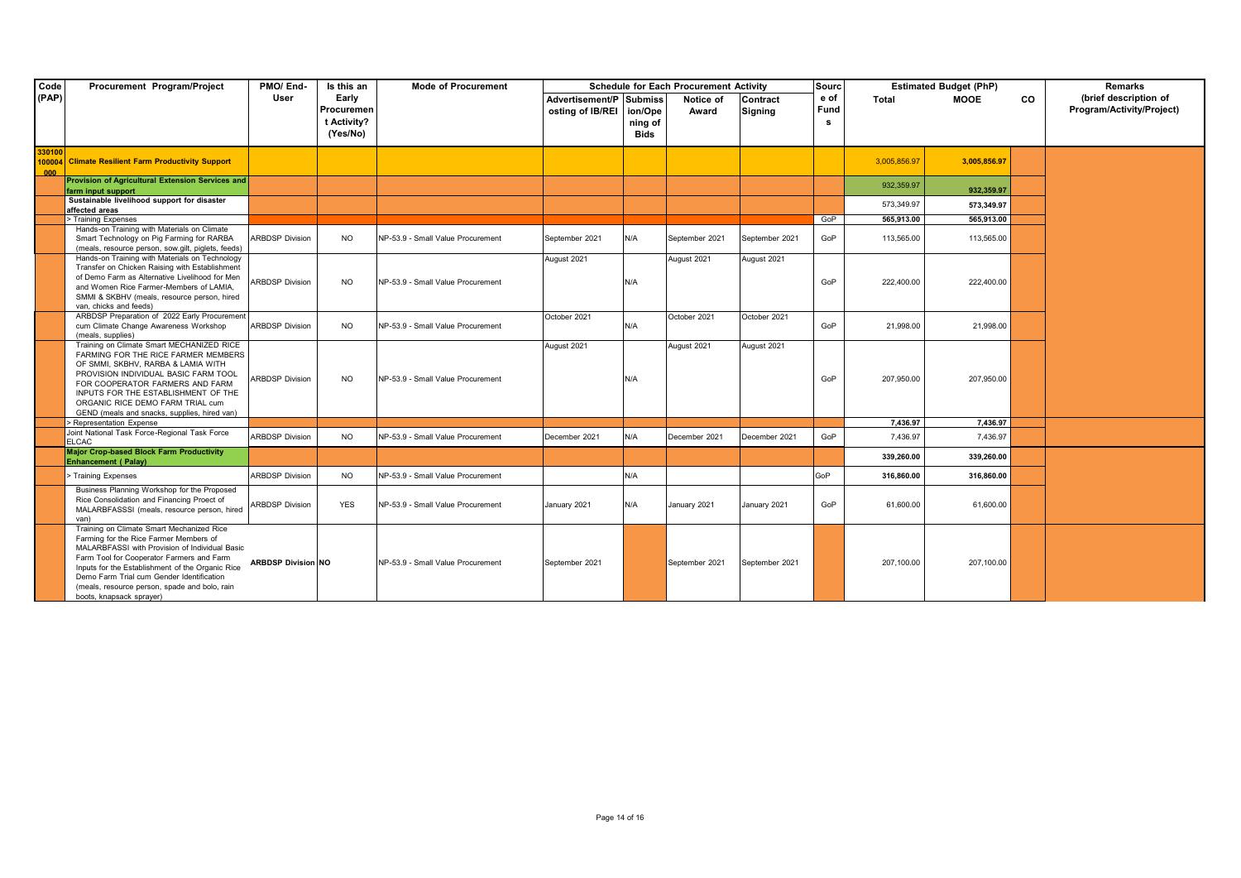| Code   | Procurement Program/Project                                                                                                                                                                                                                                                                                                                                      | PMO/End-                  | Is this an              | <b>Mode of Procurement</b>        |                                             |         | <b>Schedule for Each Procurement Activity</b> |                            | Sourc        |              | <b>Estimated Budget (PhP)</b> |           | <b>Remarks</b>                                     |
|--------|------------------------------------------------------------------------------------------------------------------------------------------------------------------------------------------------------------------------------------------------------------------------------------------------------------------------------------------------------------------|---------------------------|-------------------------|-----------------------------------|---------------------------------------------|---------|-----------------------------------------------|----------------------------|--------------|--------------|-------------------------------|-----------|----------------------------------------------------|
| (PAP)  |                                                                                                                                                                                                                                                                                                                                                                  | User                      | Early<br>Procuremen     |                                   | Advertisement/P Submiss<br>osting of IB/REI | ion/Ope | Notice of<br>Award                            | Contract<br><b>Signing</b> | e of<br>Fund | Total        | <b>MOOE</b>                   | <b>CO</b> | (brief description of<br>Program/Activity/Project) |
|        |                                                                                                                                                                                                                                                                                                                                                                  |                           | t Activity?<br>(Yes/No) |                                   |                                             | ning of |                                               |                            | s            |              |                               |           |                                                    |
|        |                                                                                                                                                                                                                                                                                                                                                                  |                           |                         |                                   |                                             | Bids    |                                               |                            |              |              |                               |           |                                                    |
| 330100 | 100004 Climate Resilient Farm Productivity Support                                                                                                                                                                                                                                                                                                               |                           |                         |                                   |                                             |         |                                               |                            |              | 3,005,856.97 | 3,005,856.97                  |           |                                                    |
|        | Provision of Agricultural Extension Services and                                                                                                                                                                                                                                                                                                                 |                           |                         |                                   |                                             |         |                                               |                            |              |              |                               |           |                                                    |
|        | farm input support                                                                                                                                                                                                                                                                                                                                               |                           |                         |                                   |                                             |         |                                               |                            |              | 932,359.97   | 932.359.97                    |           |                                                    |
|        | Sustainable livelihood support for disaster                                                                                                                                                                                                                                                                                                                      |                           |                         |                                   |                                             |         |                                               |                            |              | 573.349.97   | 573.349.97                    |           |                                                    |
|        | affected areas                                                                                                                                                                                                                                                                                                                                                   |                           |                         |                                   |                                             |         |                                               |                            | GoP          | 565.913.00   | 565.913.00                    |           |                                                    |
|        | > Training Expenses<br>Hands-on Training with Materials on Climate                                                                                                                                                                                                                                                                                               |                           |                         |                                   |                                             |         |                                               |                            |              |              |                               |           |                                                    |
|        | Smart Technology on Pig Farming for RARBA<br>(meals, resource person, sow.gilt, piglets, feeds)                                                                                                                                                                                                                                                                  | <b>ARBDSP Division</b>    | NO.                     | NP-53.9 - Small Value Procurement | September 2021                              | N/A     | September 2021                                | September 2021             | GoP          | 113,565.00   | 113.565.00                    |           |                                                    |
|        | Hands-on Training with Materials on Technology                                                                                                                                                                                                                                                                                                                   |                           |                         |                                   | August 2021                                 |         | August 2021                                   | August 2021                |              |              |                               |           |                                                    |
|        | Transfer on Chicken Raising with Establishment<br>of Demo Farm as Alternative Livelihood for Men<br>and Women Rice Farmer-Members of LAMIA,                                                                                                                                                                                                                      | <b>ARBDSP Division</b>    | <b>NO</b>               | NP-53.9 - Small Value Procurement |                                             | N/A     |                                               |                            | GoP          | 222,400.00   | 222,400.00                    |           |                                                    |
|        | SMMI & SKBHV (meals, resource person, hired<br>van, chicks and feeds)                                                                                                                                                                                                                                                                                            |                           |                         |                                   |                                             |         |                                               |                            |              |              |                               |           |                                                    |
|        | ARBDSP Preparation of 2022 Early Procurement<br>cum Climate Change Awareness Workshop<br>(meals, supplies)                                                                                                                                                                                                                                                       | <b>ARBDSP Division</b>    | NO.                     | NP-53.9 - Small Value Procurement | October 2021                                | N/A     | October 2021                                  | October 2021               | GoP          | 21,998.00    | 21,998.00                     |           |                                                    |
|        | Training on Climate Smart MECHANIZED RICE<br>FARMING FOR THE RICE FARMER MEMBERS                                                                                                                                                                                                                                                                                 |                           |                         |                                   | August 2021                                 |         | August 2021                                   | August 2021                |              |              |                               |           |                                                    |
|        | OF SMMI, SKBHV, RARBA & LAMIA WITH<br>PROVISION INDIVIDUAL BASIC FARM TOOL<br>FOR COOPERATOR FARMERS AND FARM<br>INPUTS FOR THE ESTABLISHMENT OF THE<br>ORGANIC RICE DEMO FARM TRIAL cum                                                                                                                                                                         | <b>ARBDSP Division</b>    | NO.                     | NP-53.9 - Small Value Procurement |                                             | N/A     |                                               |                            | GoP          | 207,950.00   | 207,950.00                    |           |                                                    |
|        | GEND (meals and snacks, supplies, hired van)                                                                                                                                                                                                                                                                                                                     |                           |                         |                                   |                                             |         |                                               |                            |              |              |                               |           |                                                    |
|        | > Representation Expense                                                                                                                                                                                                                                                                                                                                         |                           |                         |                                   |                                             |         |                                               |                            |              | 7.436.97     | 7.436.97                      |           |                                                    |
|        | Joint National Task Force-Regional Task Force<br><b>ELCAC</b>                                                                                                                                                                                                                                                                                                    | <b>ARBDSP Division</b>    | NO.                     | NP-53.9 - Small Value Procurement | December 2021                               | N/A     | December 2021                                 | December 2021              | GoP          | 7.436.97     | 7.436.97                      |           |                                                    |
|        | <b>Major Crop-based Block Farm Productivity</b><br><b>Enhancement (Palay)</b>                                                                                                                                                                                                                                                                                    |                           |                         |                                   |                                             |         |                                               |                            |              | 339.260.00   | 339.260.00                    |           |                                                    |
|        | > Training Expenses                                                                                                                                                                                                                                                                                                                                              | <b>ARBDSP Division</b>    | <b>NO</b>               | NP-53.9 - Small Value Procurement |                                             | N/A     |                                               |                            | GoP          | 316,860.00   | 316.860.00                    |           |                                                    |
|        | Business Planning Workshop for the Proposed<br>Rice Consolidation and Financing Proect of<br>MALARBFASSSI (meals, resource person, hired<br>van)                                                                                                                                                                                                                 | <b>ARBDSP Division</b>    | <b>YES</b>              | NP-53.9 - Small Value Procurement | January 2021                                | N/A     | January 2021                                  | January 2021               | GoP          | 61,600.00    | 61,600.00                     |           |                                                    |
|        | Training on Climate Smart Mechanized Rice<br>Farming for the Rice Farmer Members of<br>MALARBFASSI with Provision of Individual Basic<br>Farm Tool for Cooperator Farmers and Farm<br>Inputs for the Establishment of the Organic Rice<br>Demo Farm Trial cum Gender Identification<br>(meals, resource person, spade and bolo, rain<br>boots, knapsack sprayer) | <b>ARBDSP Division NO</b> |                         | NP-53.9 - Small Value Procurement | September 2021                              |         | September 2021                                | September 2021             |              | 207,100.00   | 207,100.00                    |           |                                                    |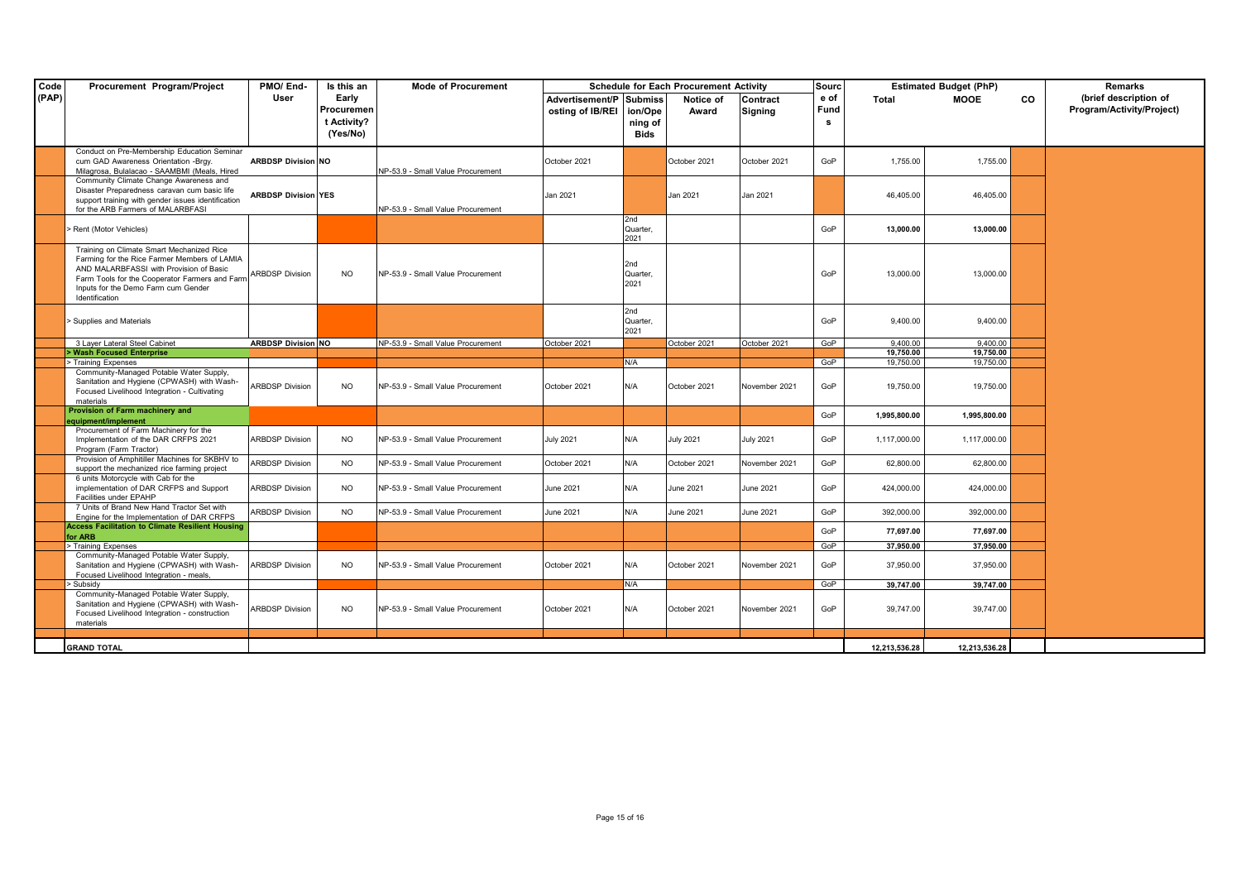| Code  | Procurement Program/Project                                                                                                                                                                                                                     | PMO/End-                   | Is this an                         | <b>Mode of Procurement</b>        | <b>Schedule for Each Procurement Activity</b><br><b>Sourc</b> |                                     | <b>Estimated Budget (PhP)</b> |                     |                   | Remarks                |                        |    |                                                    |
|-------|-------------------------------------------------------------------------------------------------------------------------------------------------------------------------------------------------------------------------------------------------|----------------------------|------------------------------------|-----------------------------------|---------------------------------------------------------------|-------------------------------------|-------------------------------|---------------------|-------------------|------------------------|------------------------|----|----------------------------------------------------|
| (PAP) |                                                                                                                                                                                                                                                 | User                       | Early<br>Procuremen<br>t Activity? |                                   | Advertisement/P Submiss<br>osting of IB/REI                   | ion/Ope<br>ning of                  | Notice of<br>Award            | Contract<br>Signing | e of<br>Fund<br>s | Total                  | <b>MOOE</b>            | CO | (brief description of<br>Program/Activity/Project) |
|       |                                                                                                                                                                                                                                                 |                            | (Yes/No)                           |                                   |                                                               | Bids                                |                               |                     |                   |                        |                        |    |                                                    |
|       | Conduct on Pre-Membership Education Seminar<br>cum GAD Awareness Orientation -Brgy.<br>Milagrosa, Bulalacao - SAAMBMI (Meals, Hired                                                                                                             | <b>ARBDSP Division NO</b>  |                                    | NP-53.9 - Small Value Procurement | October 2021                                                  |                                     | October 2021                  | October 2021        | GoP               | 1,755.00               | 1,755.00               |    |                                                    |
|       | Community Climate Change Awareness and<br>Disaster Preparedness caravan cum basic life<br>support training with gender issues identification<br>for the ARB Farmers of MALARBFASI                                                               | <b>ARBDSP Division YES</b> |                                    | NP-53.9 - Small Value Procurement | Jan 2021                                                      |                                     | Jan 2021                      | Jan 2021            |                   | 46,405.00              | 46,405.00              |    |                                                    |
|       | > Rent (Motor Vehicles)                                                                                                                                                                                                                         |                            |                                    |                                   |                                                               | 2nd<br>Quarter,<br>2021             |                               |                     | GoP               | 13,000.00              | 13,000.00              |    |                                                    |
|       | Training on Climate Smart Mechanized Rice<br>Farming for the Rice Farmer Members of LAMIA<br>AND MALARBFASSI with Provision of Basic<br>Farm Tools for the Cooperator Farmers and Farm<br>Inputs for the Demo Farm cum Gender<br>Identification | <b>ARBDSP Division</b>     | NO.                                | NP-53.9 - Small Value Procurement |                                                               | 2nd<br>Quarter.<br>2021             |                               |                     | GoP               | 13,000.00              | 13,000.00              |    |                                                    |
|       | > Supplies and Materials                                                                                                                                                                                                                        |                            |                                    |                                   |                                                               | 2 <sub>nd</sub><br>Quarter,<br>2021 |                               |                     | GoP               | 9,400.00               | 9,400.00               |    |                                                    |
|       | 3 Laver Lateral Steel Cabinet                                                                                                                                                                                                                   | <b>ARBDSP Division NO</b>  |                                    | NP-53.9 - Small Value Procurement | October 2021                                                  |                                     | October 2021                  | October 2021        | GoP               | 9.400.00               | 9.400.00               |    |                                                    |
|       | > Wash Focused Enterprise<br>> Training Expenses                                                                                                                                                                                                |                            |                                    |                                   |                                                               | N/A                                 |                               |                     | GoP               | 19.750.00<br>19,750.00 | 19.750.00<br>19,750.00 |    |                                                    |
|       | Community-Managed Potable Water Supply,<br>Sanitation and Hygiene (CPWASH) with Wash-<br>Focused Livelihood Integration - Cultivating<br>materials                                                                                              | <b>ARBDSP Division</b>     | NO.                                | NP-53.9 - Small Value Procurement | October 2021                                                  | N/A                                 | October 2021                  | November 2021       | GoP               | 19,750.00              | 19,750.00              |    |                                                    |
|       | Provision of Farm machinery and                                                                                                                                                                                                                 |                            |                                    |                                   |                                                               |                                     |                               |                     | GoP               | 1,995,800.00           | 1,995,800.00           |    |                                                    |
|       | equipment/implement<br>Procurement of Farm Machinery for the<br>Implementation of the DAR CRFPS 2021<br>Program (Farm Tractor)                                                                                                                  | <b>ARBDSP Division</b>     | NO.                                | NP-53.9 - Small Value Procurement | July 2021                                                     | N/A                                 | <b>July 2021</b>              | <b>July 2021</b>    | GoP               | 1,117,000.00           | 1,117,000.00           |    |                                                    |
|       | Provision of Amphitiller Machines for SKBHV to<br>support the mechanized rice farming project                                                                                                                                                   | <b>ARBDSP Division</b>     | <b>NO</b>                          | NP-53.9 - Small Value Procurement | October 2021                                                  | N/A                                 | October 2021                  | November 2021       | GoP               | 62,800.00              | 62,800.00              |    |                                                    |
|       | 6 units Motorcycle with Cab for the<br>implementation of DAR CRFPS and Support<br>Facilities under EPAHP                                                                                                                                        | <b>ARBDSP Division</b>     | <b>NO</b>                          | NP-53.9 - Small Value Procurement | June 2021                                                     | N/A                                 | June 2021                     | June 2021           | GoP               | 424,000.00             | 424,000.00             |    |                                                    |
|       | 7 Units of Brand New Hand Tractor Set with<br>Engine for the Implementation of DAR CRFPS                                                                                                                                                        | <b>ARBDSP Division</b>     | <b>NO</b>                          | NP-53.9 - Small Value Procurement | June 2021                                                     | N/A                                 | June 2021                     | June 2021           | GoP               | 392,000.00             | 392,000.00             |    |                                                    |
|       | <b>Access Facilitation to Climate Resilient Housing</b><br>for ARB                                                                                                                                                                              |                            |                                    |                                   |                                                               |                                     |                               |                     | GoP               | 77,697.00              | 77,697.00              |    |                                                    |
|       | > Training Expenses                                                                                                                                                                                                                             |                            |                                    |                                   |                                                               |                                     |                               |                     | GoP               | 37.950.00              | 37.950.00              |    |                                                    |
|       | Community-Managed Potable Water Supply,<br>Sanitation and Hygiene (CPWASH) with Wash-<br>Focused Livelihood Integration - meals,                                                                                                                | <b>ARBDSP Division</b>     | <b>NO</b>                          | NP-53.9 - Small Value Procurement | October 2021                                                  | N/A                                 | October 2021                  | November 2021       | GoP               | 37,950.00              | 37,950.00              |    |                                                    |
|       | > Subsidy<br>Community-Managed Potable Water Supply,<br>Sanitation and Hygiene (CPWASH) with Wash-<br>Focused Livelihood Integration - construction<br>materials                                                                                | <b>ARBDSP Division</b>     | NO.                                | NP-53.9 - Small Value Procurement | October 2021                                                  | N/A<br>N/A                          | October 2021                  | November 2021       | GoP<br>GoP        | 39.747.00<br>39,747.00 | 39.747.00<br>39,747.00 |    |                                                    |
|       |                                                                                                                                                                                                                                                 |                            |                                    |                                   |                                                               |                                     |                               |                     |                   |                        |                        |    |                                                    |
|       | <b>GRAND TOTAL</b>                                                                                                                                                                                                                              |                            |                                    |                                   |                                                               |                                     |                               |                     |                   | 12,213,536.28          | 12,213,536.28          |    |                                                    |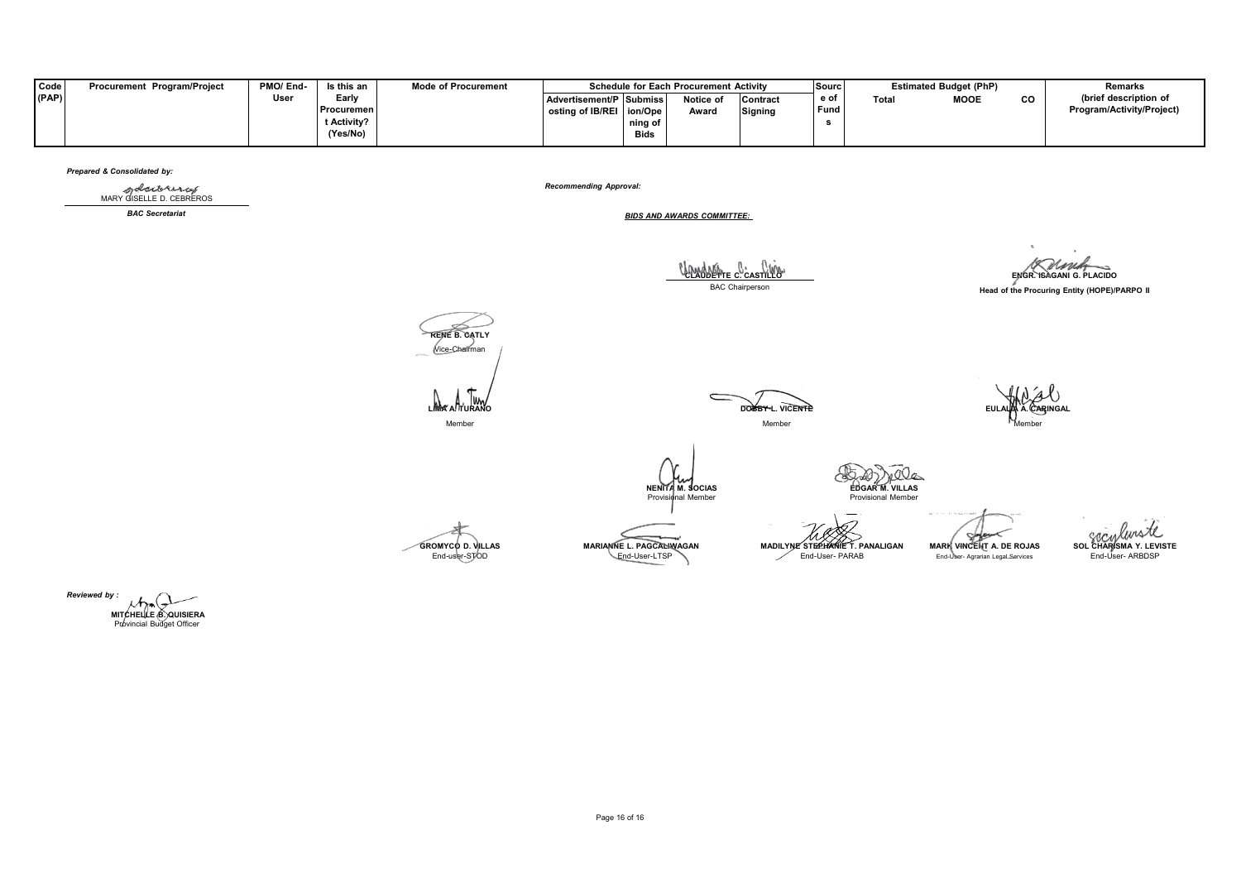| <b>Code</b> | Procurement Program/Project | PMO/End- | Is this an  | <b>Mode of Procurement</b> |                            |             | <b>Schedule for Each Procurement Activity</b> |                 | Sourc |       | <b>Estimated Budget (PhP)</b> |           | Remarks                   |
|-------------|-----------------------------|----------|-------------|----------------------------|----------------------------|-------------|-----------------------------------------------|-----------------|-------|-------|-------------------------------|-----------|---------------------------|
| (PAP)       |                             | Jser     | Early       |                            | Advertisement/P Submiss    |             | Notice of                                     | <b>Contract</b> | e of  | Total | <b>MOOE</b>                   | <b>CO</b> | (brief description of     |
|             |                             |          | Procuremen  |                            | osting of IB/REI   ion/Ope |             | Award                                         | <b>Signing</b>  | Fund  |       |                               |           | Program/Activity/Project) |
|             |                             |          | t Activity? |                            |                            | ning of     |                                               |                 |       |       |                               |           |                           |
|             |                             |          | (Yes/No)    |                            |                            | <b>Bids</b> |                                               |                 |       |       |                               |           |                           |

## *Prepared & Consolidated by:*

MARY GISELLE D. CEBREROS

*Recommending Approval:*

*BAC Secretariat BIDS AND AWARDS COMMITTEE:*

**CLAUDETTE C. CASTILLO**<br>
BAC Chairperson<br>
BAC Chairperson BAC Chairperson **Head of the Procuring Entity (HOPE)/PARPO II RENE B. CATLY** Vice-Chairman  $\mathsf{I}^{\mathsf{I}}$  $\subset$ **LIMA A. TURANO DOBBY L. VICENTE EULALIA A. CARINGAL** Member Member Member حەر **NENITA M. SOCIAS EDGAR M. VILLAS**<br> **Provisional Member** Provisional Member Provisional Member EN CONDUSTOR<br>SOL CHAR SMA Y. LEVISTE<br>End-User- ARBDSP Sole ЛЛ. GROMYCO D. VILLAS MARIANNE L. PAGCARWAGAN MADILYNE STEPHANIE T. PANALIGAN MARIA VINCENT A DE ROJAS<br>End-user-STOD End-user-STOD End-user-STOD End-user-STOD End-user-STOD End-user-Stop

*Reviewed by :* **MITCHELLE B. QUISIERA** Provincial Budget Officer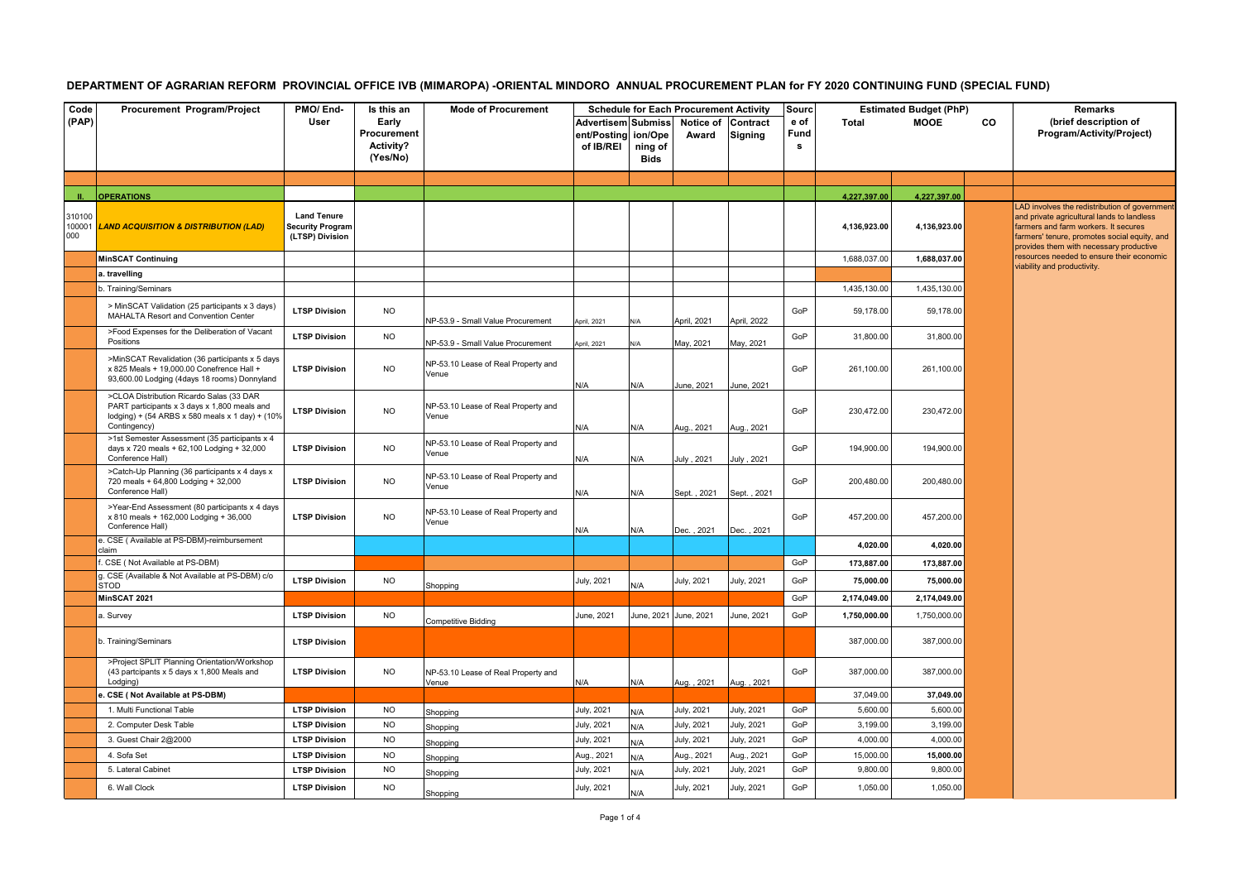## DEPARTMENT OF AGRARIAN REFORM PROVINCIAL OFFICE IVB (MIMAROPA) -ORIENTAL MINDORO ANNUAL PROCUREMENT PLAN for FY 2020 CONTINUING FUND (SPECIAL FUND)

| Code                    | Procurement Program/Project                                                                                                                                 | PMO/End-                                                         | Is this an                                           | <b>Mode of Procurement</b>                   |                                                |                            | <b>Schedule for Each Procurement Activity</b> |                            | Sourc             |              | <b>Estimated Budget (PhP)</b> |           | <b>Remarks</b>                                                                                                                                                                                                               |
|-------------------------|-------------------------------------------------------------------------------------------------------------------------------------------------------------|------------------------------------------------------------------|------------------------------------------------------|----------------------------------------------|------------------------------------------------|----------------------------|-----------------------------------------------|----------------------------|-------------------|--------------|-------------------------------|-----------|------------------------------------------------------------------------------------------------------------------------------------------------------------------------------------------------------------------------------|
| (PAP)                   |                                                                                                                                                             | User                                                             | Early<br>Procurement<br><b>Activity?</b><br>(Yes/No) |                                              | Advertisem Submiss<br>ent/Posting<br>of IB/REI | ion/Ope<br>ning of<br>Bids | Notice of<br>Award                            | <b>Contract</b><br>Signing | e of<br>Fund<br>s | <b>Total</b> | <b>MOOE</b>                   | <b>CO</b> | (brief description of<br>Program/Activity/Project)                                                                                                                                                                           |
|                         |                                                                                                                                                             |                                                                  |                                                      |                                              |                                                |                            |                                               |                            |                   |              |                               |           |                                                                                                                                                                                                                              |
|                         | <b>OPERATIONS</b>                                                                                                                                           |                                                                  |                                                      |                                              |                                                |                            |                                               |                            |                   | 4,227,397.00 | 4,227,397.00                  |           |                                                                                                                                                                                                                              |
| 310100<br>100001<br>000 | <b>LAND ACQUISITION &amp; DISTRIBUTION (LAD)</b>                                                                                                            | <b>Land Tenure</b><br><b>Security Program</b><br>(LTSP) Division |                                                      |                                              |                                                |                            |                                               |                            |                   | 4,136,923.00 | 4,136,923.00                  |           | LAD involves the redistribution of governme<br>and private agricultural lands to landless<br>farmers and farm workers. It secures<br>farmers' tenure, promotes social equity, and<br>provides them with necessary productive |
|                         | <b>MinSCAT Continuing</b>                                                                                                                                   |                                                                  |                                                      |                                              |                                                |                            |                                               |                            |                   | 1,688,037.00 | 1,688,037.00                  |           | resources needed to ensure their economic                                                                                                                                                                                    |
|                         | a. travelling                                                                                                                                               |                                                                  |                                                      |                                              |                                                |                            |                                               |                            |                   |              |                               |           | viability and productivity.                                                                                                                                                                                                  |
|                         | o. Training/Seminars                                                                                                                                        |                                                                  |                                                      |                                              |                                                |                            |                                               |                            |                   | 1,435,130.00 | 1,435,130.00                  |           |                                                                                                                                                                                                                              |
|                         | > MinSCAT Validation (25 participants x 3 days)<br>MAHALTA Resort and Convention Center                                                                     | <b>LTSP Division</b>                                             | <b>NO</b>                                            | NP-53.9 - Small Value Procurement            | pril, 2021                                     |                            | April, 2021                                   | April, 2022                | GoP               | 59,178.00    | 59,178.00                     |           |                                                                                                                                                                                                                              |
|                         | >Food Expenses for the Deliberation of Vacant<br>Positions                                                                                                  | <b>LTSP Division</b>                                             | <b>NO</b>                                            | NP-53.9 - Small Value Procurement            | pril, 2021                                     |                            | May, 2021                                     | May, 2021                  | GoP               | 31,800.00    | 31,800.00                     |           |                                                                                                                                                                                                                              |
|                         | >MinSCAT Revalidation (36 participants x 5 days<br>x 825 Meals + 19,000.00 Conefrence Hall +<br>93,600.00 Lodging (4days 18 rooms) Donnyland                | <b>LTSP Division</b>                                             | <b>NO</b>                                            | NP-53.10 Lease of Real Property and<br>Venue | N/A                                            | N/A                        | June, 2021                                    | June, 2021                 | GoP               | 261,100.00   | 261,100.00                    |           |                                                                                                                                                                                                                              |
|                         | >CLOA Distribution Ricardo Salas (33 DAR<br>PART participants x 3 days x 1,800 meals and<br>lodging) + (54 ARBS x 580 meals x 1 day) + (10%<br>Contingency) | <b>LTSP Division</b>                                             | <b>NO</b>                                            | NP-53.10 Lease of Real Property and<br>Venue | N/A                                            | N/A                        | Aug., 2021                                    | Aug., 2021                 | GoP               | 230,472.00   | 230,472.00                    |           |                                                                                                                                                                                                                              |
|                         | >1st Semester Assessment (35 participants x 4<br>days x 720 meals + 62,100 Lodging + 32,000<br>Conference Hall)                                             | <b>LTSP Division</b>                                             | <b>NO</b>                                            | NP-53.10 Lease of Real Property and<br>Venue | N/A                                            | N/A                        | July . 2021                                   | July, 2021                 | GoP               | 194,900.00   | 194,900.00                    |           |                                                                                                                                                                                                                              |
|                         | >Catch-Up Planning (36 participants x 4 days x<br>720 meals + 64,800 Lodging + 32,000<br>Conference Hall)                                                   | <b>LTSP Division</b>                                             | <b>NO</b>                                            | NP-53.10 Lease of Real Property and<br>Venue | N/A                                            | N/A                        | Sept., 2021                                   | Sept., 2021                | GoP               | 200,480.00   | 200,480.00                    |           |                                                                                                                                                                                                                              |
|                         | >Year-End Assessment (80 participants x 4 days<br>x 810 meals + 162,000 Lodging + 36,000<br>Conference Hall)                                                | <b>LTSP Division</b>                                             | <b>NO</b>                                            | NP-53.10 Lease of Real Property and<br>Venue | N/A                                            | N/A                        | Dec., 2021                                    | Dec., 2021                 | GoP               | 457,200.00   | 457,200.00                    |           |                                                                                                                                                                                                                              |
|                         | e. CSE (Available at PS-DBM)-reimbursement<br>claim                                                                                                         |                                                                  |                                                      |                                              |                                                |                            |                                               |                            |                   | 4,020.00     | 4,020.00                      |           |                                                                                                                                                                                                                              |
|                         | CSE (Not Available at PS-DBM)                                                                                                                               |                                                                  |                                                      |                                              |                                                |                            |                                               |                            | GoP               | 173,887.00   | 173,887.00                    |           |                                                                                                                                                                                                                              |
|                         | g. CSE (Available & Not Available at PS-DBM) c/o<br>STOD                                                                                                    | <b>LTSP Division</b>                                             | <b>NO</b>                                            | Shopping                                     | July, 2021                                     | N/A                        | July, 2021                                    | July, 2021                 | GoP               | 75,000.00    | 75,000.00                     |           |                                                                                                                                                                                                                              |
|                         | MinSCAT 2021                                                                                                                                                |                                                                  |                                                      |                                              |                                                |                            |                                               |                            | GoP               | 2,174,049.00 | 2,174,049.00                  |           |                                                                                                                                                                                                                              |
|                         | a. Survey                                                                                                                                                   | <b>LTSP Division</b>                                             | <b>NO</b>                                            | <b>Competitive Bidding</b>                   | June, 2021                                     |                            | June, 2021 June, 2021                         | June, 2021                 | GoP               | 1,750,000.00 | 1,750,000.00                  |           |                                                                                                                                                                                                                              |
|                         | o. Training/Seminars                                                                                                                                        | <b>LTSP Division</b>                                             |                                                      |                                              |                                                |                            |                                               |                            |                   | 387,000.00   | 387,000.00                    |           |                                                                                                                                                                                                                              |
|                         | >Project SPLIT Planning Orientation/Workshop<br>(43 partcipants x 5 days x 1,800 Meals and<br>Lodging)                                                      | <b>LTSP Division</b>                                             | <b>NO</b>                                            | NP-53.10 Lease of Real Property and<br>Venue | N/A                                            | N/A                        | Aug., 2021                                    | Aug., 2021                 | GoP               | 387,000.00   | 387,000.00                    |           |                                                                                                                                                                                                                              |
|                         | CSE (Not Available at PS-DBM)                                                                                                                               |                                                                  |                                                      |                                              |                                                |                            |                                               |                            |                   | 37,049.00    | 37,049.00                     |           |                                                                                                                                                                                                                              |
|                         | 1. Multi Functional Table                                                                                                                                   | <b>LTSP Division</b>                                             | <b>NO</b>                                            | Shopping                                     | July, 2021                                     | N/A                        | July, 2021                                    | July, 2021                 | GoP               | 5.600.00     | 5,600.00                      |           |                                                                                                                                                                                                                              |
|                         | 2. Computer Desk Table                                                                                                                                      | <b>LTSP Division</b>                                             | <b>NO</b>                                            | Shopping                                     | July, 2021                                     | N/A                        | July, 2021                                    | July, 2021                 | GoP               | 3,199.00     | 3,199.00                      |           |                                                                                                                                                                                                                              |
|                         | 3. Guest Chair 2@2000                                                                                                                                       | <b>LTSP Division</b>                                             | <b>NO</b>                                            | Shopping                                     | July, 2021                                     | N/A                        | July, 2021                                    | July, 2021                 | GoP               | 4,000.00     | 4,000.00                      |           |                                                                                                                                                                                                                              |
|                         | 4. Sofa Set                                                                                                                                                 | <b>LTSP Division</b>                                             | <b>NO</b>                                            | Shopping                                     | Aug., 2021                                     | N/A                        | Aug., 2021                                    | Aug., 2021                 | GoP               | 15,000.00    | 15,000.00                     |           |                                                                                                                                                                                                                              |
|                         | 5. Lateral Cabinet                                                                                                                                          | <b>LTSP Division</b>                                             | <b>NO</b>                                            | Shopping                                     | July, 2021                                     | N/A                        | July, 2021                                    | luly, 2021                 | GoP               | 9,800.00     | 9,800.00                      |           |                                                                                                                                                                                                                              |
|                         | 6. Wall Clock                                                                                                                                               | <b>LTSP Division</b>                                             | <b>NO</b>                                            | Shopping                                     | July, 2021                                     | N/A                        | July, 2021                                    | July, 2021                 | GoP               | 1,050.00     | 1,050.00                      |           |                                                                                                                                                                                                                              |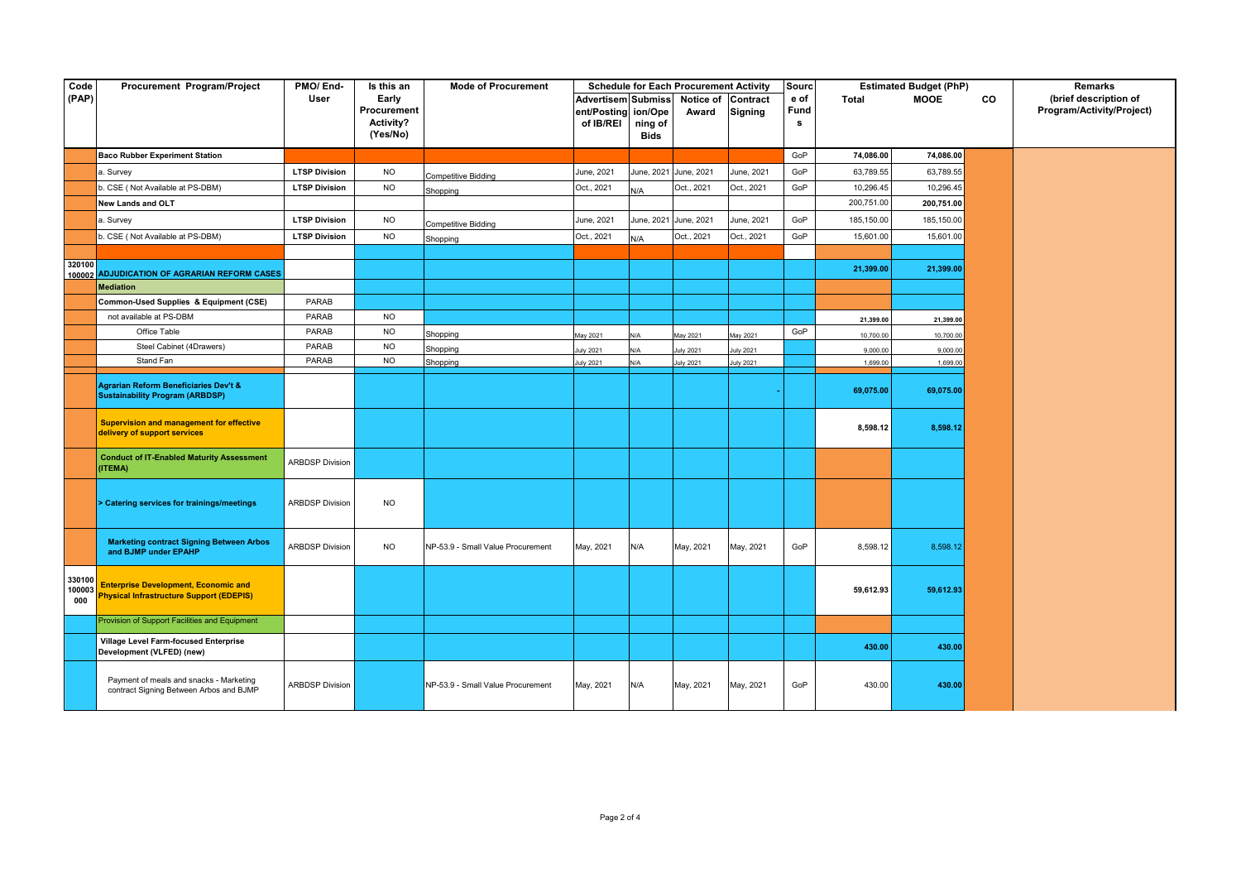| Code                    | Procurement Program/Project                                                                    | PMO/End-               | Is this an                                    | <b>Mode of Procurement</b>        |                                                |                                   | <b>Schedule for Each Procurement Activity</b> |                            | <b>Sourc</b>      |              | <b>Estimated Budget (PhP)</b> |    | Remarks                                            |
|-------------------------|------------------------------------------------------------------------------------------------|------------------------|-----------------------------------------------|-----------------------------------|------------------------------------------------|-----------------------------------|-----------------------------------------------|----------------------------|-------------------|--------------|-------------------------------|----|----------------------------------------------------|
| (PAP)                   |                                                                                                | User                   | Early<br>Procurement<br>Activity?<br>(Yes/No) |                                   | Advertisem Submiss<br>ent/Posting<br>of IB/REI | ion/Ope<br>ning of<br><b>Bids</b> | Notice of<br>Award                            | Contract<br><b>Signing</b> | e of<br>Fund<br>s | <b>Total</b> | <b>MOOE</b>                   | co | (brief description of<br>Program/Activity/Project) |
|                         | <b>Baco Rubber Experiment Station</b>                                                          |                        |                                               |                                   |                                                |                                   |                                               |                            | GoP               | 74,086.00    | 74,086.00                     |    |                                                    |
|                         | a. Survey                                                                                      | <b>LTSP Division</b>   | <b>NO</b>                                     |                                   | June, 2021                                     |                                   | June, 2021 June, 2021                         | June, 2021                 | GoP               | 63,789.55    | 63,789.55                     |    |                                                    |
|                         | b. CSE (Not Available at PS-DBM)                                                               | <b>LTSP Division</b>   | <b>NO</b>                                     | <b>Competitive Bidding</b>        | Oct., 2021                                     | N/A                               | Oct., 2021                                    | Oct., 2021                 | GoP               | 10,296.45    | 10,296.45                     |    |                                                    |
|                         | New Lands and OLT                                                                              |                        |                                               | Shopping                          |                                                |                                   |                                               |                            |                   | 200,751.00   | 200,751.00                    |    |                                                    |
|                         | a. Survey                                                                                      | <b>LTSP Division</b>   | <b>NO</b>                                     |                                   | June, 2021                                     | June, 2021 June, 2021             |                                               | June, 2021                 | GoP               | 185,150.00   | 185,150.00                    |    |                                                    |
|                         | b. CSE (Not Available at PS-DBM)                                                               | <b>LTSP Division</b>   | <b>NO</b>                                     | <b>Competitive Bidding</b>        | Oct., 2021                                     | N/A                               | Oct., 2021                                    | Oct., 2021                 | GoP               | 15,601.00    | 15,601.00                     |    |                                                    |
|                         |                                                                                                |                        |                                               | Shopping                          |                                                |                                   |                                               |                            |                   |              |                               |    |                                                    |
| 320100                  | 100002 ADJUDICATION OF AGRARIAN REFORM CASES                                                   |                        |                                               |                                   |                                                |                                   |                                               |                            |                   | 21,399.00    | 21,399.00                     |    |                                                    |
|                         | <b>Mediation</b>                                                                               |                        |                                               |                                   |                                                |                                   |                                               |                            |                   |              |                               |    |                                                    |
|                         | Common-Used Supplies & Equipment (CSE)                                                         | PARAB                  |                                               |                                   |                                                |                                   |                                               |                            |                   |              |                               |    |                                                    |
|                         | not available at PS-DBM                                                                        | PARAB                  | <b>NO</b>                                     |                                   |                                                |                                   |                                               |                            |                   | 21,399.00    | 21,399.00                     |    |                                                    |
|                         | Office Table                                                                                   | PARAB                  | <b>NO</b>                                     | Shopping                          | lay 2021                                       | N/A                               | ay 2021                                       | Aay 2021                   | GoP               | 10,700.0     | 10,700.00                     |    |                                                    |
|                         | Steel Cabinet (4Drawers)                                                                       | PARAB                  | <b>NO</b>                                     | Shopping                          | uly 2021                                       |                                   | July 2021                                     | July 2021                  |                   | 9,000.0      | 9,000.00                      |    |                                                    |
|                         | Stand Fan                                                                                      | PARAB                  | <b>NO</b>                                     | Shopping                          | <b>July 2021</b>                               | N/A                               | <b>July 2021</b>                              | July 2021                  |                   | 1,699.00     | 1,699.00                      |    |                                                    |
|                         | Agrarian Reform Beneficiaries Dev't &<br><b>Sustainability Program (ARBDSP)</b>                |                        |                                               |                                   |                                                |                                   |                                               |                            |                   | 69,075.00    | 69,075.00                     |    |                                                    |
|                         | <b>Supervision and management for effective</b><br>delivery of support services                |                        |                                               |                                   |                                                |                                   |                                               |                            |                   | 8,598.12     | 8,598.12                      |    |                                                    |
|                         | <b>Conduct of IT-Enabled Maturity Assessment</b><br>(ITEMA)                                    | <b>ARBDSP Division</b> |                                               |                                   |                                                |                                   |                                               |                            |                   |              |                               |    |                                                    |
|                         | > Catering services for trainings/meetings                                                     | <b>ARBDSP Division</b> | <b>NO</b>                                     |                                   |                                                |                                   |                                               |                            |                   |              |                               |    |                                                    |
|                         | <b>Marketing contract Signing Between Arbos</b><br>and BJMP under EPAHP                        | <b>ARBDSP Division</b> | <b>NO</b>                                     | NP-53.9 - Small Value Procurement | May, 2021                                      | N/A                               | May, 2021                                     | May, 2021                  | GoP               | 8,598.12     | 8,598.12                      |    |                                                    |
| 330100<br>100003<br>000 | <b>Enterprise Development, Economic and</b><br><b>Physical Infrastructure Support (EDEPIS)</b> |                        |                                               |                                   |                                                |                                   |                                               |                            |                   | 59,612.93    | 59,612.93                     |    |                                                    |
|                         | Provision of Support Facilities and Equipment                                                  |                        |                                               |                                   |                                                |                                   |                                               |                            |                   |              |                               |    |                                                    |
|                         | Village Level Farm-focused Enterprise<br>Development (VLFED) (new)                             |                        |                                               |                                   |                                                |                                   |                                               |                            |                   | 430.00       | 430.00                        |    |                                                    |
|                         | Payment of meals and snacks - Marketing<br>contract Signing Between Arbos and BJMP             | <b>ARBDSP Division</b> |                                               | NP-53.9 - Small Value Procurement | May, 2021                                      | N/A                               | May, 2021                                     | May, 2021                  | GoP               | 430.00       | 430.00                        |    |                                                    |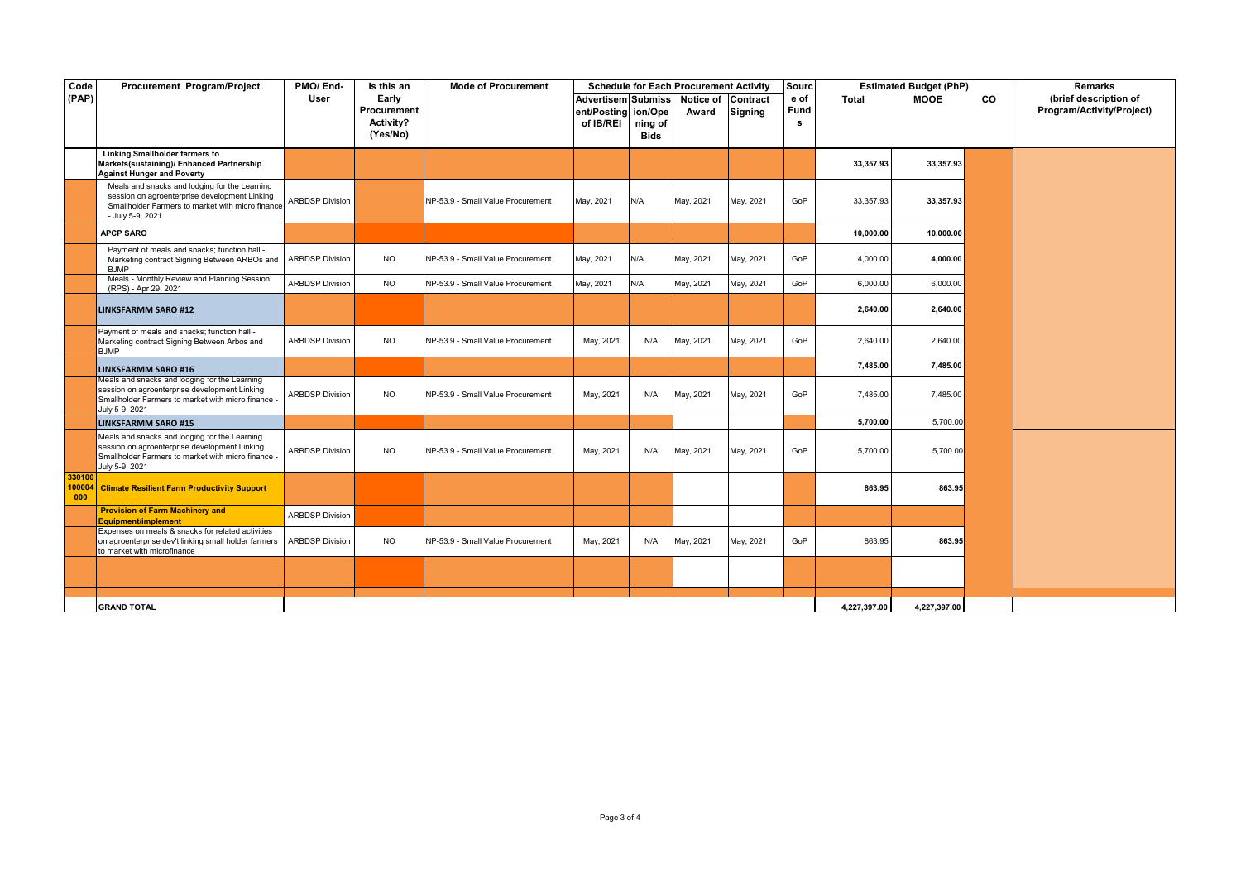| Code          | Procurement Program/Project                                                                                                                                            | PMO/End-               | Is this an                                    | <b>Mode of Procurement</b>        |                                                       |                                   | <b>Schedule for Each Procurement Activity</b> |                     | Sourc             |              | <b>Estimated Budget (PhP)</b> |           | <b>Remarks</b>                                     |
|---------------|------------------------------------------------------------------------------------------------------------------------------------------------------------------------|------------------------|-----------------------------------------------|-----------------------------------|-------------------------------------------------------|-----------------------------------|-----------------------------------------------|---------------------|-------------------|--------------|-------------------------------|-----------|----------------------------------------------------|
| (PAP)         |                                                                                                                                                                        | User                   | Early<br>Procurement<br>Activity?<br>(Yes/No) |                                   | <b>Advertisem Submiss</b><br>ent/Posting<br>of IB/REI | ion/Ope<br>ning of<br><b>Bids</b> | Notice of<br>Award                            | Contract<br>Signing | e of<br>Fund<br>s | <b>Total</b> | <b>MOOE</b>                   | <b>CO</b> | (brief description of<br>Program/Activity/Project) |
|               | <b>Linking Smallholder farmers to</b><br>Markets(sustaining)/ Enhanced Partnership<br><b>Against Hunger and Poverty</b>                                                |                        |                                               |                                   |                                                       |                                   |                                               |                     |                   | 33,357.93    | 33,357.93                     |           |                                                    |
|               | Meals and snacks and lodging for the Learning<br>session on agroenterprise development Linking<br>Smallholder Farmers to market with micro finance<br>- July 5-9, 2021 | <b>ARBDSP Division</b> |                                               | NP-53.9 - Small Value Procurement | May, 2021                                             | N/A                               | May, 2021                                     | May, 2021           | GoP               | 33,357.93    | 33,357.93                     |           |                                                    |
|               | <b>APCP SARO</b>                                                                                                                                                       |                        |                                               |                                   |                                                       |                                   |                                               |                     |                   | 10,000.00    | 10,000.00                     |           |                                                    |
|               | Payment of meals and snacks; function hall -<br>Marketing contract Signing Between ARBOs and<br><b>BJMP</b>                                                            | <b>ARBDSP Division</b> | <b>NO</b>                                     | NP-53.9 - Small Value Procurement | May, 2021                                             | N/A                               | May, 2021                                     | May, 2021           | GoP               | 4,000.00     | 4,000.00                      |           |                                                    |
|               | Meals - Monthly Review and Planning Session<br>(RPS) - Apr 29, 2021                                                                                                    | <b>ARBDSP Division</b> | <b>NO</b>                                     | NP-53.9 - Small Value Procurement | May, 2021                                             | N/A                               | May, 2021                                     | May, 2021           | GoP               | 6,000.00     | 6,000.00                      |           |                                                    |
|               | <b>LINKSFARMM SARO #12</b>                                                                                                                                             |                        |                                               |                                   |                                                       |                                   |                                               |                     |                   | 2,640.00     | 2,640.00                      |           |                                                    |
|               | Payment of meals and snacks; function hall -<br>Marketing contract Signing Between Arbos and<br><b>BJMP</b>                                                            | <b>ARBDSP Division</b> | <b>NO</b>                                     | NP-53.9 - Small Value Procurement | May, 2021                                             | N/A                               | May, 2021                                     | May, 2021           | GoP               | 2,640.00     | 2,640.00                      |           |                                                    |
|               | <b>LINKSFARMM SARO #16</b>                                                                                                                                             |                        |                                               |                                   |                                                       |                                   |                                               |                     |                   | 7,485.00     | 7,485.00                      |           |                                                    |
|               | Meals and snacks and lodging for the Learning<br>session on agroenterprise development Linking<br>Smallholder Farmers to market with micro finance -<br>July 5-9, 2021 | <b>ARBDSP Division</b> | <b>NO</b>                                     | NP-53.9 - Small Value Procurement | May, 2021                                             | N/A                               | May, 2021                                     | May, 2021           | GoP               | 7,485.00     | 7,485.00                      |           |                                                    |
|               | <b>LINKSFARMM SARO #15</b>                                                                                                                                             |                        |                                               |                                   |                                                       |                                   |                                               |                     |                   | 5,700.00     | 5,700.00                      |           |                                                    |
|               | Meals and snacks and lodging for the Learning<br>session on agroenterprise development Linking<br>Smallholder Farmers to market with micro finance -<br>July 5-9, 2021 | <b>ARBDSP Division</b> | <b>NO</b>                                     | NP-53.9 - Small Value Procurement | May, 2021                                             | N/A                               | May, 2021                                     | May, 2021           | GoP               | 5,700.00     | 5,700.00                      |           |                                                    |
| 330100<br>000 | 100004 Climate Resilient Farm Productivity Support                                                                                                                     |                        |                                               |                                   |                                                       |                                   |                                               |                     |                   | 863.95       | 863.95                        |           |                                                    |
|               | <b>Provision of Farm Machinery and</b><br>Equipment/implement                                                                                                          | <b>ARBDSP Division</b> |                                               |                                   |                                                       |                                   |                                               |                     |                   |              |                               |           |                                                    |
|               | Expenses on meals & snacks for related activities<br>on agroenterprise dev't linking small holder farmers<br>to market with microfinance                               | <b>ARBDSP Division</b> | <b>NO</b>                                     | NP-53.9 - Small Value Procurement | May, 2021                                             | N/A                               | May, 2021                                     | May, 2021           | GoP               | 863.95       | 863.95                        |           |                                                    |
|               |                                                                                                                                                                        |                        |                                               |                                   |                                                       |                                   |                                               |                     |                   |              |                               |           |                                                    |
|               |                                                                                                                                                                        |                        |                                               |                                   |                                                       |                                   |                                               |                     |                   |              |                               |           |                                                    |
|               | <b>GRAND TOTAL</b>                                                                                                                                                     |                        |                                               |                                   |                                                       |                                   |                                               |                     |                   | 4,227,397.00 | 4,227,397.00                  |           |                                                    |